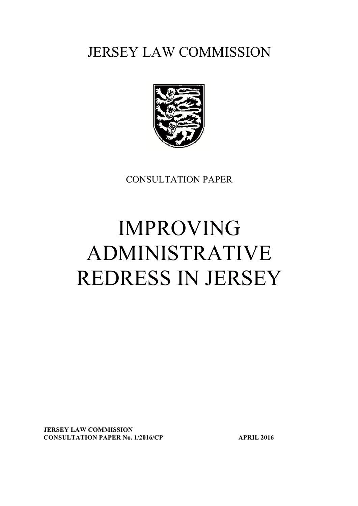# JERSEY LAW COMMISSION



CONSULTATION PAPER

# IMPROVING ADMINISTRATIVE REDRESS IN JERSEY

JERSEY LAW COMMISSION CONSULTATION PAPER No. 1/2016/CP APRIL 2016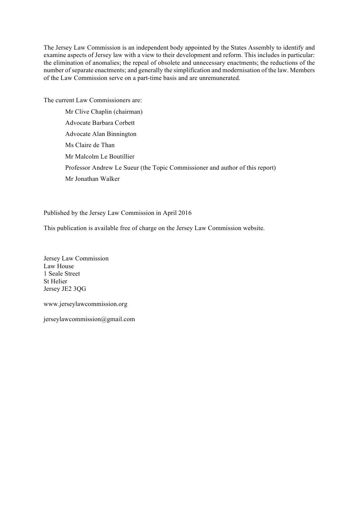The Jersey Law Commission is an independent body appointed by the States Assembly to identify and examine aspects of Jersey law with a view to their development and reform. This includes in particular: the elimination of anomalies; the repeal of obsolete and unnecessary enactments; the reductions of the number of separate enactments; and generally the simplification and modernisation of the law. Members of the Law Commission serve on a part-time basis and are unremunerated.

The current Law Commissioners are:

Mr Clive Chaplin (chairman) Advocate Barbara Corbett Advocate Alan Binnington Ms Claire de Than Mr Malcolm Le Boutillier Professor Andrew Le Sueur (the Topic Commissioner and author of this report) Mr Jonathan Walker

Published by the Jersey Law Commission in April 2016

This publication is available free of charge on the Jersey Law Commission website.

Jersey Law Commission Law House 1 Seale Street St Helier Jersey JE2 3QG

www.jerseylawcommission.org

jerseylawcommission@gmail.com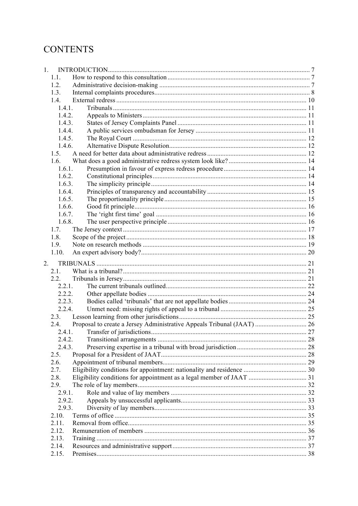# **CONTENTS**

| 1. |        |  |
|----|--------|--|
|    | 1.1.   |  |
|    | 1.2.   |  |
|    | 1.3.   |  |
|    | 1.4.   |  |
|    | 1.4.1. |  |
|    | 1.4.2. |  |
|    | 1.4.3. |  |
|    | 1.4.4. |  |
|    | 1.4.5. |  |
|    | 1.4.6. |  |
|    | 1.5.   |  |
|    | 1.6.   |  |
|    | 1.6.1. |  |
|    | 1.6.2. |  |
|    | 1.6.3. |  |
|    | 1.6.4. |  |
|    | 1.6.5. |  |
|    | 1.6.6. |  |
|    | 1.6.7. |  |
|    | 1.6.8. |  |
|    | 1.7.   |  |
|    | 1.8.   |  |
|    | 1.9.   |  |
|    | 1.10.  |  |
|    |        |  |
| 2. |        |  |
|    | 2.1.   |  |
|    | 2.2.   |  |
|    | 2.2.1. |  |
|    | 2.2.2. |  |
|    | 2.2.3. |  |
|    | 2.2.4. |  |
|    | 2.3.   |  |
|    | 2.4.   |  |
|    | 2.4.1. |  |
|    | 2.4.2. |  |
|    | 2.4.3. |  |
|    | 2.5.   |  |
|    | 2.6.   |  |
|    | 2.7.   |  |
|    | 2.8.   |  |
|    | 2.9.   |  |
|    | 2.9.1. |  |
|    | 2.9.2. |  |
|    | 2.9.3. |  |
|    | 2.10.  |  |
|    | 2.11.  |  |
|    | 2.12.  |  |
|    | 2.13.  |  |
|    | 2.14.  |  |
|    | 2.15.  |  |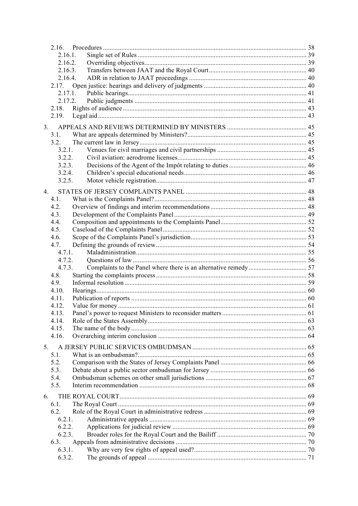|    | 2.16.     |  |
|----|-----------|--|
|    | 2.16.1.   |  |
|    | 2.16.2.   |  |
|    | 2.16.3.   |  |
|    | 2.16.4.   |  |
|    |           |  |
|    | 2.17.1.   |  |
|    | 2.17.2.   |  |
|    | 2.18.     |  |
|    | 2.19.     |  |
| 3. |           |  |
|    | 3.1.      |  |
|    | 3.2.      |  |
|    | 3.2.1.    |  |
|    | 3.2.2.    |  |
|    | 3.2.3.    |  |
|    | 3.2.4.    |  |
|    | 3.2.5.    |  |
|    |           |  |
| 4. | 4.1.      |  |
|    |           |  |
|    | 4.2.      |  |
|    | 4.3.      |  |
|    | 4.4.      |  |
|    | 4.5.      |  |
|    | 4.6.      |  |
|    | 4.7.      |  |
|    | 4.7.1.    |  |
|    | 4.7.2.    |  |
|    | 4.7.3.    |  |
|    | 4.8.      |  |
|    | 4.9.      |  |
|    | 4.10.     |  |
|    | 4.11.     |  |
|    | 4.12.     |  |
|    | 4.13.     |  |
|    | 4.14.     |  |
|    | 4.15.     |  |
|    | 4.16.     |  |
| 5. |           |  |
|    | 5.1.      |  |
|    | 5.2.      |  |
|    | 5.3.      |  |
|    | 5.4.      |  |
|    | 5.5.      |  |
| 6. |           |  |
|    | 6.1.      |  |
|    | 6.2.      |  |
|    | $6.2.1$ . |  |
|    | 6.2.2.    |  |
|    | 6.2.3.    |  |
|    | 6.3.      |  |
|    | 6.3.1.    |  |
|    | 6.3.2.    |  |
|    |           |  |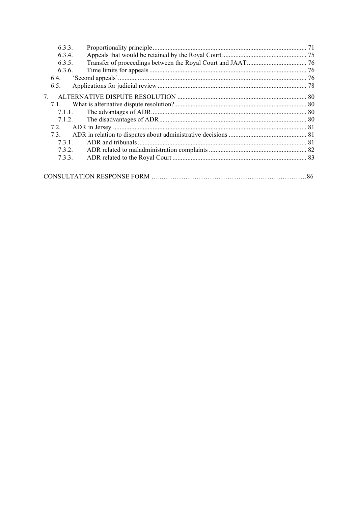| 6.3.3.     |  |
|------------|--|
| 6.3.4.     |  |
| 6.3.5.     |  |
| 6.3.6.     |  |
|            |  |
| 6.5.       |  |
| $7\degree$ |  |
| 7.1.       |  |
| 7.1.1.     |  |
| 7.1.2.     |  |
| 7.2.       |  |
| 73         |  |
| 731        |  |
| 7.3.2.     |  |
| 7.3.3.     |  |
|            |  |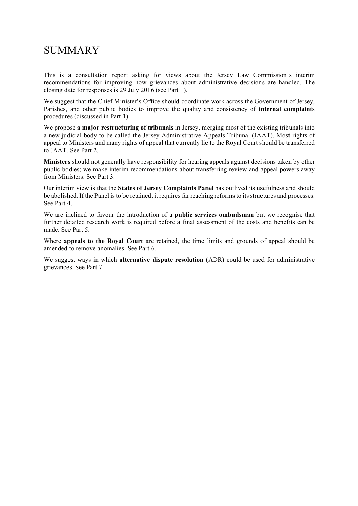# **SUMMARY**

This is a consultation report asking for views about the Jersey Law Commission's interim recommendations for improving how grievances about administrative decisions are handled. The closing date for responses is 29 July 2016 (see Part 1).

We suggest that the Chief Minister's Office should coordinate work across the Government of Jersey, Parishes, and other public bodies to improve the quality and consistency of internal complaints procedures (discussed in Part 1).

We propose a major restructuring of tribunals in Jersey, merging most of the existing tribunals into a new judicial body to be called the Jersey Administrative Appeals Tribunal (JAAT). Most rights of appeal to Ministers and many rights of appeal that currently lie to the Royal Court should be transferred to JAAT. See Part 2.

Ministers should not generally have responsibility for hearing appeals against decisions taken by other public bodies; we make interim recommendations about transferring review and appeal powers away from Ministers. See Part 3.

Our interim view is that the States of Jersey Complaints Panel has outlived its usefulness and should be abolished. If the Panel is to be retained, it requires far reaching reforms to its structures and processes. See Part 4.

We are inclined to favour the introduction of a **public services ombudsman** but we recognise that further detailed research work is required before a final assessment of the costs and benefits can be made. See Part 5.

Where appeals to the Royal Court are retained, the time limits and grounds of appeal should be amended to remove anomalies. See Part 6.

We suggest ways in which alternative dispute resolution (ADR) could be used for administrative grievances. See Part 7.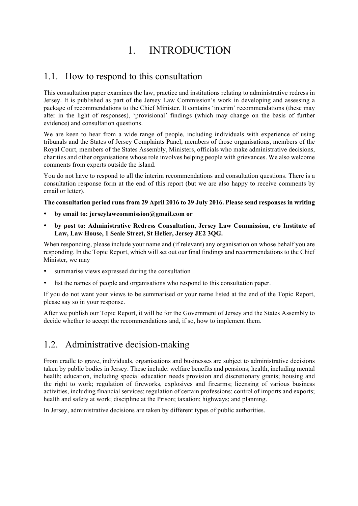# 1. INTRODUCTION

### 1.1. How to respond to this consultation

This consultation paper examines the law, practice and institutions relating to administrative redress in Jersey. It is published as part of the Jersey Law Commission's work in developing and assessing a package of recommendations to the Chief Minister. It contains 'interim' recommendations (these may alter in the light of responses), 'provisional' findings (which may change on the basis of further evidence) and consultation questions.

We are keen to hear from a wide range of people, including individuals with experience of using tribunals and the States of Jersey Complaints Panel, members of those organisations, members of the Royal Court, members of the States Assembly, Ministers, officials who make administrative decisions, charities and other organisations whose role involves helping people with grievances. We also welcome comments from experts outside the island.

You do not have to respond to all the interim recommendations and consultation questions. There is a consultation response form at the end of this report (but we are also happy to receive comments by email or letter).

### The consultation period runs from 29 April 2016 to 29 July 2016. Please send responses in writing

- by email to: jerseylawcommission@gmail.com or
- by post to: Administrative Redress Consultation, Jersey Law Commission, c/o Institute of Law, Law House, 1 Seale Street, St Helier, Jersey JE2 3QG.

When responding, please include your name and (if relevant) any organisation on whose behalf you are responding. In the Topic Report, which will set out our final findings and recommendations to the Chief Minister, we may

- summarise views expressed during the consultation
- list the names of people and organisations who respond to this consultation paper.

If you do not want your views to be summarised or your name listed at the end of the Topic Report, please say so in your response.

After we publish our Topic Report, it will be for the Government of Jersey and the States Assembly to decide whether to accept the recommendations and, if so, how to implement them.

# 1.2. Administrative decision-making

From cradle to grave, individuals, organisations and businesses are subject to administrative decisions taken by public bodies in Jersey. These include: welfare benefits and pensions; health, including mental health; education, including special education needs provision and discretionary grants; housing and the right to work; regulation of fireworks, explosives and firearms; licensing of various business activities, including financial services; regulation of certain professions; control of imports and exports; health and safety at work; discipline at the Prison; taxation; highways; and planning.

In Jersey, administrative decisions are taken by different types of public authorities.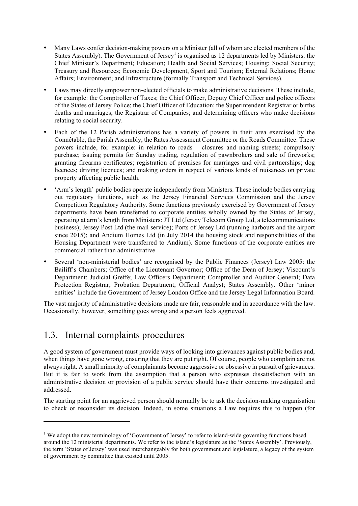- Many Laws confer decision-making powers on a Minister (all of whom are elected members of the States Assembly). The Government of Jersey<sup>1</sup> is organised as 12 departments led by Ministers: the Chief Minister's Department; Education; Health and Social Services; Housing; Social Security; Treasury and Resources; Economic Development, Sport and Tourism; External Relations; Home Affairs; Environment; and Infrastructure (formally Transport and Technical Services).
- Laws may directly empower non-elected officials to make administrative decisions. These include, for example: the Comptroller of Taxes; the Chief Officer, Deputy Chief Officer and police officers of the States of Jersey Police; the Chief Officer of Education; the Superintendent Registrar or births deaths and marriages; the Registrar of Companies; and determining officers who make decisions relating to social security.
- Each of the 12 Parish administrations has a variety of powers in their area exercised by the Connétable, the Parish Assembly, the Rates Assessment Committee or the Roads Committee. These powers include, for example: in relation to roads – closures and naming streets; compulsory purchase; issuing permits for Sunday trading, regulation of pawnbrokers and sale of fireworks; granting firearms certificates; registration of premises for marriages and civil partnerships; dog licences; driving licences; and making orders in respect of various kinds of nuisances on private property affecting public health.
- 'Arm's length' public bodies operate independently from Ministers. These include bodies carrying out regulatory functions, such as the Jersey Financial Services Commission and the Jersey Competition Regulatory Authority. Some functions previously exercised by Government of Jersey departments have been transferred to corporate entities wholly owned by the States of Jersey, operating at arm's length from Ministers: JT Ltd (Jersey Telecom Group Ltd, a telecommunications business); Jersey Post Ltd (the mail service); Ports of Jersey Ltd (running harbours and the airport since 2015); and Andium Homes Ltd (in July 2014 the housing stock and responsibilities of the Housing Department were transferred to Andium). Some functions of the corporate entities are commercial rather than administrative.
- Several 'non-ministerial bodies' are recognised by the Public Finances (Jersey) Law 2005: the Bailiff's Chambers; Office of the Lieutenant Governor; Office of the Dean of Jersey; Viscount's Department; Judicial Greffe; Law Officers Department; Comptroller and Auditor General; Data Protection Registrar; Probation Department; Official Analyst; States Assembly. Other 'minor entities' include the Government of Jersey London Office and the Jersey Legal Information Board.

The vast majority of administrative decisions made are fair, reasonable and in accordance with the law. Occasionally, however, something goes wrong and a person feels aggrieved.

# 1.3. Internal complaints procedures

l

A good system of government must provide ways of looking into grievances against public bodies and, when things have gone wrong, ensuring that they are put right. Of course, people who complain are not always right. A small minority of complainants become aggressive or obsessive in pursuit of grievances. But it is fair to work from the assumption that a person who expresses dissatisfaction with an administrative decision or provision of a public service should have their concerns investigated and addressed.

The starting point for an aggrieved person should normally be to ask the decision-making organisation to check or reconsider its decision. Indeed, in some situations a Law requires this to happen (for

<sup>&</sup>lt;sup>1</sup> We adopt the new terminology of 'Government of Jersey' to refer to island-wide governing functions based around the 12 ministerial departments. We refer to the island's legislature as the 'States Assembly'. Previously, the term 'States of Jersey' was used interchangeably for both government and legislature, a legacy of the system of government by committee that existed until 2005.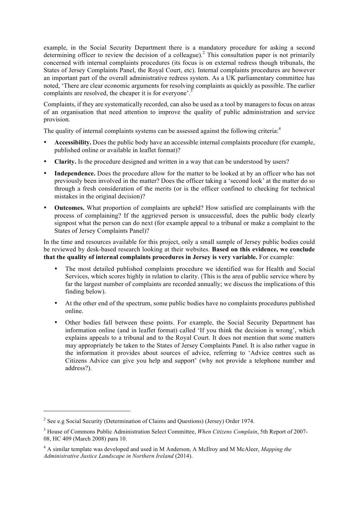example, in the Social Security Department there is a mandatory procedure for asking a second determining officer to review the decision of a colleague). <sup>2</sup> This consultation paper is not primarily concerned with internal complaints procedures (its focus is on external redress though tribunals, the States of Jersey Complaints Panel, the Royal Court, etc). Internal complaints procedures are however an important part of the overall administrative redress system. As a UK parliamentary committee has noted, 'There are clear economic arguments for resolving complaints as quickly as possible. The earlier complaints are resolved, the cheaper it is for everyone'.<sup>3</sup>

Complaints, if they are systematically recorded, can also be used as a tool by managers to focus on areas of an organisation that need attention to improve the quality of public administration and service provision.

The quality of internal complaints systems can be assessed against the following criteria.<sup>4</sup>

- Accessibility. Does the public body have an accessible internal complaints procedure (for example, published online or available in leaflet format)?
- Clarity. Is the procedure designed and written in a way that can be understood by users?
- Independence. Does the procedure allow for the matter to be looked at by an officer who has not previously been involved in the matter? Does the officer taking a 'second look' at the matter do so through a fresh consideration of the merits (or is the officer confined to checking for technical mistakes in the original decision)?
- Outcomes. What proportion of complaints are upheld? How satisfied are complainants with the process of complaining? If the aggrieved person is unsuccessful, does the public body clearly signpost what the person can do next (for example appeal to a tribunal or make a complaint to the States of Jersey Complaints Panel)?

In the time and resources available for this project, only a small sample of Jersey public bodies could be reviewed by desk-based research looking at their websites. Based on this evidence, we conclude that the quality of internal complaints procedures in Jersey is very variable. For example:

- The most detailed published complaints procedure we identified was for Health and Social Services, which scores highly in relation to clarity. (This is the area of public service where by far the largest number of complaints are recorded annually; we discuss the implications of this finding below).
- At the other end of the spectrum, some public bodies have no complaints procedures published online.
- Other bodies fall between these points. For example, the Social Security Department has information online (and in leaflet format) called 'If you think the decision is wrong', which explains appeals to a tribunal and to the Royal Court. It does not mention that some matters may appropriately be taken to the States of Jersey Complaints Panel. It is also rather vague in the information it provides about sources of advice, referring to 'Advice centres such as Citizens Advice can give you help and support' (why not provide a telephone number and address?).

<sup>&</sup>lt;sup>2</sup> See e.g Social Security (Determination of Claims and Questions) (Jersey) Order 1974.

<sup>3</sup> House of Commons Public Administration Select Committee, *When Citizens Complain*, 5th Report of 2007- 08, HC 409 (March 2008) para 10.

<sup>4</sup> A similar template was developed and used in M Anderson, A McIlroy and M McAleer, *Mapping the Administrative Justice Landscape in Northern Ireland* (2014).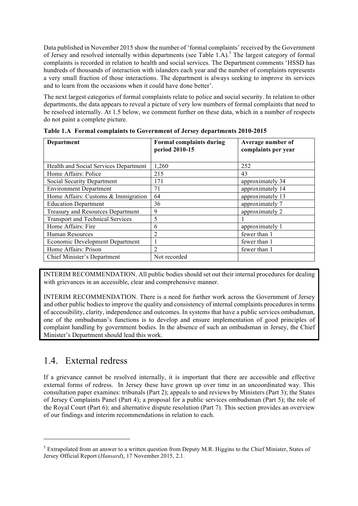Data published in November 2015 show the number of 'formal complaints' received by the Government of Jersey and resolved internally within departments (see Table 1.A).<sup>5</sup> The largest category of formal complaints is recorded in relation to health and social services. The Department comments 'HSSD has hundreds of thousands of interaction with islanders each year and the number of complaints represents a very small fraction of those interactions. The department is always seeking to improve its services and to learn from the occasions when it could have done better'.

The next largest categories of formal complaints relate to police and social security. In relation to other departments, the data appears to reveal a picture of very low numbers of formal complaints that need to be resolved internally. At 1.5 below, we comment further on these data, which in a number of respects do not paint a complete picture.

| Department                               | <b>Formal complaints during</b><br>period 2010-15 | Average number of<br>complaints per year |
|------------------------------------------|---------------------------------------------------|------------------------------------------|
| Health and Social Services Department    | 1,260                                             | 252                                      |
| Home Affairs: Police                     | 215                                               | 43                                       |
| Social Security Department               | 171                                               | approximately 34                         |
| <b>Environment Department</b>            | 71                                                | approximately 14                         |
| Home Affairs: Customs & Immigration      | 64                                                | approximately 13                         |
| <b>Education Department</b>              | 36                                                | approximately 7                          |
| <b>Treasury and Resources Department</b> | 9                                                 | approximately 2                          |
| <b>Transport and Technical Services</b>  | 5                                                 |                                          |
| Home Affairs: Fire                       | 6                                                 | approximately 1                          |
| <b>Human Resources</b>                   | $\overline{2}$                                    | fewer than 1                             |
| <b>Economic Development Department</b>   |                                                   | fewer than 1                             |
| Home Affairs: Prison                     | $\overline{2}$                                    | fewer than 1                             |
| Chief Minister's Department              | Not recorded                                      |                                          |

Table 1.A Formal complaints to Government of Jersey departments 2010-2015

INTERIM RECOMMENDATION. All public bodies should set out their internal procedures for dealing with grievances in an accessible, clear and comprehensive manner.

INTERIM RECOMMENDATION. There is a need for further work across the Government of Jersey and other public bodies to improve the quality and consistency of internal complaints procedures in terms of accessibility, clarity, independence and outcomes. In systems that have a public services ombudsman, one of the ombudsman's functions is to develop and ensure implementation of good principles of complaint handling by government bodies. In the absence of such an ombudsman in Jersey, the Chief Minister's Department should lead this work.

# 1.4. External redress

l

If a grievance cannot be resolved internally, it is important that there are accessible and effective external forms of redress. In Jersey these have grown up over time in an uncoordinated way. This consultation paper examines: tribunals (Part 2); appeals to and reviews by Ministers (Part 3); the States of Jersey Complaints Panel (Part 4); a proposal for a public services ombudsman (Part 5); the role of the Royal Court (Part 6); and alternative dispute resolution (Part 7). This section provides an overview of our findings and interim recommendations in relation to each.

<sup>&</sup>lt;sup>5</sup> Extrapolated from an answer to a written question from Deputy M.R. Higgins to the Chief Minister, States of Jersey Official Report (*Hansard*), 17 November 2015, 2.1.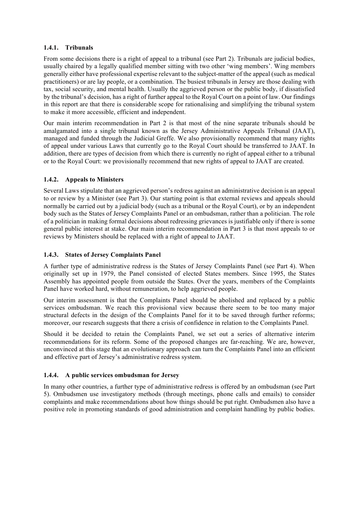### 1.4.1. Tribunals

From some decisions there is a right of appeal to a tribunal (see Part 2). Tribunals are judicial bodies, usually chaired by a legally qualified member sitting with two other 'wing members'. Wing members generally either have professional expertise relevant to the subject-matter of the appeal (such as medical practitioners) or are lay people, or a combination. The busiest tribunals in Jersey are those dealing with tax, social security, and mental health. Usually the aggrieved person or the public body, if dissatisfied by the tribunal's decision, has a right of further appeal to the Royal Court on a point of law. Our findings in this report are that there is considerable scope for rationalising and simplifying the tribunal system to make it more accessible, efficient and independent.

Our main interim recommendation in Part 2 is that most of the nine separate tribunals should be amalgamated into a single tribunal known as the Jersey Administrative Appeals Tribunal (JAAT), managed and funded through the Judicial Greffe. We also provisionally recommend that many rights of appeal under various Laws that currently go to the Royal Court should be transferred to JAAT. In addition, there are types of decision from which there is currently no right of appeal either to a tribunal or to the Royal Court: we provisionally recommend that new rights of appeal to JAAT are created.

### 1.4.2. Appeals to Ministers

Several Laws stipulate that an aggrieved person's redress against an administrative decision is an appeal to or review by a Minister (see Part 3). Our starting point is that external reviews and appeals should normally be carried out by a judicial body (such as a tribunal or the Royal Court), or by an independent body such as the States of Jersey Complaints Panel or an ombudsman, rather than a politician. The role of a politician in making formal decisions about redressing grievances is justifiable only if there is some general public interest at stake. Our main interim recommendation in Part 3 is that most appeals to or reviews by Ministers should be replaced with a right of appeal to JAAT.

### 1.4.3. States of Jersey Complaints Panel

A further type of administrative redress is the States of Jersey Complaints Panel (see Part 4). When originally set up in 1979, the Panel consisted of elected States members. Since 1995, the States Assembly has appointed people from outside the States. Over the years, members of the Complaints Panel have worked hard, without remuneration, to help aggrieved people.

Our interim assessment is that the Complaints Panel should be abolished and replaced by a public services ombudsman. We reach this provisional view because there seem to be too many major structural defects in the design of the Complaints Panel for it to be saved through further reforms; moreover, our research suggests that there a crisis of confidence in relation to the Complaints Panel.

Should it be decided to retain the Complaints Panel, we set out a series of alternative interim recommendations for its reform. Some of the proposed changes are far-reaching. We are, however, unconvinced at this stage that an evolutionary approach can turn the Complaints Panel into an efficient and effective part of Jersey's administrative redress system.

#### 1.4.4. A public services ombudsman for Jersey

In many other countries, a further type of administrative redress is offered by an ombudsman (see Part 5). Ombudsmen use investigatory methods (through meetings, phone calls and emails) to consider complaints and make recommendations about how things should be put right. Ombudsmen also have a positive role in promoting standards of good administration and complaint handling by public bodies.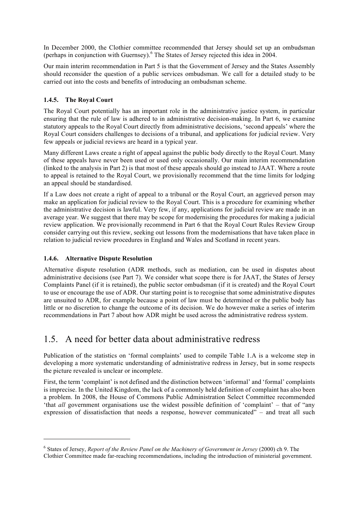In December 2000, the Clothier committee recommended that Jersey should set up an ombudsman (perhaps in conjunction with Guernsey).<sup>6</sup> The States of Jersey rejected this idea in 2004.

Our main interim recommendation in Part 5 is that the Government of Jersey and the States Assembly should reconsider the question of a public services ombudsman. We call for a detailed study to be carried out into the costs and benefits of introducing an ombudsman scheme.

### 1.4.5. The Royal Court

The Royal Court potentially has an important role in the administrative justice system, in particular ensuring that the rule of law is adhered to in administrative decision-making. In Part 6, we examine statutory appeals to the Royal Court directly from administrative decisions, 'second appeals' where the Royal Court considers challenges to decisions of a tribunal, and applications for judicial review. Very few appeals or judicial reviews are heard in a typical year.

Many different Laws create a right of appeal against the public body directly to the Royal Court. Many of these appeals have never been used or used only occasionally. Our main interim recommendation (linked to the analysis in Part 2) is that most of these appeals should go instead to JAAT. Where a route to appeal is retained to the Royal Court, we provisionally recommend that the time limits for lodging an appeal should be standardised.

If a Law does not create a right of appeal to a tribunal or the Royal Court, an aggrieved person may make an application for judicial review to the Royal Court. This is a procedure for examining whether the administrative decision is lawful. Very few, if any, applications for judicial review are made in an average year. We suggest that there may be scope for modernising the procedures for making a judicial review application. We provisionally recommend in Part 6 that the Royal Court Rules Review Group consider carrying out this review, seeking out lessons from the modernisations that have taken place in relation to judicial review procedures in England and Wales and Scotland in recent years.

### 1.4.6. Alternative Dispute Resolution

l

Alternative dispute resolution (ADR methods, such as mediation, can be used in disputes about administrative decisions (see Part 7). We consider what scope there is for JAAT, the States of Jersey Complaints Panel (if it is retained), the public sector ombudsman (if it is created) and the Royal Court to use or encourage the use of ADR. Our starting point is to recognise that some administrative disputes are unsuited to ADR, for example because a point of law must be determined or the public body has little or no discretion to change the outcome of its decision. We do however make a series of interim recommendations in Part 7 about how ADR might be used across the administrative redress system.

# 1.5. A need for better data about administrative redress

Publication of the statistics on 'formal complaints' used to compile Table 1.A is a welcome step in developing a more systematic understanding of administrative redress in Jersey, but in some respects the picture revealed is unclear or incomplete.

First, the term 'complaint' is not defined and the distinction between 'informal' and 'formal' complaints is imprecise. In the United Kingdom, the lack of a commonly held definition of complaint has also been a problem. In 2008, the House of Commons Public Administration Select Committee recommended 'that *all* government organisations use the widest possible definition of 'complaint' – that of "any expression of dissatisfaction that needs a response, however communicated" – and treat all such

<sup>6</sup> States of Jersey, *Report of the Review Panel on the Machinery of Government in Jersey* (2000) ch 9. The Clothier Committee made far-reaching recommendations, including the introduction of ministerial government.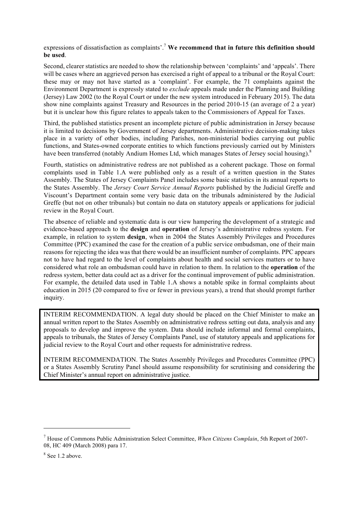### expressions of dissatisfaction as complaints'.<sup>7</sup> We recommend that in future this definition should be used.

Second, clearer statistics are needed to show the relationship between 'complaints' and 'appeals'. There will be cases where an aggrieved person has exercised a right of appeal to a tribunal or the Royal Court: these may or may not have started as a 'complaint'. For example, the 71 complaints against the Environment Department is expressly stated to *exclude* appeals made under the Planning and Building (Jersey) Law 2002 (to the Royal Court or under the new system introduced in February 2015). The data show nine complaints against Treasury and Resources in the period 2010-15 (an average of 2 a year) but it is unclear how this figure relates to appeals taken to the Commissioners of Appeal for Taxes.

Third, the published statistics present an incomplete picture of public administration in Jersey because it is limited to decisions by Government of Jersey departments. Administrative decision-making takes place in a variety of other bodies, including Parishes, non-ministerial bodies carrying out public functions, and States-owned corporate entities to which functions previously carried out by Ministers have been transferred (notably Andium Homes Ltd, which manages States of Jersey social housing).<sup>8</sup>

Fourth, statistics on administrative redress are not published as a coherent package. Those on formal complaints used in Table 1.A were published only as a result of a written question in the States Assembly. The States of Jersey Complaints Panel includes some basic statistics in its annual reports to the States Assembly. The *Jersey Court Service Annual Reports* published by the Judicial Greffe and Viscount's Department contain some very basic data on the tribunals administered by the Judicial Greffe (but not on other tribunals) but contain no data on statutory appeals or applications for judicial review in the Royal Court.

The absence of reliable and systematic data is our view hampering the development of a strategic and evidence-based approach to the design and operation of Jersey's administrative redress system. For example, in relation to system design, when in 2004 the States Assembly Privileges and Procedures Committee (PPC) examined the case for the creation of a public service ombudsman, one of their main reasons for rejecting the idea was that there would be an insufficient number of complaints. PPC appears not to have had regard to the level of complaints about health and social services matters or to have considered what role an ombudsman could have in relation to them. In relation to the operation of the redress system, better data could act as a driver for the continual improvement of public administration. For example, the detailed data used in Table 1.A shows a notable spike in formal complaints about education in 2015 (20 compared to five or fewer in previous years), a trend that should prompt further inquiry.

INTERIM RECOMMENDATION. A legal duty should be placed on the Chief Minister to make an annual written report to the States Assembly on administrative redress setting out data, analysis and any proposals to develop and improve the system. Data should include informal and formal complaints, appeals to tribunals, the States of Jersey Complaints Panel, use of statutory appeals and applications for judicial review to the Royal Court and other requests for administrative redress.

INTERIM RECOMMENDATION. The States Assembly Privileges and Procedures Committee (PPC) or a States Assembly Scrutiny Panel should assume responsibility for scrutinising and considering the Chief Minister's annual report on administrative justice.

 $\overline{a}$ 

<sup>7</sup> House of Commons Public Administration Select Committee, *When Citizens Complain*, 5th Report of 2007- 08, HC 409 (March 2008) para 17.

 $8$  See 1.2 above.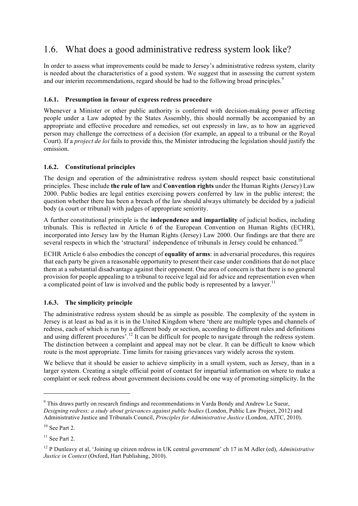# 1.6. What does a good administrative redress system look like?

In order to assess what improvements could be made to Jersey's administrative redress system, clarity is needed about the characteristics of a good system. We suggest that in assessing the current system and our interim recommendations, regard should be had to the following broad principles.<sup>9</sup>

### 1.6.1. Presumption in favour of express redress procedure

Whenever a Minister or other public authority is conferred with decision-making power affecting people under a Law adopted by the States Assembly, this should normally be accompanied by an appropriate and effective procedure and remedies, set out expressly in law, as to how an aggrieved person may challenge the correctness of a decision (for example, an appeal to a tribunal or the Royal Court). If a *project de loi* fails to provide this, the Minister introducing the legislation should justify the omission.

### 1.6.2. Constitutional principles

The design and operation of the administrative redress system should respect basic constitutional principles. These include the rule of law and Convention rights under the Human Rights (Jersey) Law 2000. Public bodies are legal entities exercising powers conferred by law in the public interest; the question whether there has been a breach of the law should always ultimately be decided by a judicial body (a court or tribunal) with judges of appropriate seniority.

A further constitutional principle is the independence and impartiality of judicial bodies, including tribunals. This is reflected in Article 6 of the European Convention on Human Rights (ECHR), incorporated into Jersey law by the Human Rights (Jersey) Law 2000. Our findings are that there are several respects in which the 'structural' independence of tribunals in Jersey could be enhanced.<sup>10</sup>

ECHR Article 6 also embodies the concept of **equality of arms**: in adversarial procedures, this requires that each party be given a reasonable opportunity to present their case under conditions that do not place them at a substantial disadvantage against their opponent. One area of concern is that there is no general provision for people appealing to a tribunal to receive legal aid for advice and representation even when a complicated point of law is involved and the public body is represented by a lawyer.<sup>11</sup>

### 1.6.3. The simplicity principle

The administrative redress system should be as simple as possible. The complexity of the system in Jersey is at least as bad as it is in the United Kingdom where 'there are multiple types and channels of redress, each of which is run by a different body or section, according to different rules and definitions and using different procedures<sup>'.12</sup> It can be difficult for people to navigate through the redress system. The distinction between a complaint and appeal may not be clear. It can be difficult to know which route is the most appropriate. Time limits for raising grievances vary widely across the system.

We believe that it should be easier to achieve simplicity in a small system, such as Jersey, than in a larger system. Creating a single official point of contact for impartial information on where to make a complaint or seek redress about government decisions could be one way of promoting simplicity. In the

<sup>9</sup> This draws partly on research findings and recommendations in Varda Bondy and Andrew Le Sueur, *Designing redress; a study about grievances against public bodies* (London, Public Law Project, 2012) and Administrative Justice and Tribunals Council, *Principles for Administrative Justice* (London, AJTC, 2010).

 $10$  See Part 2.

 $11$  See Part 2.

<sup>&</sup>lt;sup>12</sup> P Dunleavy et al, 'Joining up citizen redress in UK central government' ch 17 in M Adler (ed), *Administrative Justice in Context* (Oxford, Hart Publishing, 2010).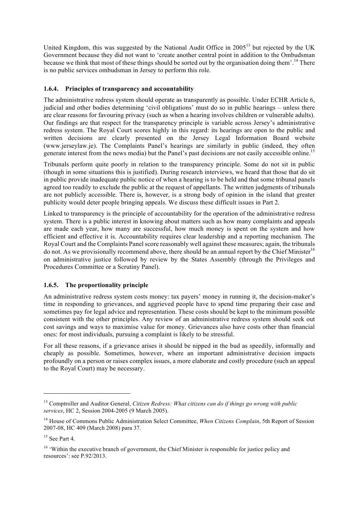United Kingdom, this was suggested by the National Audit Office in 2005<sup>13</sup> but rejected by the UK Government because they did not want to 'create another central point in addition to the Ombudsman because we think that most of these things should be sorted out by the organisation doing them'.<sup>14</sup> There is no public services ombudsman in Jersey to perform this role.

### 1.6.4. Principles of transparency and accountability

The administrative redress system should operate as transparently as possible. Under ECHR Article 6, judicial and other bodies determining 'civil obligations' must do so in public hearings – unless there are clear reasons for favouring privacy (such as when a hearing involves children or vulnerable adults). Our findings are that respect for the transparency principle is variable across Jersey's administrative redress system. The Royal Court scores highly in this regard: its hearings are open to the public and written decisions are clearly presented on the Jersey Legal Information Board website (www.jerseylaw.je). The Complaints Panel's hearings are similarly in public (indeed, they often generate interest from the news media) but the Panel's past decisions are not easily accessible online.15

Tribunals perform quite poorly in relation to the transparency principle. Some do not sit in public (though in some situations this is justified). During research interviews, we heard that those that do sit in public provide inadequate public notice of when a hearing is to be held and that some tribunal panels agreed too readily to exclude the public at the request of appellants. The written judgments of tribunals are not publicly accessible. There is, however, is a strong body of opinion in the island that greater publicity would deter people bringing appeals. We discuss these difficult issues in Part 2.

Linked to transparency is the principle of accountability for the operation of the administrative redress system. There is a public interest in knowing about matters such as how many complaints and appeals are made each year, how many are successful, how much money is spent on the system and how efficient and effective it is. Accountability requires clear leadership and a reporting mechanism. The Royal Court and the Complaints Panel score reasonably well against these measures; again, the tribunals do not. As we provisionally recommend above, there should be an annual report by the Chief Minister<sup>16</sup> on administrative justice followed by review by the States Assembly (through the Privileges and Procedures Committee or a Scrutiny Panel).

### 1.6.5. The proportionality principle

An administrative redress system costs money: tax payers' money in running it, the decision-maker's time in responding to grievances, and aggrieved people have to spend time preparing their case and sometimes pay for legal advice and representation. These costs should be kept to the minimum possible consistent with the other principles. Any review of an administrative redress system should seek out cost savings and ways to maximise value for money. Grievances also have costs other than financial ones: for most individuals, pursuing a complaint is likely to be stressful.

For all these reasons, if a grievance arises it should be nipped in the bud as speedily, informally and cheaply as possible. Sometimes, however, where an important administrative decision impacts profoundly on a person or raises complex issues, a more elaborate and costly procedure (such an appeal to the Royal Court) may be necessary.

<sup>13</sup> Comptroller and Auditor General, *Citizen Redress: What citizens can do if things go wrong with public services*, HC 2, Session 2004-2005 (9 March 2005).

<sup>14</sup> House of Commons Public Administration Select Committee, *When Citizens Complain*, 5th Report of Session 2007-08, HC 409 (March 2008) para 37.

 $15$  See Part 4.

<sup>&</sup>lt;sup>16</sup> 'Within the executive branch of government, the Chief Minister is responsible for justice policy and resources': see P.92/2013.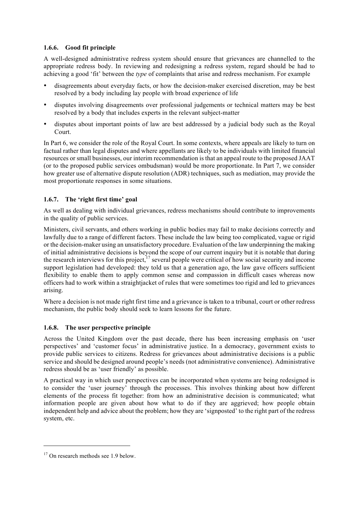### 1.6.6. Good fit principle

A well-designed administrative redress system should ensure that grievances are channelled to the appropriate redress body. In reviewing and redesigning a redress system, regard should be had to achieving a good 'fit' between the *type* of complaints that arise and redress mechanism. For example

- disagreements about everyday facts, or how the decision-maker exercised discretion, may be best resolved by a body including lay people with broad experience of life
- disputes involving disagreements over professional judgements or technical matters may be best resolved by a body that includes experts in the relevant subject-matter
- disputes about important points of law are best addressed by a judicial body such as the Royal Court.

In Part 6, we consider the role of the Royal Court. In some contexts, where appeals are likely to turn on factual rather than legal disputes and where appellants are likely to be individuals with limited financial resources or small businesses, our interim recommendation is that an appeal route to the proposed JAAT (or to the proposed public services ombudsman) would be more proportionate. In Part 7, we consider how greater use of alternative dispute resolution (ADR) techniques, such as mediation, may provide the most proportionate responses in some situations.

### 1.6.7. The 'right first time' goal

As well as dealing with individual grievances, redress mechanisms should contribute to improvements in the quality of public services.

Ministers, civil servants, and others working in public bodies may fail to make decisions correctly and lawfully due to a range of different factors. These include the law being too complicated, vague or rigid or the decision-maker using an unsatisfactory procedure. Evaluation of the law underpinning the making of initial administrative decisions is beyond the scope of our current inquiry but it is notable that during the research interviews for this project,<sup>17</sup> several people were critical of how social security and income support legislation had developed: they told us that a generation ago, the law gave officers sufficient flexibility to enable them to apply common sense and compassion in difficult cases whereas now officers had to work within a straightjacket of rules that were sometimes too rigid and led to grievances arising.

Where a decision is not made right first time and a grievance is taken to a tribunal, court or other redress mechanism, the public body should seek to learn lessons for the future.

#### 1.6.8. The user perspective principle

Across the United Kingdom over the past decade, there has been increasing emphasis on 'user perspectives' and 'customer focus' in administrative justice. In a democracy, government exists to provide public services to citizens. Redress for grievances about administrative decisions is a public service and should be designed around people's needs (not administrative convenience). Administrative redress should be as 'user friendly' as possible.

A practical way in which user perspectives can be incorporated when systems are being redesigned is to consider the 'user journey' through the processes. This involves thinking about how different elements of the process fit together: from how an administrative decision is communicated; what information people are given about how what to do if they are aggrieved; how people obtain independent help and advice about the problem; how they are 'signposted' to the right part of the redress system, etc.

<sup>&</sup>lt;sup>17</sup> On research methods see 1.9 below.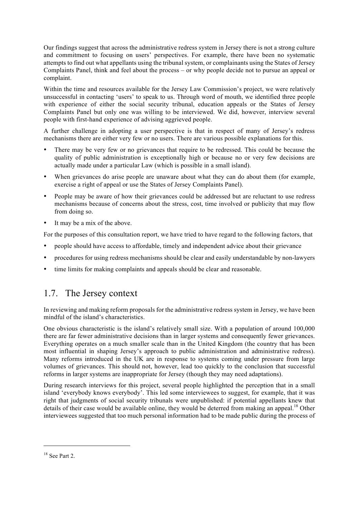Our findings suggest that across the administrative redress system in Jersey there is not a strong culture and commitment to focusing on users' perspectives. For example, there have been no systematic attempts to find out what appellants using the tribunal system, or complainants using the States of Jersey Complaints Panel, think and feel about the process – or why people decide not to pursue an appeal or complaint.

Within the time and resources available for the Jersey Law Commission's project, we were relatively unsuccessful in contacting 'users' to speak to us. Through word of mouth, we identified three people with experience of either the social security tribunal, education appeals or the States of Jersey Complaints Panel but only one was willing to be interviewed. We did, however, interview several people with first-hand experience of advising aggrieved people.

A further challenge in adopting a user perspective is that in respect of many of Jersey's redress mechanisms there are either very few or no users. There are various possible explanations for this.

- There may be very few or no grievances that require to be redressed. This could be because the quality of public administration is exceptionally high or because no or very few decisions are actually made under a particular Law (which is possible in a small island).
- When grievances do arise people are unaware about what they can do about them (for example, exercise a right of appeal or use the States of Jersey Complaints Panel).
- People may be aware of how their grievances could be addressed but are reluctant to use redress mechanisms because of concerns about the stress, cost, time involved or publicity that may flow from doing so.
- It may be a mix of the above.

For the purposes of this consultation report, we have tried to have regard to the following factors, that

- people should have access to affordable, timely and independent advice about their grievance
- procedures for using redress mechanisms should be clear and easily understandable by non-lawyers
- time limits for making complaints and appeals should be clear and reasonable.

# 1.7. The Jersey context

In reviewing and making reform proposals for the administrative redress system in Jersey, we have been mindful of the island's characteristics.

One obvious characteristic is the island's relatively small size. With a population of around 100,000 there are far fewer administrative decisions than in larger systems and consequently fewer grievances. Everything operates on a much smaller scale than in the United Kingdom (the country that has been most influential in shaping Jersey's approach to public administration and administrative redress). Many reforms introduced in the UK are in response to systems coming under pressure from large volumes of grievances. This should not, however, lead too quickly to the conclusion that successful reforms in larger systems are inappropriate for Jersey (though they may need adaptations).

During research interviews for this project, several people highlighted the perception that in a small island 'everybody knows everybody'. This led some interviewees to suggest, for example, that it was right that judgments of social security tribunals were unpublished: if potential appellants knew that details of their case would be available online, they would be deterred from making an appeal.<sup>18</sup> Other interviewees suggested that too much personal information had to be made public during the process of

 $18$  See Part 2.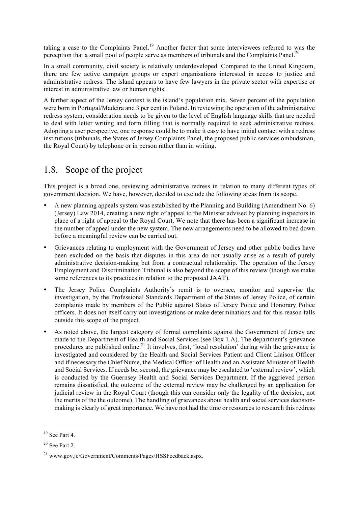taking a case to the Complaints Panel.<sup>19</sup> Another factor that some interviewees referred to was the perception that a small pool of people serve as members of tribunals and the Complaints Panel.<sup>20</sup>

In a small community, civil society is relatively underdeveloped. Compared to the United Kingdom, there are few active campaign groups or expert organisations interested in access to justice and administrative redress. The island appears to have few lawyers in the private sector with expertise or interest in administrative law or human rights.

A further aspect of the Jersey context is the island's population mix. Seven percent of the population were born in Portugal/Madeira and 3 per cent in Poland. In reviewing the operation of the administrative redress system, consideration needs to be given to the level of English language skills that are needed to deal with letter writing and form filling that is normally required to seek administrative redress. Adopting a user perspective, one response could be to make it easy to have initial contact with a redress institutions (tribunals, the States of Jersey Complaints Panel, the proposed public services ombudsman, the Royal Court) by telephone or in person rather than in writing.

# 1.8. Scope of the project

This project is a broad one, reviewing administrative redress in relation to many different types of government decision. We have, however, decided to exclude the following areas from its scope.

- A new planning appeals system was established by the Planning and Building (Amendment No. 6) (Jersey) Law 2014, creating a new right of appeal to the Minister advised by planning inspectors in place of a right of appeal to the Royal Court. We note that there has been a significant increase in the number of appeal under the new system. The new arrangements need to be allowed to bed down before a meaningful review can be carried out.
- Grievances relating to employment with the Government of Jersey and other public bodies have been excluded on the basis that disputes in this area do not usually arise as a result of purely administrative decision-making but from a contractual relationship. The operation of the Jersey Employment and Discrimination Tribunal is also beyond the scope of this review (though we make some references to its practices in relation to the proposed JAAT).
- The Jersey Police Complaints Authority's remit is to oversee, monitor and supervise the investigation, by the Professional Standards Department of the States of Jersey Police, of certain complaints made by members of the Public against States of Jersey Police and Honorary Police officers. It does not itself carry out investigations or make determinations and for this reason falls outside this scope of the project.
- As noted above, the largest category of formal complaints against the Government of Jersey are made to the Department of Health and Social Services (see Box 1.A). The department's grievance procedures are published online.<sup>21</sup> It involves, first, 'local resolution' during with the grievance is investigated and considered by the Health and Social Services Patient and Client Liaison Officer and if necessary the Chief Nurse, the Medical Officer of Health and an Assistant Minister of Health and Social Services. If needs be, second, the grievance may be escalated to 'external review', which is conducted by the Guernsey Health and Social Services Department. If the aggrieved person remains dissatisfied, the outcome of the external review may be challenged by an application for judicial review in the Royal Court (though this can consider only the legality of the decision, not the merits of the the outcome). The handling of grievances about health and social services decisionmaking is clearly of great importance. We have not had the time or resources to research this redress

 $\overline{a}$ 

 $19$  See Part 4.

 $20$  See Part 2.

<sup>21</sup> www.gov.je/Government/Comments/Pages/HSSFeedback.aspx.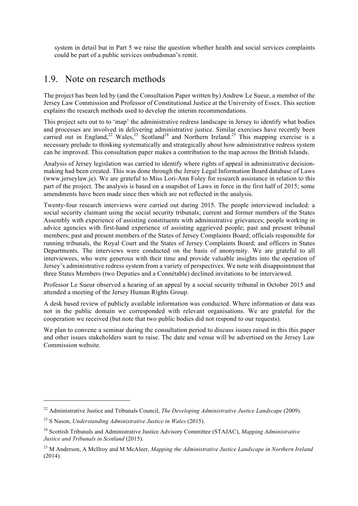system in detail but in Part 5 we raise the question whether health and social services complaints could be part of a public services ombudsman's remit.

### 1.9. Note on research methods

The project has been led by (and the Consultation Paper written by) Andrew Le Sueur, a member of the Jersey Law Commission and Professor of Constitutional Justice at the University of Essex. This section explains the research methods used to develop the interim recommendations.

This project sets out to to 'map' the administrative redress landscape in Jersey to identify what bodies and processes are involved in delivering administrative justice. Similar exercises have recently been carried out in England, $2^2$  Wales, $2^3$  Scotland<sup>24</sup> and Northern Ireland.<sup>25</sup> This mapping exercise is a necessary prelude to thinking systematically and strategically about how administrative redress system can be improved. This consultation paper makes a contribution to the map across the British Islands.

Analysis of Jersey legislation was carried to identify where rights of appeal in administrative decisionmaking had been created. This was done through the Jersey Legal Information Board database of Laws (www.jerseylaw.je). We are grateful to Miss Lori-Ann Foley for research assistance in relation to this part of the project. The analysis is based on a snapshot of Laws in force in the first half of 2015; some amendments have been made since then which are not reflected in the analysis.

Twenty-four research interviews were carried out during 2015. The people interviewed included: a social security claimant using the social security tribunals; current and former members of the States Assembly with experience of assisting constituents with administrative grievances; people working in advice agencies with first-hand experience of assisting aggrieved people; past and present tribunal members; past and present members of the States of Jersey Complaints Board; officials responsible for running tribunals, the Royal Court and the States of Jersey Complaints Board; and officers in States Departments. The interviews were conducted on the basis of anonymity. We are grateful to all interviewees, who were generous with their time and provide valuable insights into the operation of Jersey's administrative redress system from a variety of perspectives. We note with disappointment that three States Members (two Deputies and a Connétable) declined invitations to be interviewed.

Professor Le Sueur observed a hearing of an appeal by a social security tribunal in October 2015 and attended a meeting of the Jersey Human Rights Group.

A desk based review of publicly available information was conducted. Where information or data was not in the public domain we corresponded with relevant organisations. We are grateful for the cooperation we received (but note that two public bodies did not respond to our requests).

We plan to convene a seminar during the consultation period to discuss issues raised in this this paper and other issues stakeholders want to raise. The date and venue will be advertised on the Jersey Law Commission website.

<sup>22</sup> Administrative Justice and Tribunals Council, *The Developing Administrative Justice Landscape* (2009).

<sup>23</sup> S Nason, *Understanding Administrative Justice in Wales* (2015).

<sup>24</sup> Scottish Tribunals and Administrative Justice Advisory Committee (STAJAC), *Mapping Administrative Justice and Tribunals in Scotland* (2015).

<sup>25</sup> M Anderson, A McIlroy and M McAleer, *Mapping the Administrative Justice Landscape in Northern Ireland* (2014).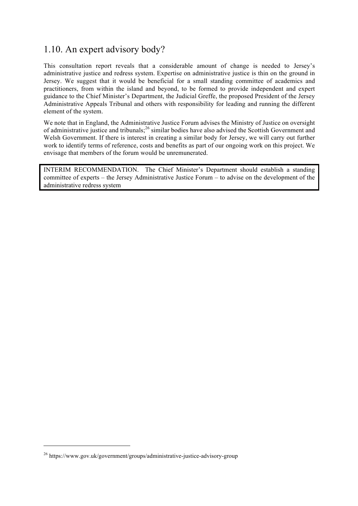# 1.10. An expert advisory body?

This consultation report reveals that a considerable amount of change is needed to Jersey's administrative justice and redress system. Expertise on administrative justice is thin on the ground in Jersey. We suggest that it would be beneficial for a small standing committee of academics and practitioners, from within the island and beyond, to be formed to provide independent and expert guidance to the Chief Minister's Department, the Judicial Greffe, the proposed President of the Jersey Administrative Appeals Tribunal and others with responsibility for leading and running the different element of the system.

We note that in England, the Administrative Justice Forum advises the Ministry of Justice on oversight of administrative justice and tribunals;<sup>26</sup> similar bodies have also advised the Scottish Government and Welsh Government. If there is interest in creating a similar body for Jersey, we will carry out further work to identify terms of reference, costs and benefits as part of our ongoing work on this project. We envisage that members of the forum would be unremunerated.

INTERIM RECOMMENDATION. The Chief Minister's Department should establish a standing committee of experts – the Jersey Administrative Justice Forum – to advise on the development of the administrative redress system

<sup>26</sup> https://www.gov.uk/government/groups/administrative-justice-advisory-group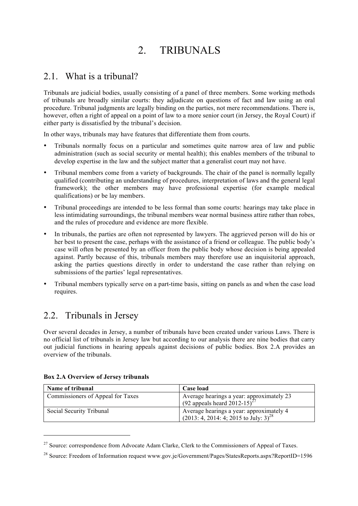# 2. TRIBUNALS

# 2.1 What is a tribunal?

Tribunals are judicial bodies, usually consisting of a panel of three members. Some working methods of tribunals are broadly similar courts: they adjudicate on questions of fact and law using an oral procedure. Tribunal judgments are legally binding on the parties, not mere recommendations. There is, however, often a right of appeal on a point of law to a more senior court (in Jersey, the Royal Court) if either party is dissatisfied by the tribunal's decision.

In other ways, tribunals may have features that differentiate them from courts.

- Tribunals normally focus on a particular and sometimes quite narrow area of law and public administration (such as social security or mental health); this enables members of the tribunal to develop expertise in the law and the subject matter that a generalist court may not have.
- Tribunal members come from a variety of backgrounds. The chair of the panel is normally legally qualified (contributing an understanding of procedures, interpretation of laws and the general legal framework); the other members may have professional expertise (for example medical qualifications) or be lay members.
- Tribunal proceedings are intended to be less formal than some courts: hearings may take place in less intimidating surroundings, the tribunal members wear normal business attire rather than robes, and the rules of procedure and evidence are more flexible.
- In tribunals, the parties are often not represented by lawyers. The aggrieved person will do his or her best to present the case, perhaps with the assistance of a friend or colleague. The public body's case will often be presented by an officer from the public body whose decision is being appealed against. Partly because of this, tribunals members may therefore use an inquisitorial approach, asking the parties questions directly in order to understand the case rather than relying on submissions of the parties' legal representatives.
- Tribunal members typically serve on a part-time basis, sitting on panels as and when the case load requires.

# 2.2. Tribunals in Jersey

Over several decades in Jersey, a number of tribunals have been created under various Laws. There is no official list of tribunals in Jersey law but according to our analysis there are nine bodies that carry out judicial functions in hearing appeals against decisions of public bodies. Box 2.A provides an overview of the tribunals.

| Name of tribunal                  | Case load                                                                                       |
|-----------------------------------|-------------------------------------------------------------------------------------------------|
| Commissioners of Appeal for Taxes | Average hearings a year: approximately 23<br>(92 appeals heard 2012-15) <sup>27</sup>           |
| Social Security Tribunal          | Average hearings a year: approximately 4<br>$(2013: 4, 2014: 4, 2015 \text{ to July: } 3)^{28}$ |

### Box 2.A Overview of Jersey tribunals

<sup>&</sup>lt;sup>27</sup> Source: correspondence from Advocate Adam Clarke, Clerk to the Commissioners of Appeal of Taxes.

<sup>28</sup> Source: Freedom of Information request www.gov.je/Government/Pages/StatesReports.aspx?ReportID=1596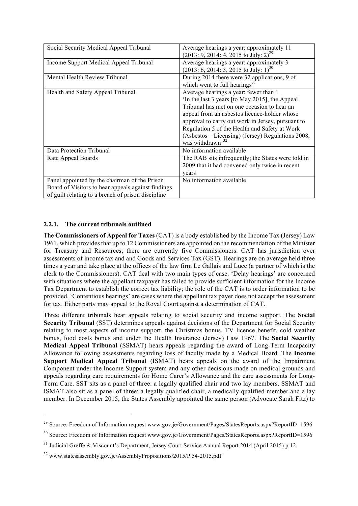| Social Security Medical Appeal Tribunal                                                                                                                   | Average hearings a year: approximately 11<br>$(2013: 9, 2014: 4, 2015 \text{ to July: } 2)^{29}$                                                                                                                                                                                                                                                                                |
|-----------------------------------------------------------------------------------------------------------------------------------------------------------|---------------------------------------------------------------------------------------------------------------------------------------------------------------------------------------------------------------------------------------------------------------------------------------------------------------------------------------------------------------------------------|
| Income Support Medical Appeal Tribunal                                                                                                                    | Average hearings a year: approximately 3<br>$(2013; 6, 2014; 3, 2015$ to July: 1) <sup>30</sup>                                                                                                                                                                                                                                                                                 |
| Mental Health Review Tribunal                                                                                                                             | During 2014 there were 32 applications, 9 of<br>which went to full hearings $31$                                                                                                                                                                                                                                                                                                |
| Health and Safety Appeal Tribunal                                                                                                                         | Average hearings a year: fewer than 1<br>In the last 3 years [to May 2015], the Appeal<br>Tribunal has met on one occasion to hear an<br>appeal from an asbestos licence-holder whose<br>approval to carry out work in Jersey, pursuant to<br>Regulation 5 of the Health and Safety at Work<br>(Asbestos – Licensing) (Jersey) Regulations 2008,<br>was withdrawn <sup>32</sup> |
| Data Protection Tribunal                                                                                                                                  | No information available                                                                                                                                                                                                                                                                                                                                                        |
| Rate Appeal Boards                                                                                                                                        | The RAB sits infrequently; the States were told in<br>2009 that it had convened only twice in recent<br>vears                                                                                                                                                                                                                                                                   |
| Panel appointed by the chairman of the Prison<br>Board of Visitors to hear appeals against findings<br>of guilt relating to a breach of prison discipline | No information available                                                                                                                                                                                                                                                                                                                                                        |

### 2.2.1. The current tribunals outlined

l

The Commissioners of Appeal for Taxes (CAT) is a body established by the Income Tax (Jersey) Law 1961, which provides that up to 12 Commissioners are appointed on the recommendation of the Minister for Treasury and Resources; there are currently five Commissioners. CAT has jurisdiction over assessments of income tax and and Goods and Services Tax (GST). Hearings are on average held three times a year and take place at the offices of the law firm Le Gallais and Luce (a partner of which is the clerk to the Commissioners). CAT deal with two main types of case. 'Delay hearings' are concerned with situations where the appellant taxpayer has failed to provide sufficient information for the Income Tax Department to establish the correct tax liability; the role of the CAT is to order information to be provided. 'Contentious hearings' are cases where the appellant tax payer does not accept the assessment for tax. Either party may appeal to the Royal Court against a determination of CAT.

Three different tribunals hear appeals relating to social security and income support. The Social Security Tribunal (SST) determines appeals against decisions of the Department for Social Security relating to most aspects of income support, the Christmas bonus, TV licence benefit, cold weather bonus, food costs bonus and under the Health Insurance (Jersey) Law 1967. The Social Security Medical Appeal Tribunal (SSMAT) hears appeals regarding the award of Long-Term Incapacity Allowance following assessments regarding loss of faculty made by a Medical Board. The Income Support Medical Appeal Tribunal (ISMAT) hears appeals on the award of the Impairment Component under the Income Support system and any other decisions made on medical grounds and appeals regarding care requirements for Home Carer's Allowance and the care assessments for Long-Term Care. SST sits as a panel of three: a legally qualified chair and two lay members. SSMAT and ISMAT also sit as a panel of three: a legally qualified chair, a medically qualified member and a lay member. In December 2015, the States Assembly appointed the same person (Advocate Sarah Fitz) to

<sup>&</sup>lt;sup>29</sup> Source: Freedom of Information request www.gov.je/Government/Pages/StatesReports.aspx?ReportID=1596

<sup>&</sup>lt;sup>30</sup> Source: Freedom of Information request www.gov.je/Government/Pages/StatesReports.aspx?ReportID=1596

<sup>&</sup>lt;sup>31</sup> Judicial Greffe & Viscount's Department, Jersey Court Service Annual Report 2014 (April 2015) p 12.

<sup>&</sup>lt;sup>32</sup> www.statesassembly.gov.je/AssemblyPropositions/2015/P.54-2015.pdf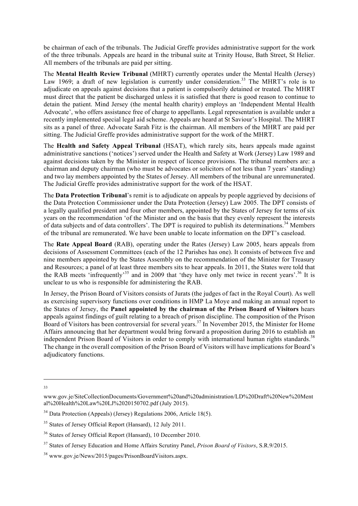be chairman of each of the tribunals. The Judicial Greffe provides administrative support for the work of the three tribunals. Appeals are heard in the tribunal suite at Trinity House, Bath Street, St Helier. All members of the tribunals are paid per sitting.

The Mental Health Review Tribunal (MHRT) currently operates under the Mental Health (Jersey) Law 1969; a draft of new legislation is currently under consideration.<sup>33</sup> The MHRT's role is to adjudicate on appeals against decisions that a patient is compulsorily detained or treated. The MHRT must direct that the patient be discharged unless it is satisfied that there is good reason to continue to detain the patient. Mind Jersey (the mental health charity) employs an 'Independent Mental Health Advocate', who offers assistance free of charge to appellants. Legal representation is available under a recently implemented special legal aid scheme. Appeals are heard at St Saviour's Hospital. The MHRT sits as a panel of three. Advocate Sarah Fitz is the chairman. All members of the MHRT are paid per sitting. The Judicial Greffe provides administrative support for the work of the MHRT.

The Health and Safety Appeal Tribunal (HSAT), which rarely sits, hears appeals made against administrative sanctions ('notices') served under the Health and Safety at Work (Jersey) Law 1989 and against decisions taken by the Minister in respect of licence provisions. The tribunal members are: a chairman and deputy chairman (who must be advocates or solicitors of not less than 7 years' standing) and two lay members appointed by the States of Jersey. All members of the tribunal are unremunerated. The Judicial Greffe provides administrative support for the work of the HSAT.

The Data Protection Tribunal's remit is to adjudicate on appeals by people aggrieved by decisions of the Data Protection Commissioner under the Data Protection (Jersey) Law 2005. The DPT consists of a legally qualified president and four other members, appointed by the States of Jersey for terms of six years on the recommendation 'of the Minister and on the basis that they evenly represent the interests of data subjects and of data controllers'. The DPT is required to publish its determinations.<sup>34</sup> Members of the tribunal are remunerated. We have been unable to locate information on the DPT's caseload.

The Rate Appeal Board (RAB), operating under the Rates (Jersey) Law 2005, hears appeals from decisions of Assessment Committees (each of the 12 Parishes has one). It consists of between five and nine members appointed by the States Assembly on the recommendation of the Minister for Treasury and Resources; a panel of at least three members sits to hear appeals. In 2011, the States were told that the RAB meets 'infrequently'<sup>35</sup> and in 2009 that 'they have only met twice in recent years'.<sup>36</sup> It is unclear to us who is responsible for administering the RAB.

In Jersey, the Prison Board of Visitors consists of Jurats (the judges of fact in the Royal Court). As well as exercising supervisory functions over conditions in HMP La Moye and making an annual report to the States of Jersey, the Panel appointed by the chairman of the Prison Board of Visitors hears appeals against findings of guilt relating to a breach of prison discipline. The composition of the Prison Board of Visitors has been controversial for several years. <sup>37</sup> In November 2015, the Minister for Home Affairs announcing that her department would bring forward a proposition during 2016 to establish an independent Prison Board of Visitors in order to comply with international human rights standards.<sup>38</sup> The change in the overall composition of the Prison Board of Visitors will have implications for Board's adjudicatory functions.

 $\overline{a}$ 33

www.gov.je/SiteCollectionDocuments/Government%20and%20administration/LD%20Draft%20New%20Ment al%20Health%20Law%20LJ%2020150702.pdf (July 2015).

<sup>34</sup> Data Protection (Appeals) (Jersey) Regulations 2006, Article 18(5).

<sup>&</sup>lt;sup>35</sup> States of Jersey Official Report (Hansard), 12 July 2011.

<sup>36</sup> States of Jersey Official Report (Hansard), 10 December 2010.

<sup>37</sup> States of Jersey Education and Home Affairs Scrutiny Panel, *Prison Board of Visitors*, S.R.9/2015.

<sup>38</sup> www.gov.je/News/2015/pages/PrisonBoardVisitors.aspx.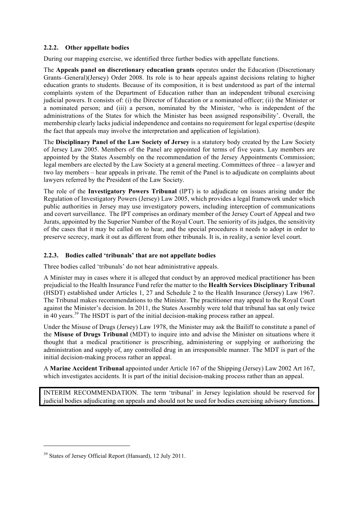### 2.2.2. Other appellate bodies

During our mapping exercise, we identified three further bodies with appellate functions.

The Appeals panel on discretionary education grants operates under the Education (Discretionary Grants–General)(Jersey) Order 2008. Its role is to hear appeals against decisions relating to higher education grants to students. Because of its composition, it is best understood as part of the internal complaints system of the Department of Education rather than an independent tribunal exercising judicial powers. It consists of: (i) the Director of Education or a nominated officer; (ii) the Minister or a nominated person; and (iii) a person, nominated by the Minister, 'who is independent of the administrations of the States for which the Minister has been assigned responsibility'. Overall, the membership clearly lacks judicial independence and contains no requirement for legal expertise (despite the fact that appeals may involve the interpretation and application of legislation).

The Disciplinary Panel of the Law Society of Jersey is a statutory body created by the Law Society of Jersey Law 2005. Members of the Panel are appointed for terms of five years. Lay members are appointed by the States Assembly on the recommendation of the Jersey Appointments Commission; legal members are elected by the Law Society at a general meeting. Committees of three – a lawyer and two lay members – hear appeals in private. The remit of the Panel is to adjudicate on complaints about lawyers referred by the President of the Law Society.

The role of the Investigatory Powers Tribunal (IPT) is to adjudicate on issues arising under the Regulation of Investigatory Powers (Jersey) Law 2005, which provides a legal framework under which public authorities in Jersey may use investigatory powers, including interception of communications and covert surveillance. The IPT comprises an ordinary member of the Jersey Court of Appeal and two Jurats, appointed by the Superior Number of the Royal Court. The seniority of its judges, the sensitivity of the cases that it may be called on to hear, and the special procedures it needs to adopt in order to preserve secrecy, mark it out as different from other tribunals. It is, in reality, a senior level court.

### 2.2.3. Bodies called 'tribunals' that are not appellate bodies

Three bodies called 'tribunals' do not hear administrative appeals.

A Minister may in cases where it is alleged that conduct by an approved medical practitioner has been prejudicial to the Health Insurance Fund refer the matter to the Health Services Disciplinary Tribunal (HSDT) established under Articles 1, 27 and Schedule 2 to the Health Insurance (Jersey) Law 1967. The Tribunal makes recommendations to the Minister. The practitioner may appeal to the Royal Court against the Minister's decision. In 2011, the States Assembly were told that tribunal has sat only twice in 40 years.<sup>39</sup> The HSDT is part of the initial decision-making process rather an appeal.

Under the Misuse of Drugs (Jersey) Law 1978, the Minister may ask the Bailiff to constitute a panel of the Misuse of Drugs Tribunal (MDT) to inquire into and advise the Minister on situations where it thought that a medical practitioner is prescribing, administering or supplying or authorizing the administration and supply of, any controlled drug in an irresponsible manner. The MDT is part of the initial decision-making process rather an appeal.

A Marine Accident Tribunal appointed under Article 167 of the Shipping (Jersey) Law 2002 Art 167, which investigates accidents. It is part of the initial decision-making process rather than an appeal.

INTERIM RECOMMENDATION. The term 'tribunal' in Jersey legislation should be reserved for judicial bodies adjudicating on appeals and should not be used for bodies exercising advisory functions.

<sup>&</sup>lt;sup>39</sup> States of Jersey Official Report (Hansard), 12 July 2011.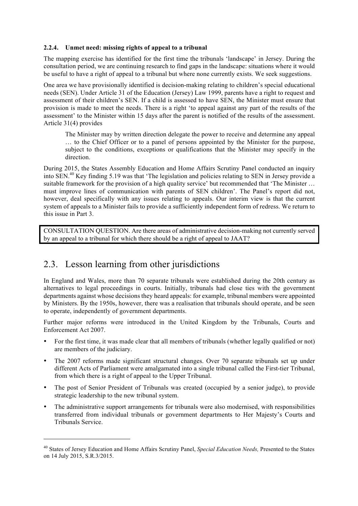### 2.2.4. Unmet need: missing rights of appeal to a tribunal

The mapping exercise has identified for the first time the tribunals 'landscape' in Jersey. During the consultation period, we are continuing research to find gaps in the landscape: situations where it would be useful to have a right of appeal to a tribunal but where none currently exists. We seek suggestions.

One area we have provisionally identified is decision-making relating to children's special educational needs (SEN). Under Article 31 of the Education (Jersey) Law 1999, parents have a right to request and assessment of their children's SEN. If a child is assessed to have SEN, the Minister must ensure that provision is made to meet the needs. There is a right 'to appeal against any part of the results of the assessment' to the Minister within 15 days after the parent is notified of the results of the assessment. Article 31(4) provides

The Minister may by written direction delegate the power to receive and determine any appeal … to the Chief Officer or to a panel of persons appointed by the Minister for the purpose, subject to the conditions, exceptions or qualifications that the Minister may specify in the direction.

During 2015, the States Assembly Education and Home Affairs Scrutiny Panel conducted an inquiry into SEN.<sup>40</sup> Key finding 5.19 was that 'The legislation and policies relating to SEN in Jersey provide a suitable framework for the provision of a high quality service' but recommended that 'The Minister ... must improve lines of communication with parents of SEN children'. The Panel's report did not, however, deal specifically with any issues relating to appeals. Our interim view is that the current system of appeals to a Minister fails to provide a sufficiently independent form of redress. We return to this issue in Part 3.

CONSULTATION QUESTION. Are there areas of administrative decision-making not currently served by an appeal to a tribunal for which there should be a right of appeal to JAAT?

# 2.3. Lesson learning from other jurisdictions

l

In England and Wales, more than 70 separate tribunals were established during the 20th century as alternatives to legal proceedings in courts. Initially, tribunals had close ties with the government departments against whose decisions they heard appeals: for example, tribunal members were appointed by Ministers. By the 1950s, however, there was a realisation that tribunals should operate, and be seen to operate, independently of government departments.

Further major reforms were introduced in the United Kingdom by the Tribunals, Courts and Enforcement Act 2007.

- For the first time, it was made clear that all members of tribunals (whether legally qualified or not) are members of the judiciary.
- The 2007 reforms made significant structural changes. Over 70 separate tribunals set up under different Acts of Parliament were amalgamated into a single tribunal called the First-tier Tribunal, from which there is a right of appeal to the Upper Tribunal.
- The post of Senior President of Tribunals was created (occupied by a senior judge), to provide strategic leadership to the new tribunal system.
- The administrative support arrangements for tribunals were also modernised, with responsibilities transferred from individual tribunals or government departments to Her Majesty's Courts and Tribunals Service.

<sup>40</sup> States of Jersey Education and Home Affairs Scrutiny Panel, *Special Education Needs,* Presented to the States on 14 July 2015, S.R.3/2015.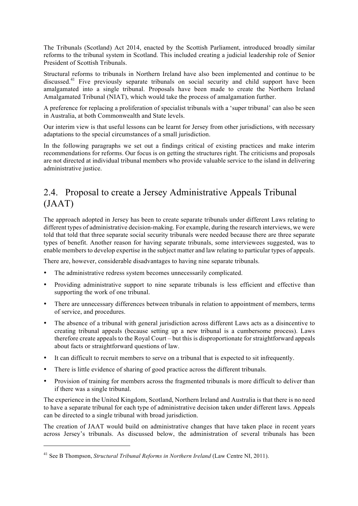The Tribunals (Scotland) Act 2014, enacted by the Scottish Parliament, introduced broadly similar reforms to the tribunal system in Scotland. This included creating a judicial leadership role of Senior President of Scottish Tribunals.

Structural reforms to tribunals in Northern Ireland have also been implemented and continue to be discussed.<sup>41</sup> Five previously separate tribunals on social security and child support have been amalgamated into a single tribunal. Proposals have been made to create the Northern Ireland Amalgamated Tribunal (NIAT), which would take the process of amalgamation further.

A preference for replacing a proliferation of specialist tribunals with a 'super tribunal' can also be seen in Australia, at both Commonwealth and State levels.

Our interim view is that useful lessons can be learnt for Jersey from other jurisdictions, with necessary adaptations to the special circumstances of a small jurisdiction.

In the following paragraphs we set out a findings critical of existing practices and make interim recommendations for reforms. Our focus is on getting the structures right. The criticisms and proposals are not directed at individual tribunal members who provide valuable service to the island in delivering administrative justice.

# 2.4. Proposal to create a Jersey Administrative Appeals Tribunal (JAAT)

The approach adopted in Jersey has been to create separate tribunals under different Laws relating to different types of administrative decision-making. For example, during the research interviews, we were told that told that three separate social security tribunals were needed because there are three separate types of benefit. Another reason for having separate tribunals, some interviewees suggested, was to enable members to develop expertise in the subject matter and law relating to particular types of appeals.

There are, however, considerable disadvantages to having nine separate tribunals.

- The administrative redress system becomes unnecessarily complicated.
- Providing administrative support to nine separate tribunals is less efficient and effective than supporting the work of one tribunal.
- There are unnecessary differences between tribunals in relation to appointment of members, terms of service, and procedures.
- The absence of a tribunal with general jurisdiction across different Laws acts as a disincentive to creating tribunal appeals (because setting up a new tribunal is a cumbersome process). Laws therefore create appeals to the Royal Court – but this is disproportionate for straightforward appeals about facts or straightforward questions of law.
- It can difficult to recruit members to serve on a tribunal that is expected to sit infrequently.
- There is little evidence of sharing of good practice across the different tribunals.
- Provision of training for members across the fragmented tribunals is more difficult to deliver than if there was a single tribunal.

The experience in the United Kingdom, Scotland, Northern Ireland and Australia is that there is no need to have a separate tribunal for each type of administrative decision taken under different laws. Appeals can be directed to a single tribunal with broad jurisdiction.

The creation of JAAT would build on administrative changes that have taken place in recent years across Jersey's tribunals. As discussed below, the administration of several tribunals has been

<sup>41</sup> See B Thompson, *Structural Tribunal Reforms in Northern Ireland* (Law Centre NI, 2011).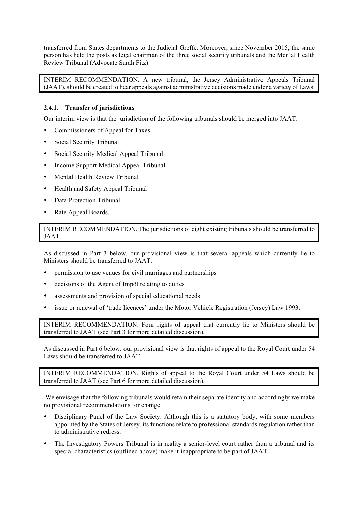transferred from States departments to the Judicial Greffe. Moreover, since November 2015, the same person has held the posts as legal chairman of the three social security tribunals and the Mental Health Review Tribunal (Advocate Sarah Fitz).

INTERIM RECOMMENDATION. A new tribunal, the Jersey Administrative Appeals Tribunal (JAAT), should be created to hear appeals against administrative decisions made under a variety of Laws.

### 2.4.1. Transfer of jurisdictions

Our interim view is that the jurisdiction of the following tribunals should be merged into JAAT:

- Commissioners of Appeal for Taxes
- Social Security Tribunal
- Social Security Medical Appeal Tribunal
- Income Support Medical Appeal Tribunal
- Mental Health Review Tribunal
- Health and Safety Appeal Tribunal
- Data Protection Tribunal
- Rate Appeal Boards.

INTERIM RECOMMENDATION. The jurisdictions of eight existing tribunals should be transferred to JAAT.

As discussed in Part 3 below, our provisional view is that several appeals which currently lie to Ministers should be transferred to JAAT:

- permission to use venues for civil marriages and partnerships
- decisions of the Agent of Impôt relating to duties
- assessments and provision of special educational needs
- issue or renewal of 'trade licences' under the Motor Vehicle Registration (Jersey) Law 1993.

INTERIM RECOMMENDATION. Four rights of appeal that currently lie to Ministers should be transferred to JAAT (see Part 3 for more detailed discussion).

As discussed in Part 6 below, our provisional view is that rights of appeal to the Royal Court under 54 Laws should be transferred to JAAT.

INTERIM RECOMMENDATION. Rights of appeal to the Royal Court under 54 Laws should be transferred to JAAT (see Part 6 for more detailed discussion).

We envisage that the following tribunals would retain their separate identity and accordingly we make no provisional recommendations for change:

- Disciplinary Panel of the Law Society. Although this is a statutory body, with some members appointed by the States of Jersey, its functions relate to professional standards regulation rather than to administrative redress.
- The Investigatory Powers Tribunal is in reality a senior-level court rather than a tribunal and its special characteristics (outlined above) make it inappropriate to be part of JAAT.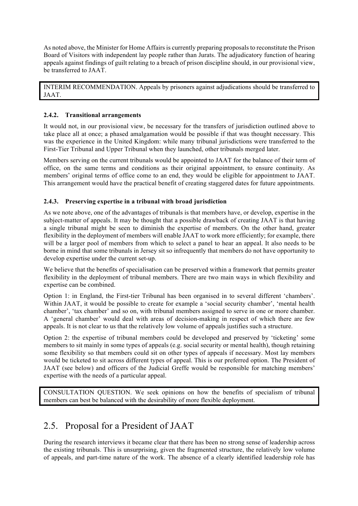As noted above, the Minister for Home Affairs is currently preparing proposals to reconstitute the Prison Board of Visitors with independent lay people rather than Jurats. The adjudicatory function of hearing appeals against findings of guilt relating to a breach of prison discipline should, in our provisional view, be transferred to JAAT.

INTERIM RECOMMENDATION. Appeals by prisoners against adjudications should be transferred to JAAT.

### 2.4.2. Transitional arrangements

It would not, in our provisional view, be necessary for the transfers of jurisdiction outlined above to take place all at once; a phased amalgamation would be possible if that was thought necessary. This was the experience in the United Kingdom: while many tribunal jurisdictions were transferred to the First-Tier Tribunal and Upper Tribunal when they launched, other tribunals merged later.

Members serving on the current tribunals would be appointed to JAAT for the balance of their term of office, on the same terms and conditions as their original appointment, to ensure continuity. As members' original terms of office come to an end, they would be eligible for appointment to JAAT. This arrangement would have the practical benefit of creating staggered dates for future appointments.

### 2.4.3. Preserving expertise in a tribunal with broad jurisdiction

As we note above, one of the advantages of tribunals is that members have, or develop, expertise in the subject-matter of appeals. It may be thought that a possible drawback of creating JAAT is that having a single tribunal might be seen to diminish the expertise of members. On the other hand, greater flexibility in the deployment of members will enable JAAT to work more efficiently; for example, there will be a larger pool of members from which to select a panel to hear an appeal. It also needs to be borne in mind that some tribunals in Jersey sit so infrequently that members do not have opportunity to develop expertise under the current set-up.

We believe that the benefits of specialisation can be preserved within a framework that permits greater flexibility in the deployment of tribunal members. There are two main ways in which flexibility and expertise can be combined.

Option 1: in England, the First-tier Tribunal has been organised in to several different 'chambers'. Within JAAT, it would be possible to create for example a 'social security chamber', 'mental health chamber', 'tax chamber' and so on, with tribunal members assigned to serve in one or more chamber. A 'general chamber' would deal with areas of decision-making in respect of which there are few appeals. It is not clear to us that the relatively low volume of appeals justifies such a structure.

Option 2: the expertise of tribunal members could be developed and preserved by 'ticketing' some members to sit mainly in some types of appeals (e.g. social security or mental health), though retaining some flexibility so that members could sit on other types of appeals if necessary. Most lay members would be ticketed to sit across different types of appeal. This is our preferred option. The President of JAAT (see below) and officers of the Judicial Greffe would be responsible for matching members' expertise with the needs of a particular appeal.

CONSULTATION QUESTION. We seek opinions on how the benefits of specialism of tribunal members can best be balanced with the desirability of more flexible deployment.

# 2.5. Proposal for a President of JAAT

During the research interviews it became clear that there has been no strong sense of leadership across the existing tribunals. This is unsurprising, given the fragmented structure, the relatively low volume of appeals, and part-time nature of the work. The absence of a clearly identified leadership role has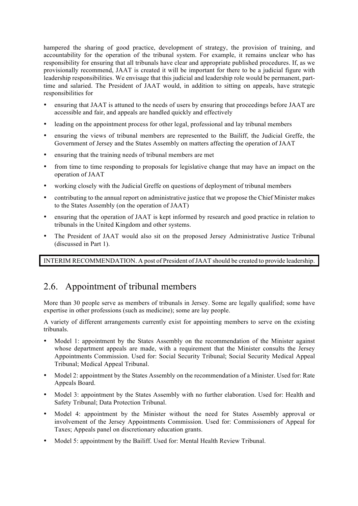hampered the sharing of good practice, development of strategy, the provision of training, and accountability for the operation of the tribunal system. For example, it remains unclear who has responsibility for ensuring that all tribunals have clear and appropriate published procedures. If, as we provisionally recommend, JAAT is created it will be important for there to be a judicial figure with leadership responsibilities. We envisage that this judicial and leadership role would be permanent, parttime and salaried. The President of JAAT would, in addition to sitting on appeals, have strategic responsibilities for

- ensuring that JAAT is attuned to the needs of users by ensuring that proceedings before JAAT are accessible and fair, and appeals are handled quickly and effectively
- leading on the appointment process for other legal, professional and lay tribunal members
- ensuring the views of tribunal members are represented to the Bailiff, the Judicial Greffe, the Government of Jersey and the States Assembly on matters affecting the operation of JAAT
- ensuring that the training needs of tribunal members are met
- from time to time responding to proposals for legislative change that may have an impact on the operation of JAAT
- working closely with the Judicial Greffe on questions of deployment of tribunal members
- contributing to the annual report on administrative justice that we propose the Chief Minister makes to the States Assembly (on the operation of JAAT)
- ensuring that the operation of JAAT is kept informed by research and good practice in relation to tribunals in the United Kingdom and other systems.
- The President of JAAT would also sit on the proposed Jersey Administrative Justice Tribunal (discussed in Part 1).

INTERIM RECOMMENDATION. A post of President of JAAT should be created to provide leadership.

# 2.6. Appointment of tribunal members

More than 30 people serve as members of tribunals in Jersey. Some are legally qualified; some have expertise in other professions (such as medicine); some are lay people.

A variety of different arrangements currently exist for appointing members to serve on the existing tribunals.

- Model 1: appointment by the States Assembly on the recommendation of the Minister against whose department appeals are made, with a requirement that the Minister consults the Jersey Appointments Commission. Used for: Social Security Tribunal; Social Security Medical Appeal Tribunal; Medical Appeal Tribunal.
- Model 2: appointment by the States Assembly on the recommendation of a Minister. Used for: Rate Appeals Board.
- Model 3: appointment by the States Assembly with no further elaboration. Used for: Health and Safety Tribunal; Data Protection Tribunal.
- Model 4: appointment by the Minister without the need for States Assembly approval or involvement of the Jersey Appointments Commission. Used for: Commissioners of Appeal for Taxes; Appeals panel on discretionary education grants.
- Model 5: appointment by the Bailiff. Used for: Mental Health Review Tribunal.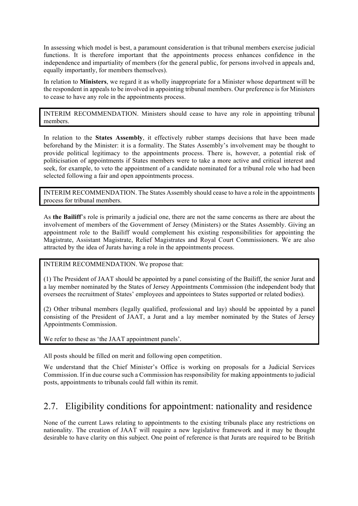In assessing which model is best, a paramount consideration is that tribunal members exercise judicial functions. It is therefore important that the appointments process enhances confidence in the independence and impartiality of members (for the general public, for persons involved in appeals and, equally importantly, for members themselves).

In relation to Ministers, we regard it as wholly inappropriate for a Minister whose department will be the respondent in appeals to be involved in appointing tribunal members. Our preference is for Ministers to cease to have any role in the appointments process.

INTERIM RECOMMENDATION. Ministers should cease to have any role in appointing tribunal members.

In relation to the States Assembly, it effectively rubber stamps decisions that have been made beforehand by the Minister: it is a formality. The States Assembly's involvement may be thought to provide political legitimacy to the appointments process. There is, however, a potential risk of politicisation of appointments if States members were to take a more active and critical interest and seek, for example, to veto the appointment of a candidate nominated for a tribunal role who had been selected following a fair and open appointments process.

INTERIM RECOMMENDATION. The States Assembly should cease to have a role in the appointments process for tribunal members.

As the Bailiff's role is primarily a judicial one, there are not the same concerns as there are about the involvement of members of the Government of Jersey (Ministers) or the States Assembly. Giving an appointment role to the Bailiff would complement his existing responsibilities for appointing the Magistrate, Assistant Magistrate, Relief Magistrates and Royal Court Commissioners. We are also attracted by the idea of Jurats having a role in the appointments process.

INTERIM RECOMMENDATION. We propose that:

(1) The President of JAAT should be appointed by a panel consisting of the Bailiff, the senior Jurat and a lay member nominated by the States of Jersey Appointments Commission (the independent body that oversees the recruitment of States' employees and appointees to States supported or related bodies).

(2) Other tribunal members (legally qualified, professional and lay) should be appointed by a panel consisting of the President of JAAT, a Jurat and a lay member nominated by the States of Jersey Appointments Commission.

We refer to these as 'the JAAT appointment panels'.

All posts should be filled on merit and following open competition.

We understand that the Chief Minister's Office is working on proposals for a Judicial Services Commission. If in due course such a Commission has responsibility for making appointments to judicial posts, appointments to tribunals could fall within its remit.

# 2.7. Eligibility conditions for appointment: nationality and residence

None of the current Laws relating to appointments to the existing tribunals place any restrictions on nationality. The creation of JAAT will require a new legislative framework and it may be thought desirable to have clarity on this subject. One point of reference is that Jurats are required to be British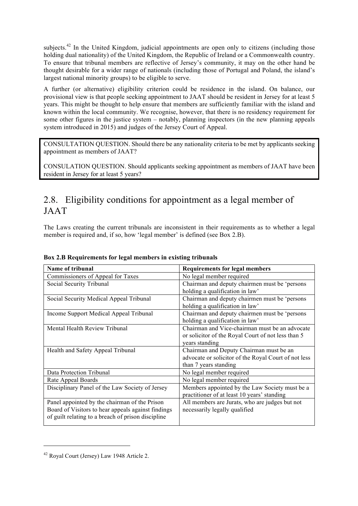subjects.<sup>42</sup> In the United Kingdom, judicial appointments are open only to citizens (including those holding dual nationality) of the United Kingdom, the Republic of Ireland or a Commonwealth country. To ensure that tribunal members are reflective of Jersey's community, it may on the other hand be thought desirable for a wider range of nationals (including those of Portugal and Poland, the island's largest national minority groups) to be eligible to serve.

A further (or alternative) eligibility criterion could be residence in the island. On balance, our provisional view is that people seeking appointment to JAAT should be resident in Jersey for at least 5 years. This might be thought to help ensure that members are sufficiently familiar with the island and known within the local community. We recognise, however, that there is no residency requirement for some other figures in the justice system – notably, planning inspectors (in the new planning appeals system introduced in 2015) and judges of the Jersey Court of Appeal.

CONSULTATION QUESTION. Should there be any nationality criteria to be met by applicants seeking appointment as members of JAAT?

CONSULATION QUESTION. Should applicants seeking appointment as members of JAAT have been resident in Jersey for at least 5 years?

# 2.8. Eligibility conditions for appointment as a legal member of JAAT

The Laws creating the current tribunals are inconsistent in their requirements as to whether a legal member is required and, if so, how 'legal member' is defined (see Box 2.B).

| <b>Name of tribunal</b>                            | <b>Requirements for legal members</b>                |
|----------------------------------------------------|------------------------------------------------------|
| Commissioners of Appeal for Taxes                  | No legal member required                             |
| Social Security Tribunal                           | Chairman and deputy chairmen must be 'persons        |
|                                                    | holding a qualification in law'                      |
| Social Security Medical Appeal Tribunal            | Chairman and deputy chairmen must be 'persons        |
|                                                    | holding a qualification in law'                      |
| Income Support Medical Appeal Tribunal             | Chairman and deputy chairmen must be 'persons        |
|                                                    | holding a qualification in law'                      |
| Mental Health Review Tribunal                      | Chairman and Vice-chairman must be an advocate       |
|                                                    | or solicitor of the Royal Court of not less than 5   |
|                                                    | years standing                                       |
| Health and Safety Appeal Tribunal                  | Chairman and Deputy Chairman must be an              |
|                                                    | advocate or solicitor of the Royal Court of not less |
|                                                    | than 7 years standing                                |
| Data Protection Tribunal                           | No legal member required                             |
| Rate Appeal Boards                                 | No legal member required                             |
| Disciplinary Panel of the Law Society of Jersey    | Members appointed by the Law Society must be a       |
|                                                    | practitioner of at least 10 years' standing          |
| Panel appointed by the chairman of the Prison      | All members are Jurats, who are judges but not       |
| Board of Visitors to hear appeals against findings | necessarily legally qualified                        |
| of guilt relating to a breach of prison discipline |                                                      |
|                                                    |                                                      |

### Box 2.B Requirements for legal members in existing tribunals

<sup>42</sup> Royal Court (Jersey) Law 1948 Article 2.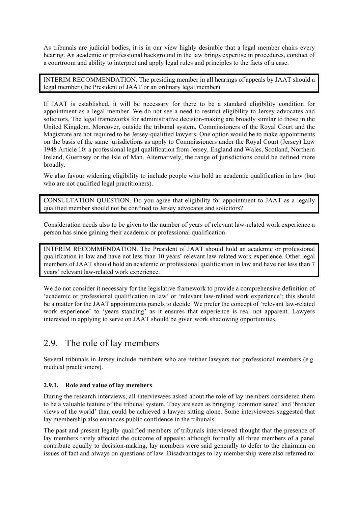As tribunals are judicial bodies, it is in our view highly desirable that a legal member chairs every hearing. An academic or professional background in the law brings expertise in procedures, conduct of a courtroom and ability to interpret and apply legal rules and principles to the facts of a case.

INTERIM RECOMMENDATION. The presiding member in all hearings of appeals by JAAT should a legal member (the President of JAAT or an ordinary legal member).

If JAAT is established, it will be necessary for there to be a standard eligibility condition for appointment as a legal member. We do not see a need to restrict eligibility to Jersey advocates and solicitors. The legal frameworks for administrative decision-making are broadly similar to those in the United Kingdom. Moreover, outside the tribunal system, Commissioners of the Royal Court and the Magistrate are not required to be Jersey-qualified lawyers. One option would be to make appointments on the basis of the same jurisdictions as apply to Commissioners under the Royal Court (Jersey) Law 1948 Article 10: a professional legal qualification from Jersey, England and Wales, Scotland, Northern Ireland, Guernsey or the Isle of Man. Alternatively, the range of jurisdictions could be defined more broadly.

We also favour widening eligibility to include people who hold an academic qualification in law (but who are not qualified legal practitioners).

CONSULTATION QUESTION. Do you agree that eligibility for appointment to JAAT as a legally qualified member should not be confined to Jersey advocates and solicitors?

Consideration needs also to be given to the number of years of relevant law-related work experience a person has since gaining their academic or professional qualification.

INTERIM RECOMMENDATION. The President of JAAT should hold an academic or professional qualification in law and have not less than 10 years' relevant law-related work experience. Other legal members of JAAT should hold an academic or professional qualification in law and have not less than 7 years' relevant law-related work experience.

We do not consider it necessary for the legislative framework to provide a comprehensive definition of 'academic or professional qualification in law' or 'relevant law-related work experience'; this should be a matter for the JAAT appointments panels to decide. We prefer the concept of 'relevant law-related work experience' to 'years standing' as it ensures that experience is real not apparent. Lawyers interested in applying to serve on JAAT should be given work shadowing opportunities.

# 2.9. The role of lay members

Several tribunals in Jersey include members who are neither lawyers nor professional members (e.g. medical practitioners).

### 2.9.1. Role and value of lay members

During the research interviews, all interviewees asked about the role of lay members considered them to be a valuable feature of the tribunal system. They are seen as bringing 'common sense' and 'broader views of the world' than could be achieved a lawyer sitting alone. Some interviewees suggested that lay membership also enhances public confidence in the tribunals.

The past and present legally qualified members of tribunals interviewed thought that the presence of lay members rarely affected the outcome of appeals: although formally all three members of a panel contribute equally to decision-making, lay members were said generally to defer to the chairman on issues of fact and always on questions of law. Disadvantages to lay membership were also referred to: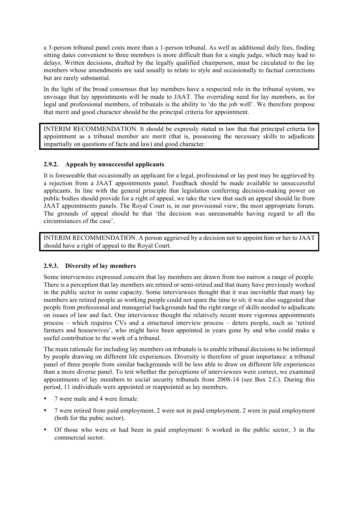a 3-person tribunal panel costs more than a 1-person tribunal. As well as additional daily fees, finding sitting dates convenient to three members is more difficult than for a single judge, which may lead to delays. Written decisions, drafted by the legally qualified chairperson, must be circulated to the lay members whose amendments are said usually to relate to style and occasionally to factual corrections but are rarely substantial.

In the light of the broad consensus that lay members have a respected role in the tribunal system, we envisage that lay appointments will be made to JAAT. The overriding need for lay members, as for legal and professional members, of tribunals is the ability to 'do the job well'. We therefore propose that merit and good character should be the principal criteria for appointment.

INTERIM RECOMMENDATION. It should be expressly stated in law that that principal criteria for appointment as a tribunal member are merit (that is, possessing the necessary skills to adjudicate impartially on questions of facts and law) and good character.

### 2.9.2. Appeals by unsuccessful applicants

It is foreseeable that occasionally an applicant for a legal, professional or lay post may be aggrieved by a rejection from a JAAT appointments panel. Feedback should be made available to unsuccessful applicants. In line with the general principle that legislation conferring decision-making power on public bodies should provide for a right of appeal, we take the view that such an appeal should lie from JAAT appointments panels. The Royal Court is, in our provisional view, the most appropriate forum. The grounds of appeal should be that 'the decision was unreasonable having regard to all the circumstances of the case'.

INTERIM RECOMMENDATION. A person aggrieved by a decision not to appoint him or her to JAAT should have a right of appeal to the Royal Court.

### 2.9.3. Diversity of lay members

Some interviewees expressed concern that lay members are drawn from too narrow a range of people. There is a perception that lay members are retired or semi-retired and that many have previously worked in the public sector in some capacity. Some interviewees thought that it was inevitable that many lay members are retired people as working people could not spare the time to sit; it was also suggested that people from professional and managerial backgrounds had the right range of skills needed to adjudicate on issues of law and fact. One interviewee thought the relatively recent more vigorous appointments process – which requires CVs and a structured interview process – deters people, such as 'retired farmers and housewives', who might have been appointed in years gone by and who could make a useful contribution to the work of a tribunal.

The main rationale for including lay members on tribunals is to enable tribunal decisions to be informed by people drawing on different life experiences. Diversity is therefore of great importance: a tribunal panel of three people from similar backgrounds will be less able to draw on different life experiences than a more diverse panel. To test whether the perceptions of interviewees were correct, we examined appointments of lay members to social security tribunals from 2008-14 (see Box 2.C). During this period, 11 individuals were appointed or reappointed as lay members.

- 7 were male and 4 were female.
- 7 were retired from paid employment, 2 were not in paid employment, 2 were in paid employment (both for the pubic sector).
- Of those who were or had been in paid employment: 6 worked in the public sector, 3 in the commercial sector.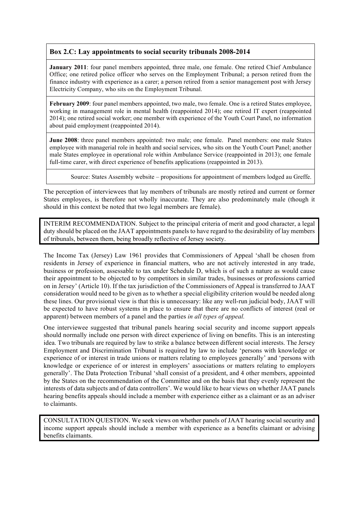### Box 2.C: Lay appointments to social security tribunals 2008-2014

January 2011: four panel members appointed, three male, one female. One retired Chief Ambulance Office; one retired police officer who serves on the Employment Tribunal; a person retired from the finance industry with experience as a carer; a person retired from a senior management post with Jersey Electricity Company, who sits on the Employment Tribunal.

February 2009: four panel members appointed, two male, two female. One is a retired States employee, working in management role in mental health (reappointed 2014); one retired IT expert (reappointed 2014); one retired social worker; one member with experience of the Youth Court Panel, no information about paid employment (reappointed 2014).

June 2008: three panel members appointed: two male; one female. Panel members: one male States employee with managerial role in health and social services, who sits on the Youth Court Panel; another male States employee in operational role within Ambulance Service (reappointed in 2013); one female full-time carer, with direct experience of benefits applications (reappointed in 2013).

Source: States Assembly website – propositions for appointment of members lodged au Greffe.

The perception of interviewees that lay members of tribunals are mostly retired and current or former States employees, is therefore not wholly inaccurate. They are also predominately male (though it should in this context be noted that two legal members are female).

INTERIM RECOMMENDATION. Subject to the principal criteria of merit and good character, a legal duty should be placed on the JAAT appointments panels to have regard to the desirability of lay members of tribunals, between them, being broadly reflective of Jersey society.

The Income Tax (Jersey) Law 1961 provides that Commissioners of Appeal 'shall be chosen from residents in Jersey of experience in financial matters, who are not actively interested in any trade, business or profession, assessable to tax under Schedule D, which is of such a nature as would cause their appointment to be objected to by competitors in similar trades, businesses or professions carried on in Jersey' (Article 10). If the tax jurisdiction of the Commissioners of Appeal is transferred to JAAT consideration would need to be given as to whether a special eligibility criterion would be needed along these lines. Our provisional view is that this is unnecessary: like any well-run judicial body, JAAT will be expected to have robust systems in place to ensure that there are no conflicts of interest (real or apparent) between members of a panel and the parties *in all types of appeal.*

One interviewee suggested that tribunal panels hearing social security and income support appeals should normally include one person with direct experience of living on benefits. This is an interesting idea. Two tribunals are required by law to strike a balance between different social interests. The Jersey Employment and Discrimination Tribunal is required by law to include 'persons with knowledge or experience of or interest in trade unions or matters relating to employees generally' and 'persons with knowledge or experience of or interest in employers' associations or matters relating to employers generally'. The Data Protection Tribunal 'shall consist of a president, and 4 other members, appointed by the States on the recommendation of the Committee and on the basis that they evenly represent the interests of data subjects and of data controllers'. We would like to hear views on whether JAAT panels hearing benefits appeals should include a member with experience either as a claimant or as an adviser to claimants.

CONSULTATION QUESTION. We seek views on whether panels of JAAT hearing social security and income support appeals should include a member with experience as a benefits claimant or advising benefits claimants.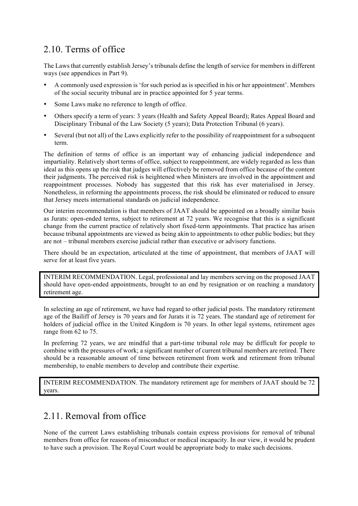# 2.10. Terms of office

The Laws that currently establish Jersey's tribunals define the length of service for members in different ways (see appendices in Part 9).

- A commonly used expression is 'for such period as is specified in his or her appointment'. Members of the social security tribunal are in practice appointed for 5 year terms.
- Some Laws make no reference to length of office.
- Others specify a term of years: 3 years (Health and Safety Appeal Board); Rates Appeal Board and Disciplinary Tribunal of the Law Society (5 years); Data Protection Tribunal (6 years).
- Several (but not all) of the Laws explicitly refer to the possibility of reappointment for a subsequent term.

The definition of terms of office is an important way of enhancing judicial independence and impartiality. Relatively short terms of office, subject to reappointment, are widely regarded as less than ideal as this opens up the risk that judges will effectively be removed from office because of the content their judgments. The perceived risk is heightened when Ministers are involved in the appointment and reappointment processes. Nobody has suggested that this risk has ever materialised in Jersey. Nonetheless, in reforming the appointments process, the risk should be eliminated or reduced to ensure that Jersey meets international standards on judicial independence.

Our interim recommendation is that members of JAAT should be appointed on a broadly similar basis as Jurats: open-ended terms, subject to retirement at 72 years. We recognise that this is a significant change from the current practice of relatively short fixed-term appointments. That practice has arisen because tribunal appointments are viewed as being akin to appointments to other public bodies; but they are not – tribunal members exercise judicial rather than executive or advisory functions.

There should be an expectation, articulated at the time of appointment, that members of JAAT will serve for at least five years.

INTERIM RECOMMENDATION. Legal, professional and lay members serving on the proposed JAAT should have open-ended appointments, brought to an end by resignation or on reaching a mandatory retirement age.

In selecting an age of retirement, we have had regard to other judicial posts. The mandatory retirement age of the Bailiff of Jersey is 70 years and for Jurats it is 72 years. The standard age of retirement for holders of judicial office in the United Kingdom is 70 years. In other legal systems, retirement ages range from 62 to 75.

In preferring 72 years, we are mindful that a part-time tribunal role may be difficult for people to combine with the pressures of work; a significant number of current tribunal members are retired. There should be a reasonable amount of time between retirement from work and retirement from tribunal membership, to enable members to develop and contribute their expertise.

INTERIM RECOMMENDATION. The mandatory retirement age for members of JAAT should be 72 years.

# 2.11. Removal from office

None of the current Laws establishing tribunals contain express provisions for removal of tribunal members from office for reasons of misconduct or medical incapacity. In our view, it would be prudent to have such a provision. The Royal Court would be appropriate body to make such decisions.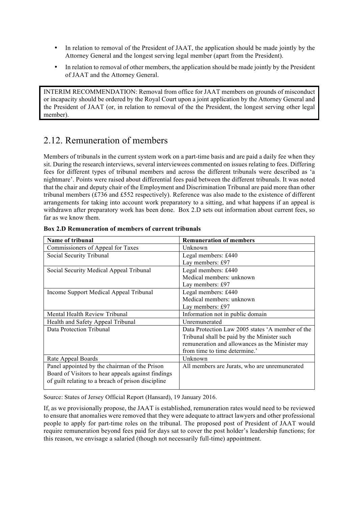- In relation to removal of the President of JAAT, the application should be made jointly by the Attorney General and the longest serving legal member (apart from the President).
- In relation to removal of other members, the application should be made jointly by the President of JAAT and the Attorney General.

INTERIM RECOMMENDATION: Removal from office for JAAT members on grounds of misconduct or incapacity should be ordered by the Royal Court upon a joint application by the Attorney General and the President of JAAT (or, in relation to removal of the the President, the longest serving other legal member).

# 2.12. Remuneration of members

Members of tribunals in the current system work on a part-time basis and are paid a daily fee when they sit. During the research interviews, several interviewees commented on issues relating to fees. Differing fees for different types of tribunal members and across the different tribunals were described as 'a nightmare'. Points were raised about differential fees paid between the different tribunals. It was noted that the chair and deputy chair of the Employment and Discrimination Tribunal are paid more than other tribunal members (£736 and £552 respectively). Reference was also made to the existence of different arrangements for taking into account work preparatory to a sitting, and what happens if an appeal is withdrawn after preparatory work has been done. Box 2.D sets out information about current fees, so far as we know them.

| Name of tribunal                                   | <b>Remuneration of members</b>                   |
|----------------------------------------------------|--------------------------------------------------|
| Commissioners of Appeal for Taxes                  | Unknown                                          |
| Social Security Tribunal                           | Legal members: £440                              |
|                                                    | Lay members: £97                                 |
| Social Security Medical Appeal Tribunal            | Legal members: £440                              |
|                                                    | Medical members: unknown                         |
|                                                    | Lay members: £97                                 |
| Income Support Medical Appeal Tribunal             | Legal members: £440                              |
|                                                    | Medical members: unknown                         |
|                                                    | Lay members: £97                                 |
| Mental Health Review Tribunal                      | Information not in public domain                 |
| Health and Safety Appeal Tribunal                  | Unremunerated                                    |
| Data Protection Tribunal                           | Data Protection Law 2005 states 'A member of the |
|                                                    | Tribunal shall be paid by the Minister such      |
|                                                    | remuneration and allowances as the Minister may  |
|                                                    | from time to time determine.'                    |
| Rate Appeal Boards                                 | Unknown                                          |
| Panel appointed by the chairman of the Prison      | All members are Jurats, who are unremunerated    |
| Board of Visitors to hear appeals against findings |                                                  |
| of guilt relating to a breach of prison discipline |                                                  |
|                                                    |                                                  |

#### Box 2.D Remuneration of members of current tribunals

Source: States of Jersey Official Report (Hansard), 19 January 2016.

If, as we provisionally propose, the JAAT is established, remuneration rates would need to be reviewed to ensure that anomalies were removed that they were adequate to attract lawyers and other professional people to apply for part-time roles on the tribunal. The proposed post of President of JAAT would require remuneration beyond fees paid for days sat to cover the post holder's leadership functions; for this reason, we envisage a salaried (though not necessarily full-time) appointment.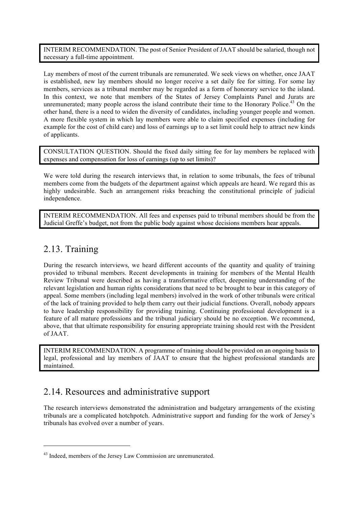INTERIM RECOMMENDATION. The post of Senior President of JAAT should be salaried, though not necessary a full-time appointment.

Lay members of most of the current tribunals are remunerated. We seek views on whether, once JAAT is established, new lay members should no longer receive a set daily fee for sitting. For some lay members, services as a tribunal member may be regarded as a form of honorary service to the island. In this context, we note that members of the States of Jersey Complaints Panel and Jurats are unremunerated; many people across the island contribute their time to the Honorary Police.<sup>43</sup> On the other hand, there is a need to widen the diversity of candidates, including younger people and women. A more flexible system in which lay members were able to claim specified expenses (including for example for the cost of child care) and loss of earnings up to a set limit could help to attract new kinds of applicants.

CONSULTATION QUESTION. Should the fixed daily sitting fee for lay members be replaced with expenses and compensation for loss of earnings (up to set limits)?

We were told during the research interviews that, in relation to some tribunals, the fees of tribunal members come from the budgets of the department against which appeals are heard. We regard this as highly undesirable. Such an arrangement risks breaching the constitutional principle of judicial independence.

INTERIM RECOMMENDATION. All fees and expenses paid to tribunal members should be from the Judicial Greffe's budget, not from the public body against whose decisions members hear appeals.

### 2.13. Training

l

During the research interviews, we heard different accounts of the quantity and quality of training provided to tribunal members. Recent developments in training for members of the Mental Health Review Tribunal were described as having a transformative effect, deepening understanding of the relevant legislation and human rights considerations that need to be brought to bear in this category of appeal. Some members (including legal members) involved in the work of other tribunals were critical of the lack of training provided to help them carry out their judicial functions. Overall, nobody appears to have leadership responsibility for providing training. Continuing professional development is a feature of all mature professions and the tribunal judiciary should be no exception. We recommend, above, that that ultimate responsibility for ensuring appropriate training should rest with the President of JAAT.

INTERIM RECOMMENDATION. A programme of training should be provided on an ongoing basis to legal, professional and lay members of JAAT to ensure that the highest professional standards are maintained.

### 2.14. Resources and administrative support

The research interviews demonstrated the administration and budgetary arrangements of the existing tribunals are a complicated hotchpotch. Administrative support and funding for the work of Jersey's tribunals has evolved over a number of years.

<sup>&</sup>lt;sup>43</sup> Indeed, members of the Jersey Law Commission are unremunerated.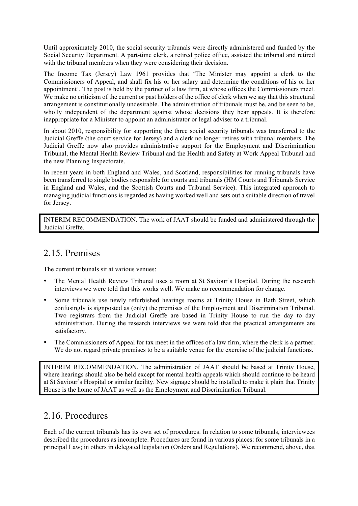Until approximately 2010, the social security tribunals were directly administered and funded by the Social Security Department. A part-time clerk, a retired police office, assisted the tribunal and retired with the tribunal members when they were considering their decision.

The Income Tax (Jersey) Law 1961 provides that 'The Minister may appoint a clerk to the Commissioners of Appeal, and shall fix his or her salary and determine the conditions of his or her appointment'. The post is held by the partner of a law firm, at whose offices the Commissioners meet. We make no criticism of the current or past holders of the office of clerk when we say that this structural arrangement is constitutionally undesirable. The administration of tribunals must be, and be seen to be, wholly independent of the department against whose decisions they hear appeals. It is therefore inappropriate for a Minister to appoint an administrator or legal adviser to a tribunal.

In about 2010, responsibility for supporting the three social security tribunals was transferred to the Judicial Greffe (the court service for Jersey) and a clerk no longer retires with tribunal members. The Judicial Greffe now also provides administrative support for the Employment and Discrimination Tribunal, the Mental Health Review Tribunal and the Health and Safety at Work Appeal Tribunal and the new Planning Inspectorate.

In recent years in both England and Wales, and Scotland, responsibilities for running tribunals have been transferred to single bodies responsible for courts and tribunals (HM Courts and Tribunals Service in England and Wales, and the Scottish Courts and Tribunal Service). This integrated approach to managing judicial functions is regarded as having worked well and sets out a suitable direction of travel for Jersey.

INTERIM RECOMMENDATION. The work of JAAT should be funded and administered through the Judicial Greffe.

### 2.15. Premises

The current tribunals sit at various venues:

- The Mental Health Review Tribunal uses a room at St Saviour's Hospital. During the research interviews we were told that this works well. We make no recommendation for change.
- Some tribunals use newly refurbished hearings rooms at Trinity House in Bath Street, which confusingly is signposted as (only) the premises of the Employment and Discrimination Tribunal. Two registrars from the Judicial Greffe are based in Trinity House to run the day to day administration. During the research interviews we were told that the practical arrangements are satisfactory.
- The Commissioners of Appeal for tax meet in the offices of a law firm, where the clerk is a partner. We do not regard private premises to be a suitable venue for the exercise of the judicial functions.

INTERIM RECOMMENDATION. The administration of JAAT should be based at Trinity House, where hearings should also be held except for mental health appeals which should continue to be heard at St Saviour's Hospital or similar facility. New signage should be installed to make it plain that Trinity House is the home of JAAT as well as the Employment and Discrimination Tribunal.

### 2.16. Procedures

Each of the current tribunals has its own set of procedures. In relation to some tribunals, interviewees described the procedures as incomplete. Procedures are found in various places: for some tribunals in a principal Law; in others in delegated legislation (Orders and Regulations). We recommend, above, that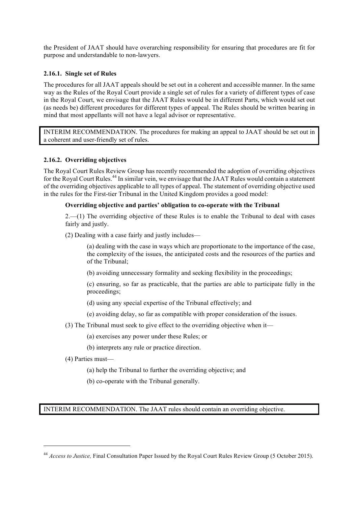the President of JAAT should have overarching responsibility for ensuring that procedures are fit for purpose and understandable to non-lawyers.

#### 2.16.1. Single set of Rules

The procedures for all JAAT appeals should be set out in a coherent and accessible manner. In the same way as the Rules of the Royal Court provide a single set of rules for a variety of different types of case in the Royal Court, we envisage that the JAAT Rules would be in different Parts, which would set out (as needs be) different procedures for different types of appeal. The Rules should be written bearing in mind that most appellants will not have a legal advisor or representative.

INTERIM RECOMMENDATION. The procedures for making an appeal to JAAT should be set out in a coherent and user-friendly set of rules.

#### 2.16.2. Overriding objectives

The Royal Court Rules Review Group has recently recommended the adoption of overriding objectives for the Royal Court Rules.<sup>44</sup> In similar vein, we envisage that the JAAT Rules would contain a statement of the overriding objectives applicable to all types of appeal. The statement of overriding objective used in the rules for the First-tier Tribunal in the United Kingdom provides a good model:

#### Overriding objective and parties' obligation to co-operate with the Tribunal

2.—(1) The overriding objective of these Rules is to enable the Tribunal to deal with cases fairly and justly.

(2) Dealing with a case fairly and justly includes—

(a) dealing with the case in ways which are proportionate to the importance of the case, the complexity of the issues, the anticipated costs and the resources of the parties and of the Tribunal;

(b) avoiding unnecessary formality and seeking flexibility in the proceedings;

(c) ensuring, so far as practicable, that the parties are able to participate fully in the proceedings;

- (d) using any special expertise of the Tribunal effectively; and
- (e) avoiding delay, so far as compatible with proper consideration of the issues.
- (3) The Tribunal must seek to give effect to the overriding objective when it—
	- (a) exercises any power under these Rules; or
	- (b) interprets any rule or practice direction.
- (4) Parties must—

l

- (a) help the Tribunal to further the overriding objective; and
- (b) co-operate with the Tribunal generally.

INTERIM RECOMMENDATION. The JAAT rules should contain an overriding objective.

<sup>&</sup>lt;sup>44</sup> *Access to Justice*, Final Consultation Paper Issued by the Royal Court Rules Review Group (5 October 2015).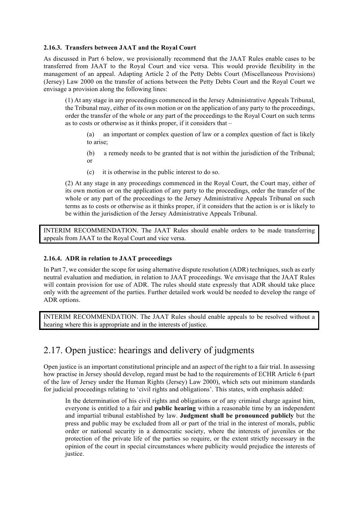#### 2.16.3. Transfers between JAAT and the Royal Court

As discussed in Part 6 below, we provisionally recommend that the JAAT Rules enable cases to be transferred from JAAT to the Royal Court and vice versa. This would provide flexibility in the management of an appeal. Adapting Article 2 of the Petty Debts Court (Miscellaneous Provisions) (Jersey) Law 2000 on the transfer of actions between the Petty Debts Court and the Royal Court we envisage a provision along the following lines:

(1) At any stage in any proceedings commenced in the Jersey Administrative Appeals Tribunal, the Tribunal may, either of its own motion or on the application of any party to the proceedings, order the transfer of the whole or any part of the proceedings to the Royal Court on such terms as to costs or otherwise as it thinks proper, if it considers that –

(a) an important or complex question of law or a complex question of fact is likely to arise;

(b) a remedy needs to be granted that is not within the jurisdiction of the Tribunal; or

(c) it is otherwise in the public interest to do so.

(2) At any stage in any proceedings commenced in the Royal Court, the Court may, either of its own motion or on the application of any party to the proceedings, order the transfer of the whole or any part of the proceedings to the Jersey Administrative Appeals Tribunal on such terms as to costs or otherwise as it thinks proper, if it considers that the action is or is likely to be within the jurisdiction of the Jersey Administrative Appeals Tribunal.

INTERIM RECOMMENDATION. The JAAT Rules should enable orders to be made transferring appeals from JAAT to the Royal Court and vice versa.

#### 2.16.4. ADR in relation to JAAT proceedings

In Part 7, we consider the scope for using alternative dispute resolution (ADR) techniques, such as early neutral evaluation and mediation, in relation to JAAT proceedings. We envisage that the JAAT Rules will contain provision for use of ADR. The rules should state expressly that ADR should take place only with the agreement of the parties. Further detailed work would be needed to develop the range of ADR options.

INTERIM RECOMMENDATION. The JAAT Rules should enable appeals to be resolved without a hearing where this is appropriate and in the interests of justice.

### 2.17. Open justice: hearings and delivery of judgments

Open justice is an important constitutional principle and an aspect of the right to a fair trial. In assessing how practise in Jersey should develop, regard must be had to the requirements of ECHR Article 6 (part of the law of Jersey under the Human Rights (Jersey) Law 2000), which sets out minimum standards for judicial proceedings relating to 'civil rights and obligations'. This states, with emphasis added:

In the determination of his civil rights and obligations or of any criminal charge against him, everyone is entitled to a fair and **public hearing** within a reasonable time by an independent and impartial tribunal established by law. Judgment shall be pronounced publicly but the press and public may be excluded from all or part of the trial in the interest of morals, public order or national security in a democratic society, where the interests of juveniles or the protection of the private life of the parties so require, or the extent strictly necessary in the opinion of the court in special circumstances where publicity would prejudice the interests of justice.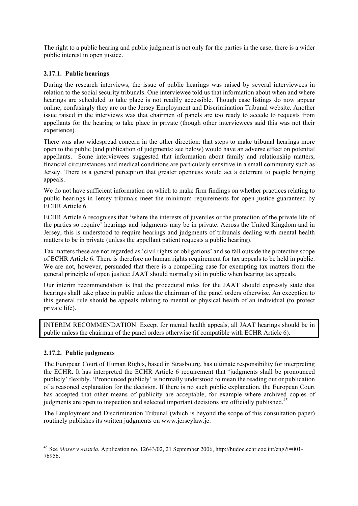The right to a public hearing and public judgment is not only for the parties in the case; there is a wider public interest in open justice.

#### 2.17.1. Public hearings

During the research interviews, the issue of public hearings was raised by several interviewees in relation to the social security tribunals. One interviewee told us that information about when and where hearings are scheduled to take place is not readily accessible. Though case listings do now appear online, confusingly they are on the Jersey Employment and Discrimination Tribunal website. Another issue raised in the interviews was that chairmen of panels are too ready to accede to requests from appellants for the hearing to take place in private (though other interviewees said this was not their experience).

There was also widespread concern in the other direction: that steps to make tribunal hearings more open to the public (and publication of judgments: see below) would have an adverse effect on potential appellants. Some interviewees suggested that information about family and relationship matters, financial circumstances and medical conditions are particularly sensitive in a small community such as Jersey. There is a general perception that greater openness would act a deterrent to people bringing appeals.

We do not have sufficient information on which to make firm findings on whether practices relating to public hearings in Jersey tribunals meet the minimum requirements for open justice guaranteed by ECHR Article 6.

ECHR Article 6 recognises that 'where the interests of juveniles or the protection of the private life of the parties so require' hearings and judgments may be in private. Across the United Kingdom and in Jersey, this is understood to require hearings and judgments of tribunals dealing with mental health matters to be in private (unless the appellant patient requests a public hearing).

Tax matters these are not regarded as 'civil rights or obligations' and so fall outside the protective scope of ECHR Article 6. There is therefore no human rights requirement for tax appeals to be held in public. We are not, however, persuaded that there is a compelling case for exempting tax matters from the general principle of open justice: JAAT should normally sit in public when hearing tax appeals.

Our interim recommendation is that the procedural rules for the JAAT should expressly state that hearings shall take place in public unless the chairman of the panel orders otherwise. An exception to this general rule should be appeals relating to mental or physical health of an individual (to protect private life).

INTERIM RECOMMENDATION. Except for mental health appeals, all JAAT hearings should be in public unless the chairman of the panel orders otherwise (if compatible with ECHR Article 6).

#### 2.17.2. Public judgments

l

The European Court of Human Rights, based in Strasbourg, has ultimate responsibility for interpreting the ECHR. It has interpreted the ECHR Article 6 requirement that 'judgments shall be pronounced publicly' flexibly. 'Pronounced publicly' is normally understood to mean the reading out or publication of a reasoned explanation for the decision. If there is no such public explanation, the European Court has accepted that other means of publicity are acceptable, for example where archived copies of judgments are open to inspection and selected important decisions are officially published.<sup>45</sup>

The Employment and Discrimination Tribunal (which is beyond the scope of this consultation paper) routinely publishes its written judgments on www.jerseylaw.je.

<sup>45</sup> See *Moser v Austria*, Application no. 12643/02, 21 September 2006, http://hudoc.echr.coe.int/eng?i=001- 76956.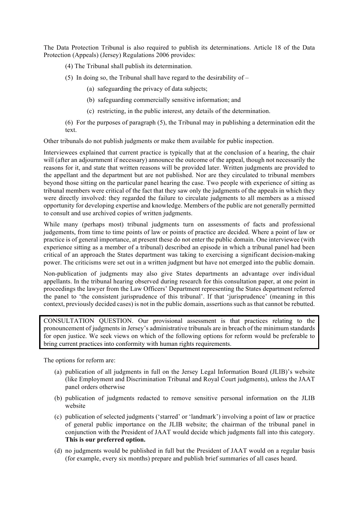The Data Protection Tribunal is also required to publish its determinations. Article 18 of the Data Protection (Appeals) (Jersey) Regulations 2006 provides:

- (4) The Tribunal shall publish its determination.
- (5) In doing so, the Tribunal shall have regard to the desirability of  $-$ 
	- (a) safeguarding the privacy of data subjects;
	- (b) safeguarding commercially sensitive information; and
	- (c) restricting, in the public interest, any details of the determination.
- (6) For the purposes of paragraph (5), the Tribunal may in publishing a determination edit the text.

Other tribunals do not publish judgments or make them available for public inspection.

Interviewees explained that current practice is typically that at the conclusion of a hearing, the chair will (after an adjournment if necessary) announce the outcome of the appeal, though not necessarily the reasons for it, and state that written reasons will be provided later. Written judgments are provided to the appellant and the department but are not published. Nor are they circulated to tribunal members beyond those sitting on the particular panel hearing the case. Two people with experience of sitting as tribunal members were critical of the fact that they saw only the judgments of the appeals in which they were directly involved: they regarded the failure to circulate judgments to all members as a missed opportunity for developing expertise and knowledge. Members of the public are not generally permitted to consult and use archived copies of written judgments.

While many (perhaps most) tribunal judgments turn on assessments of facts and professional judgements, from time to time points of law or points of practice are decided. Where a point of law or practice is of general importance, at present these do not enter the public domain. One interviewee (with experience sitting as a member of a tribunal) described an episode in which a tribunal panel had been critical of an approach the States department was taking to exercising a significant decision-making power. The criticisms were set out in a written judgment but have not emerged into the public domain.

Non-publication of judgments may also give States departments an advantage over individual appellants. In the tribunal hearing observed during research for this consultation paper, at one point in proceedings the lawyer from the Law Officers' Department representing the States department referred the panel to 'the consistent jurisprudence of this tribunal'. If that 'jurisprudence' (meaning in this context, previously decided cases) is not in the public domain, assertions such as that cannot be rebutted.

CONSULTATION QUESTION. Our provisional assessment is that practices relating to the pronouncement of judgments in Jersey's administrative tribunals are in breach of the minimum standards for open justice. We seek views on which of the following options for reform would be preferable to bring current practices into conformity with human rights requirements.

The options for reform are:

- (a) publication of all judgments in full on the Jersey Legal Information Board (JLIB)'s website (like Employment and Discrimination Tribunal and Royal Court judgments), unless the JAAT panel orders otherwise
- (b) publication of judgments redacted to remove sensitive personal information on the JLIB website
- (c) publication of selected judgments ('starred' or 'landmark') involving a point of law or practice of general public importance on the JLIB website; the chairman of the tribunal panel in conjunction with the President of JAAT would decide which judgments fall into this category. This is our preferred option.
- (d) no judgments would be published in full but the President of JAAT would on a regular basis (for example, every six months) prepare and publish brief summaries of all cases heard.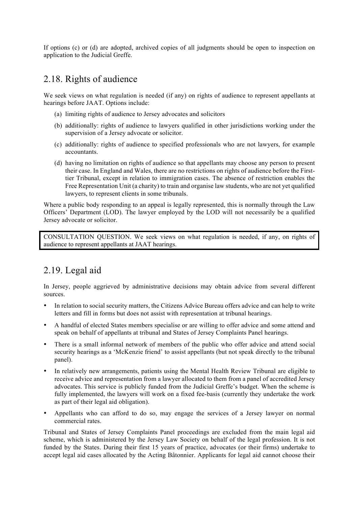If options (c) or (d) are adopted, archived copies of all judgments should be open to inspection on application to the Judicial Greffe.

### 2.18. Rights of audience

We seek views on what regulation is needed (if any) on rights of audience to represent appellants at hearings before JAAT. Options include:

- (a) limiting rights of audience to Jersey advocates and solicitors
- (b) additionally: rights of audience to lawyers qualified in other jurisdictions working under the supervision of a Jersey advocate or solicitor.
- (c) additionally: rights of audience to specified professionals who are not lawyers, for example accountants.
- (d) having no limitation on rights of audience so that appellants may choose any person to present their case. In England and Wales, there are no restrictions on rights of audience before the Firsttier Tribunal, except in relation to immigration cases. The absence of restriction enables the Free Representation Unit (a charity) to train and organise law students, who are not yet qualified lawyers, to represent clients in some tribunals.

Where a public body responding to an appeal is legally represented, this is normally through the Law Officers' Department (LOD). The lawyer employed by the LOD will not necessarily be a qualified Jersey advocate or solicitor.

CONSULTATION QUESTION. We seek views on what regulation is needed, if any, on rights of audience to represent appellants at JAAT hearings.

# 2.19. Legal aid

In Jersey, people aggrieved by administrative decisions may obtain advice from several different sources.

- In relation to social security matters, the Citizens Advice Bureau offers advice and can help to write letters and fill in forms but does not assist with representation at tribunal hearings.
- A handful of elected States members specialise or are willing to offer advice and some attend and speak on behalf of appellants at tribunal and States of Jersey Complaints Panel hearings.
- There is a small informal network of members of the public who offer advice and attend social security hearings as a 'McKenzie friend' to assist appellants (but not speak directly to the tribunal panel).
- In relatively new arrangements, patients using the Mental Health Review Tribunal are eligible to receive advice and representation from a lawyer allocated to them from a panel of accredited Jersey advocates. This service is publicly funded from the Judicial Greffe's budget. When the scheme is fully implemented, the lawyers will work on a fixed fee-basis (currently they undertake the work as part of their legal aid obligation).
- Appellants who can afford to do so, may engage the services of a Jersey lawyer on normal commercial rates.

Tribunal and States of Jersey Complaints Panel proceedings are excluded from the main legal aid scheme, which is administered by the Jersey Law Society on behalf of the legal profession. It is not funded by the States. During their first 15 years of practice, advocates (or their firms) undertake to accept legal aid cases allocated by the Acting Bâtonnier. Applicants for legal aid cannot choose their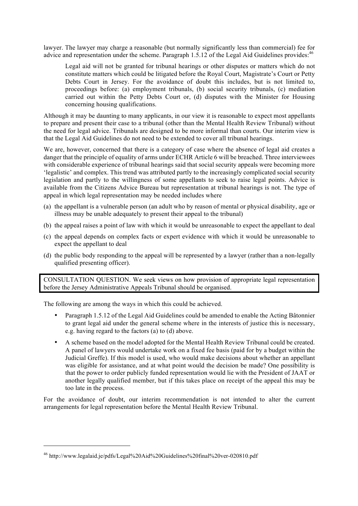lawyer. The lawyer may charge a reasonable (but normally significantly less than commercial) fee for advice and representation under the scheme. Paragraph 1.5.12 of the Legal Aid Guidelines provides:<sup>46</sup>

Legal aid will not be granted for tribunal hearings or other disputes or matters which do not constitute matters which could be litigated before the Royal Court, Magistrate's Court or Petty Debts Court in Jersey. For the avoidance of doubt this includes, but is not limited to, proceedings before: (a) employment tribunals, (b) social security tribunals, (c) mediation carried out within the Petty Debts Court or, (d) disputes with the Minister for Housing concerning housing qualifications.

Although it may be daunting to many applicants, in our view it is reasonable to expect most appellants to prepare and present their case to a tribunal (other than the Mental Health Review Tribunal) without the need for legal advice. Tribunals are designed to be more informal than courts. Our interim view is that the Legal Aid Guidelines do not need to be extended to cover all tribunal hearings.

We are, however, concerned that there is a category of case where the absence of legal aid creates a danger that the principle of equality of arms under ECHR Article 6 will be breached. Three interviewees with considerable experience of tribunal hearings said that social security appeals were becoming more 'legalistic' and complex. This trend was attributed partly to the increasingly complicated social security legislation and partly to the willingness of some appellants to seek to raise legal points. Advice is available from the Citizens Advice Bureau but representation at tribunal hearings is not. The type of appeal in which legal representation may be needed includes where

- (a) the appellant is a vulnerable person (an adult who by reason of mental or physical disability, age or illness may be unable adequately to present their appeal to the tribunal)
- (b) the appeal raises a point of law with which it would be unreasonable to expect the appellant to deal
- (c) the appeal depends on complex facts or expert evidence with which it would be unreasonable to expect the appellant to deal
- (d) the public body responding to the appeal will be represented by a lawyer (rather than a non-legally qualified presenting officer).

CONSULTATION QUESTION. We seek views on how provision of appropriate legal representation before the Jersey Administrative Appeals Tribunal should be organised.

The following are among the ways in which this could be achieved.

- Paragraph 1.5.12 of the Legal Aid Guidelines could be amended to enable the Acting Bâtonnier to grant legal aid under the general scheme where in the interests of justice this is necessary, e.g. having regard to the factors (a) to (d) above.
- A scheme based on the model adopted for the Mental Health Review Tribunal could be created. A panel of lawyers would undertake work on a fixed fee basis (paid for by a budget within the Judicial Greffe). If this model is used, who would make decisions about whether an appellant was eligible for assistance, and at what point would the decision be made? One possibility is that the power to order publicly funded representation would lie with the President of JAAT or another legally qualified member, but if this takes place on receipt of the appeal this may be too late in the process.

For the avoidance of doubt, our interim recommendation is not intended to alter the current arrangements for legal representation before the Mental Health Review Tribunal.

<sup>46</sup> http://www.legalaid.je/pdfs/Legal%20Aid%20Guidelines%20final%20ver-020810.pdf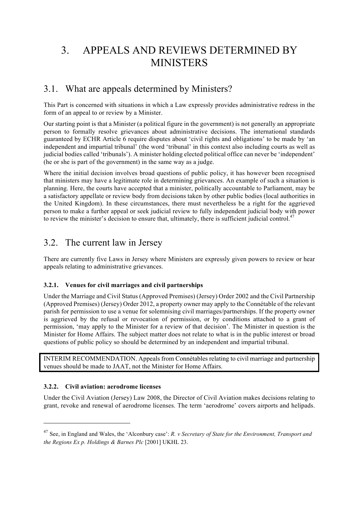# 3. APPEALS AND REVIEWS DETERMINED BY **MINISTERS**

### 3.1. What are appeals determined by Ministers?

This Part is concerned with situations in which a Law expressly provides administrative redress in the form of an appeal to or review by a Minister.

Our starting point is that a Minister (a political figure in the government) is not generally an appropriate person to formally resolve grievances about administrative decisions. The international standards guaranteed by ECHR Article 6 require disputes about 'civil rights and obligations' to be made by 'an independent and impartial tribunal' (the word 'tribunal' in this context also including courts as well as judicial bodies called 'tribunals'). A minister holding elected political office can never be 'independent' (he or she is part of the government) in the same way as a judge.

Where the initial decision involves broad questions of public policy, it has however been recognised that ministers may have a legitimate role in determining grievances. An example of such a situation is planning. Here, the courts have accepted that a minister, politically accountable to Parliament, may be a satisfactory appellate or review body from decisions taken by other public bodies (local authorities in the United Kingdom). In these circumstances, there must nevertheless be a right for the aggrieved person to make a further appeal or seek judicial review to fully independent judicial body with power to review the minister's decision to ensure that, ultimately, there is sufficient judicial control.<sup>47</sup>

### 3.2. The current law in Jersey

There are currently five Laws in Jersey where Ministers are expressly given powers to review or hear appeals relating to administrative grievances.

#### 3.2.1. Venues for civil marriages and civil partnerships

Under the Marriage and Civil Status (Approved Premises) (Jersey) Order 2002 and the Civil Partnership (Approved Premises) (Jersey) Order 2012, a property owner may apply to the Connétable of the relevant parish for permission to use a venue for solemnising civil marriages/partnerships. If the property owner is aggrieved by the refusal or revocation of permission, or by conditions attached to a grant of permission, 'may apply to the Minister for a review of that decision'. The Minister in question is the Minister for Home Affairs. The subject matter does not relate to what is in the public interest or broad questions of public policy so should be determined by an independent and impartial tribunal.

INTERIM RECOMMENDATION. Appeals from Connétables relating to civil marriage and partnership venues should be made to JAAT, not the Minister for Home Affairs.

#### 3.2.2. Civil aviation: aerodrome licenses

l

Under the Civil Aviation (Jersey) Law 2008, the Director of Civil Aviation makes decisions relating to grant, revoke and renewal of aerodrome licenses. The term 'aerodrome' covers airports and helipads.

<sup>47</sup> See, in England and Wales, the 'Alconbury case': *R. v Secretary of State for the Environment, Transport and the Regions Ex p. Holdings & Barnes Plc* [2001] UKHL 23.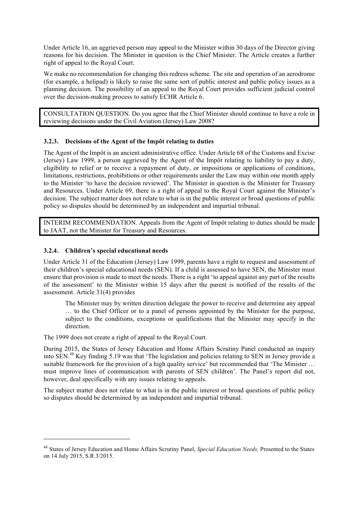Under Article 16, an aggrieved person may appeal to the Minister within 30 days of the Director giving reasons for his decision. The Minister in question is the Chief Minister. The Article creates a further right of appeal to the Royal Court.

We make no recommendation for changing this redress scheme. The site and operation of an aerodrome (for example, a helipad) is likely to raise the same sort of public interest and public policy issues as a planning decision. The possibility of an appeal to the Royal Court provides sufficient judicial control over the decision-making process to satisfy ECHR Article 6.

CONSULTATION QUESTION. Do you agree that the Chief Minister should continue to have a role in reviewing decisions under the Civil Aviation (Jersey) Law 2008?

#### 3.2.3. Decisions of the Agent of the Impôt relating to duties

The Agent of the Impôt is an ancient administrative office. Under Article 68 of the Customs and Excise (Jersey) Law 1999, a person aggrieved by the Agent of the Impôt relating to liability to pay a duty, eligibility to relief or to receive a repayment of duty, or impositions or applications of conditions, limitations, restrictions, prohibitions or other requirements under the Law may within one month apply to the Minister 'to have the decision reviewed'. The Minister in question is the Minister for Treasury and Resources. Under Article 69, there is a right of appeal to the Royal Court against the Minister's decision. The subject matter does not relate to what is in the public interest or broad questions of public policy so disputes should be determined by an independent and impartial tribunal.

INTERIM RECOMMENDATION. Appeals from the Agent of Impôt relating to duties should be made to JAAT, not the Minister for Treasury and Resources.

#### 3.2.4. Children's special educational needs

l

Under Article 31 of the Education (Jersey) Law 1999, parents have a right to request and assessment of their children's special educational needs (SEN). If a child is assessed to have SEN, the Minister must ensure that provision is made to meet the needs. There is a right 'to appeal against any part of the results of the assessment' to the Minister within 15 days after the parent is notified of the results of the assessment. Article 31(4) provides

The Minister may by written direction delegate the power to receive and determine any appeal … to the Chief Officer or to a panel of persons appointed by the Minister for the purpose, subject to the conditions, exceptions or qualifications that the Minister may specify in the direction.

The 1999 does not create a right of appeal to the Royal Court.

During 2015, the States of Jersey Education and Home Affairs Scrutiny Panel conducted an inquiry into SEN.<sup>48</sup> Key finding 5.19 was that 'The legislation and policies relating to SEN in Jersey provide a suitable framework for the provision of a high quality service' but recommended that 'The Minister … must improve lines of communication with parents of SEN children'. The Panel's report did not, however, deal specifically with any issues relating to appeals.

The subject matter does not relate to what is in the public interest or broad questions of public policy so disputes should be determined by an independent and impartial tribunal.

<sup>48</sup> States of Jersey Education and Home Affairs Scrutiny Panel, *Special Education Needs,* Presented to the States on 14 July 2015, S.R.3/2015.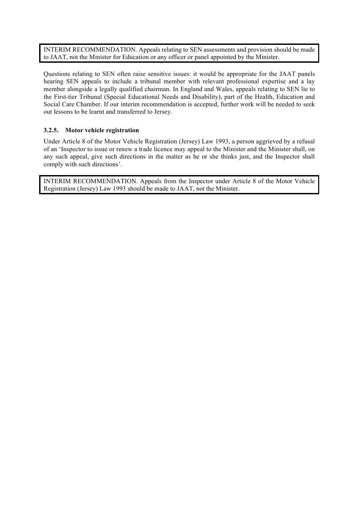INTERIM RECOMMENDATION. Appeals relating to SEN assessments and provision should be made to JAAT, not the Minister for Education or any officer or panel appointed by the Minister.

Questions relating to SEN often raise sensitive issues: it would be appropriate for the JAAT panels hearing SEN appeals to include a tribunal member with relevant professional expertise and a lay member alongside a legally qualified chairman. In England and Wales, appeals relating to SEN lie to the First-tier Tribunal (Special Educational Needs and Disability), part of the Health, Education and Social Care Chamber. If our interim recommendation is accepted, further work will be needed to seek out lessons to be learnt and transferred to Jersey.

#### 3.2.5. Motor vehicle registration

Under Article 8 of the Motor Vehicle Registration (Jersey) Law 1993, a person aggrieved by a refusal of an 'Inspector to issue or renew a trade licence may appeal to the Minister and the Minister shall, on any such appeal, give such directions in the matter as he or she thinks just, and the Inspector shall comply with such directions'.

INTERIM RECOMMENDATION. Appeals from the Inspector under Article 8 of the Motor Vehicle Registration (Jersey) Law 1993 should be made to JAAT, not the Minister.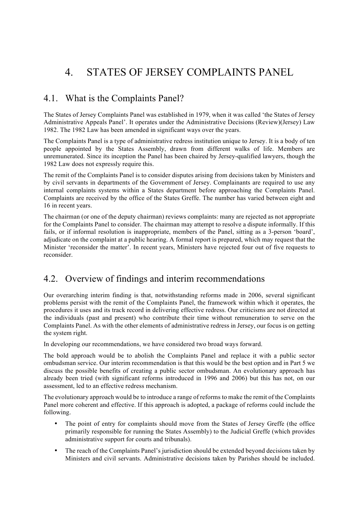# 4. STATES OF JERSEY COMPLAINTS PANEL

## 4.1. What is the Complaints Panel?

The States of Jersey Complaints Panel was established in 1979, when it was called 'the States of Jersey Administrative Appeals Panel'. It operates under the Administrative Decisions (Review)(Jersey) Law 1982. The 1982 Law has been amended in significant ways over the years.

The Complaints Panel is a type of administrative redress institution unique to Jersey. It is a body of ten people appointed by the States Assembly, drawn from different walks of life. Members are unremunerated. Since its inception the Panel has been chaired by Jersey-qualified lawyers, though the 1982 Law does not expressly require this.

The remit of the Complaints Panel is to consider disputes arising from decisions taken by Ministers and by civil servants in departments of the Government of Jersey. Complainants are required to use any internal complaints systems within a States department before approaching the Complaints Panel. Complaints are received by the office of the States Greffe. The number has varied between eight and 16 in recent years.

The chairman (or one of the deputy chairman) reviews complaints: many are rejected as not appropriate for the Complaints Panel to consider. The chairman may attempt to resolve a dispute informally. If this fails, or if informal resolution is inappropriate, members of the Panel, sitting as a 3-person 'board', adjudicate on the complaint at a public hearing. A formal report is prepared, which may request that the Minister 'reconsider the matter'. In recent years, Ministers have rejected four out of five requests to reconsider.

### 4.2. Overview of findings and interim recommendations

Our overarching interim finding is that, notwithstanding reforms made in 2006, several significant problems persist with the remit of the Complaints Panel, the framework within which it operates, the procedures it uses and its track record in delivering effective redress. Our criticisms are not directed at the individuals (past and present) who contribute their time without remuneration to serve on the Complaints Panel. As with the other elements of administrative redress in Jersey, our focus is on getting the system right.

In developing our recommendations, we have considered two broad ways forward.

The bold approach would be to abolish the Complaints Panel and replace it with a public sector ombudsman service. Our interim recommendation is that this would be the best option and in Part 5 we discuss the possible benefits of creating a public sector ombudsman. An evolutionary approach has already been tried (with significant reforms introduced in 1996 and 2006) but this has not, on our assessment, led to an effective redress mechanism.

The evolutionary approach would be to introduce a range of reforms to make the remit of the Complaints Panel more coherent and effective. If this approach is adopted, a package of reforms could include the following.

- The point of entry for complaints should move from the States of Jersey Greffe (the office primarily responsible for running the States Assembly) to the Judicial Greffe (which provides administrative support for courts and tribunals).
- The reach of the Complaints Panel's jurisdiction should be extended beyond decisions taken by Ministers and civil servants. Administrative decisions taken by Parishes should be included.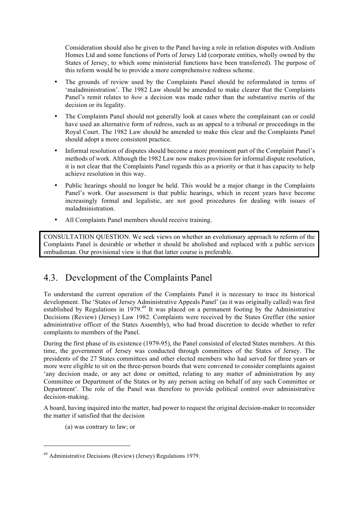Consideration should also be given to the Panel having a role in relation disputes with Andium Homes Ltd and some functions of Ports of Jersey Ltd (corporate entities, wholly owned by the States of Jersey, to which some ministerial functions have been transferred). The purpose of this reform would be to provide a more comprehensive redress scheme.

- The grounds of review used by the Complaints Panel should be reformulated in terms of 'maladministration'. The 1982 Law should be amended to make clearer that the Complaints Panel's remit relates to *how* a decision was made rather than the substantive merits of the decision or its legality.
- The Complaints Panel should not generally look at cases where the complainant can or could have used an alternative form of redress, such as an appeal to a tribunal or proceedings in the Royal Court. The 1982 Law should be amended to make this clear and the Complaints Panel should adopt a more consistent practice.
- Informal resolution of disputes should become a more prominent part of the Complaint Panel's methods of work. Although the 1982 Law now makes provision for informal dispute resolution, it is not clear that the Complaints Panel regards this as a priority or that it has capacity to help achieve resolution in this way.
- Public hearings should no longer be held. This would be a major change in the Complaints Panel's work. Our assessment is that public hearings, which in recent years have become increasingly formal and legalistic, are not good procedures for dealing with issues of maladministration.
- All Complaints Panel members should receive training.

CONSULTATION QUESTION. We seek views on whether an evolutionary approach to reform of the Complaints Panel is desirable or whether it should be abolished and replaced with a public services ombudsman. Our provisional view is that that latter course is preferable.

# 4.3. Development of the Complaints Panel

To understand the current operation of the Complaints Panel it is necessary to trace its historical development. The 'States of Jersey Administrative Appeals Panel' (as it was originally called) was first established by Regulations in 1979.<sup>49</sup> It was placed on a permanent footing by the Administrative Decisions (Review) (Jersey) Law 1982. Complaints were received by the States Greffier (the senior administrative officer of the States Assembly), who had broad discretion to decide whether to refer complaints to members of the Panel.

During the first phase of its existence (1979-95), the Panel consisted of elected States members. At this time, the government of Jersey was conducted through committees of the States of Jersey. The presidents of the 27 States committees and other elected members who had served for three years or more were eligible to sit on the three-person boards that were convened to consider complaints against 'any decision made, or any act done or omitted, relating to any matter of administration by any Committee or Department of the States or by any person acting on behalf of any such Committee or Department'. The role of the Panel was therefore to provide political control over administrative decision-making.

A board, having inquired into the matter, had power to request the original decision-maker to reconsider the matter if satisfied that the decision

(a) was contrary to law; or

<sup>49</sup> Administrative Decisions (Review) (Jersey) Regulations 1979.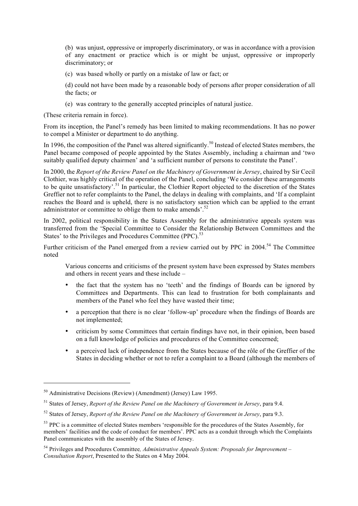(b) was unjust, oppressive or improperly discriminatory, or was in accordance with a provision of any enactment or practice which is or might be unjust, oppressive or improperly discriminatory; or

(c) was based wholly or partly on a mistake of law or fact; or

(d) could not have been made by a reasonable body of persons after proper consideration of all the facts; or

(e) was contrary to the generally accepted principles of natural justice.

(These criteria remain in force).

From its inception, the Panel's remedy has been limited to making recommendations. It has no power to compel a Minister or department to do anything.

In 1996, the composition of the Panel was altered significantly.<sup>50</sup> Instead of elected States members, the Panel became composed of people appointed by the States Assembly, including a chairman and 'two suitably qualified deputy chairmen' and 'a sufficient number of persons to constitute the Panel'.

In 2000, the *Report of the Review Panel on the Machinery of Government in Jersey*, chaired by Sir Cecil Clothier, was highly critical of the operation of the Panel, concluding 'We consider these arrangements to be quite unsatisfactory'.<sup>51</sup> In particular, the Clothier Report objected to the discretion of the States Greffier not to refer complaints to the Panel, the delays in dealing with complaints, and 'If a complaint reaches the Board and is upheld, there is no satisfactory sanction which can be applied to the errant administrator or committee to oblige them to make amends'.<sup>52</sup>

In 2002, political responsibility in the States Assembly for the administrative appeals system was transferred from the 'Special Committee to Consider the Relationship Between Committees and the States' to the Privileges and Procedures Committee (PPC).<sup>53</sup>

Further criticism of the Panel emerged from a review carried out by PPC in 2004.<sup>54</sup> The Committee noted

Various concerns and criticisms of the present system have been expressed by States members and others in recent years and these include –

- the fact that the system has no 'teeth' and the findings of Boards can be ignored by Committees and Departments. This can lead to frustration for both complainants and members of the Panel who feel they have wasted their time;
- a perception that there is no clear 'follow-up' procedure when the findings of Boards are not implemented;
- criticism by some Committees that certain findings have not, in their opinion, been based on a full knowledge of policies and procedures of the Committee concerned;
- a perceived lack of independence from the States because of the rôle of the Greffier of the States in deciding whether or not to refer a complaint to a Board (although the members of

 $\overline{a}$ 

 $50$  Administrative Decisions (Review) (Amendment) (Jersey) Law 1995.

<sup>51</sup> States of Jersey, *Report of the Review Panel on the Machinery of Government in Jersey*, para 9.4.

<sup>52</sup> States of Jersey, *Report of the Review Panel on the Machinery of Government in Jersey*, para 9.3.

<sup>&</sup>lt;sup>53</sup> PPC is a committee of elected States members 'responsible for the procedures of the States Assembly, for members' facilities and the code of conduct for members'. PPC acts as a conduit through which the Complaints Panel communicates with the assembly of the States of Jersey.

<sup>54</sup> Privileges and Procedures Committee*, Administrative Appeals System: Proposals for Improvement – Consultation Report*, Presented to the States on 4 May 2004.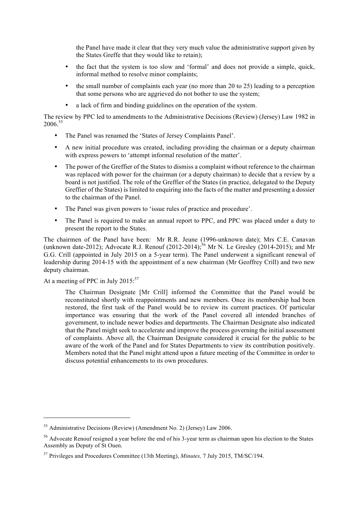the Panel have made it clear that they very much value the administrative support given by the States Greffe that they would like to retain);

- the fact that the system is too slow and 'formal' and does not provide a simple, quick, informal method to resolve minor complaints;
- the small number of complaints each year (no more than 20 to 25) leading to a perception that some persons who are aggrieved do not bother to use the system;
- a lack of firm and binding guidelines on the operation of the system.

The review by PPC led to amendments to the Administrative Decisions (Review) (Jersey) Law 1982 in 2006 55

- The Panel was renamed the 'States of Jersey Complaints Panel'.
- A new initial procedure was created, including providing the chairman or a deputy chairman with express powers to 'attempt informal resolution of the matter'.
- The power of the Greffier of the States to dismiss a complaint without reference to the chairman was replaced with power for the chairman (or a deputy chairman) to decide that a review by a board is not justified. The role of the Greffier of the States (in practice, delegated to the Deputy Greffier of the States) is limited to enquiring into the facts of the matter and presenting a dossier to the chairman of the Panel.
- The Panel was given powers to 'issue rules of practice and procedure'.
- The Panel is required to make an annual report to PPC, and PPC was placed under a duty to present the report to the States.

The chairmen of the Panel have been: Mr R.R. Jeune (1996-unknown date); Mrs C.E. Canavan (unknown date-2012); Advocate R.J. Renouf  $(2012-2014)$ ;<sup>56</sup> Mr N. Le Gresley  $(2014-2015)$ ; and Mr G.G. Crill (appointed in July 2015 on a 5-year term). The Panel underwent a significant renewal of leadership during 2014-15 with the appointment of a new chairman (Mr Geoffrey Crill) and two new deputy chairman.

#### At a meeting of PPC in July 2015:<sup>57</sup>

l

The Chairman Designate [Mr Crill] informed the Committee that the Panel would be reconstituted shortly with reappointments and new members. Once its membership had been restored, the first task of the Panel would be to review its current practices. Of particular importance was ensuring that the work of the Panel covered all intended branches of government, to include newer bodies and departments. The Chairman Designate also indicated that the Panel might seek to accelerate and improve the process governing the initial assessment of complaints. Above all, the Chairman Designate considered it crucial for the public to be aware of the work of the Panel and for States Departments to view its contribution positively. Members noted that the Panel might attend upon a future meeting of the Committee in order to discuss potential enhancements to its own procedures.

<sup>55</sup> Administrative Decisions (Review) (Amendment No. 2) (Jersey) Law 2006.

<sup>56</sup> Advocate Renouf resigned a year before the end of his 3-year term as chairman upon his election to the States Assembly as Deputy of St Ouen.

<sup>57</sup> Privileges and Procedures Committee (13th Meeting), *Minutes,* 7 July 2015, TM/SC/194.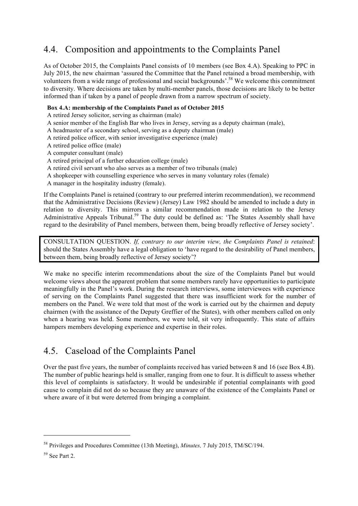# 4.4. Composition and appointments to the Complaints Panel

As of October 2015, the Complaints Panel consists of 10 members (see Box 4.A). Speaking to PPC in July 2015, the new chairman 'assured the Committee that the Panel retained a broad membership, with volunteers from a wide range of professional and social backgrounds'.<sup>58</sup> We welcome this commitment to diversity. Where decisions are taken by multi-member panels, those decisions are likely to be better informed than if taken by a panel of people drawn from a narrow spectrum of society.

#### Box 4.A: membership of the Complaints Panel as of October 2015

A retired Jersey solicitor, serving as chairman (male)

- A senior member of the English Bar who lives in Jersey, serving as a deputy chairman (male),
- A headmaster of a secondary school, serving as a deputy chairman (male)
- A retired police officer, with senior investigative experience (male)
- A retired police office (male)
- A computer consultant (male)
- A retired principal of a further education college (male)
- A retired civil servant who also serves as a member of two tribunals (male)
- A shopkeeper with counselling experience who serves in many voluntary roles (female)
- A manager in the hospitality industry (female).

If the Complaints Panel is retained (contrary to our preferred interim recommendation), we recommend that the Administrative Decisions (Review) (Jersey) Law 1982 should be amended to include a duty in relation to diversity. This mirrors a similar recommendation made in relation to the Jersey Administrative Appeals Tribunal.<sup>59</sup> The duty could be defined as: 'The States Assembly shall have regard to the desirability of Panel members, between them, being broadly reflective of Jersey society'.

CONSULTATION QUESTION. *If, contrary to our interim view, the Complaints Panel is retained*: should the States Assembly have a legal obligation to 'have regard to the desirability of Panel members, between them, being broadly reflective of Jersey society'?

We make no specific interim recommendations about the size of the Complaints Panel but would welcome views about the apparent problem that some members rarely have opportunities to participate meaningfully in the Panel's work. During the research interviews, some interviewees with experience of serving on the Complaints Panel suggested that there was insufficient work for the number of members on the Panel. We were told that most of the work is carried out by the chairmen and deputy chairmen (with the assistance of the Deputy Greffier of the States), with other members called on only when a hearing was held. Some members, we were told, sit very infrequently. This state of affairs hampers members developing experience and expertise in their roles.

# 4.5. Caseload of the Complaints Panel

Over the past five years, the number of complaints received has varied between 8 and 16 (see Box 4.B). The number of public hearings held is smaller, ranging from one to four. It is difficult to assess whether this level of complaints is satisfactory. It would be undesirable if potential complainants with good cause to complain did not do so because they are unaware of the existence of the Complaints Panel or where aware of it but were deterred from bringing a complaint.

<sup>58</sup> Privileges and Procedures Committee (13th Meeting), *Minutes,* 7 July 2015, TM/SC/194.

<sup>59</sup> See Part 2.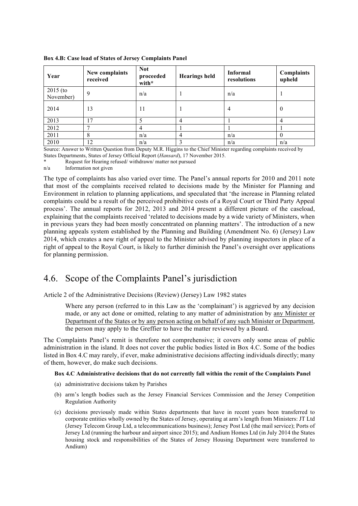| Year                         | New complaints<br>received                                                                                                                                                                                                            | <b>Not</b><br>proceeded<br>with* | <b>Hearings held</b> | <b>Informal</b><br>resolutions                                                                                                                                                                                                                    | <b>Complaints</b><br>upheld            |
|------------------------------|---------------------------------------------------------------------------------------------------------------------------------------------------------------------------------------------------------------------------------------|----------------------------------|----------------------|---------------------------------------------------------------------------------------------------------------------------------------------------------------------------------------------------------------------------------------------------|----------------------------------------|
| $2015$ (to<br>November)      | 9                                                                                                                                                                                                                                     | n/a                              |                      | n/a                                                                                                                                                                                                                                               |                                        |
| 2014                         | 13                                                                                                                                                                                                                                    | 11                               |                      | 4                                                                                                                                                                                                                                                 | $\theta$                               |
| 2013                         | . 7                                                                                                                                                                                                                                   |                                  | 4                    |                                                                                                                                                                                                                                                   | 4                                      |
| 2012                         |                                                                                                                                                                                                                                       |                                  |                      |                                                                                                                                                                                                                                                   |                                        |
| 2011                         | 8                                                                                                                                                                                                                                     | n/a                              |                      | n/a                                                                                                                                                                                                                                               |                                        |
| 2010<br>$\sim$ $\sim$ $\sim$ | 12<br>$\sim$ . The state of the state of the state of the state of the state of the state of the state of the state of the state of the state of the state of the state of the state of the state of the state of the state of the st | n/a                              |                      | n/a<br>the committee of the committee of the committee of the committee of the committee of the committee of the committee of the committee of the committee of the committee of the committee of the committee of the committee of t<br>$\cdots$ | n/a<br>$\cdot$ $\cdot$ $\cdot$ $\cdot$ |

Box 4.B: Case load of States of Jersey Complaints Panel

Source: Answer to Written Question from Deputy M.R. Higgins to the Chief Minister regarding complaints received by States Departments, States of Jersey Official Report (*Hansard*), 17 November 2015.

Request for Hearing refused/ withdrawn/ matter not pursued

n/a Information not given

The type of complaints has also varied over time. The Panel's annual reports for 2010 and 2011 note that most of the complaints received related to decisions made by the Minister for Planning and Environment in relation to planning applications, and speculated that 'the increase in Planning related complaints could be a result of the perceived prohibitive costs of a Royal Court or Third Party Appeal process'. The annual reports for 2012, 2013 and 2014 present a different picture of the caseload, explaining that the complaints received 'related to decisions made by a wide variety of Ministers, when in previous years they had been mostly concentrated on planning matters'. The introduction of a new planning appeals system established by the Planning and Building (Amendment No. 6) (Jersey) Law 2014, which creates a new right of appeal to the Minister advised by planning inspectors in place of a right of appeal to the Royal Court, is likely to further diminish the Panel's oversight over applications for planning permission.

### 4.6. Scope of the Complaints Panel's jurisdiction

Article 2 of the Administrative Decisions (Review) (Jersey) Law 1982 states

Where any person (referred to in this Law as the 'complainant') is aggrieved by any decision made, or any act done or omitted, relating to any matter of administration by any Minister or Department of the States or by any person acting on behalf of any such Minister or Department, the person may apply to the Greffier to have the matter reviewed by a Board.

The Complaints Panel's remit is therefore not comprehensive; it covers only some areas of public administration in the island. It does not cover the public bodies listed in Box 4.C. Some of the bodies listed in Box 4.C may rarely, if ever, make administrative decisions affecting individuals directly; many of them, however, do make such decisions.

#### Box 4.C Administrative decisions that do not currently fall within the remit of the Complaints Panel

- (a) administrative decisions taken by Parishes
- (b) arm's length bodies such as the Jersey Financial Services Commission and the Jersey Competition Regulation Authority
- (c) decisions previously made within States departments that have in recent years been transferred to corporate entities wholly owned by the States of Jersey, operating at arm's length from Ministers: JT Ltd (Jersey Telecom Group Ltd, a telecommunications business); Jersey Post Ltd (the mail service); Ports of Jersey Ltd (running the harbour and airport since 2015); and Andium Homes Ltd (in July 2014 the States housing stock and responsibilities of the States of Jersey Housing Department were transferred to Andium)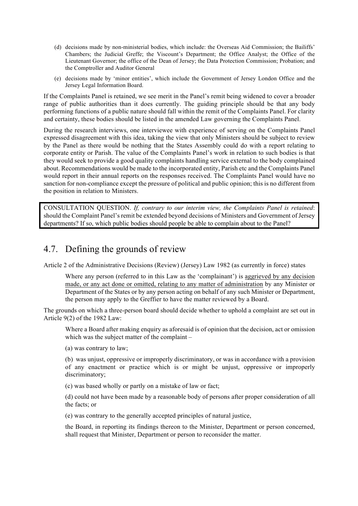- (d) decisions made by non-ministerial bodies, which include: the Overseas Aid Commission; the Bailiffs' Chambers; the Judicial Greffe; the Viscount's Department; the Office Analyst; the Office of the Lieutenant Governor; the office of the Dean of Jersey; the Data Protection Commission; Probation; and the Comptroller and Auditor General
- (e) decisions made by 'minor entities', which include the Government of Jersey London Office and the Jersey Legal Information Board.

If the Complaints Panel is retained, we see merit in the Panel's remit being widened to cover a broader range of public authorities than it does currently. The guiding principle should be that any body performing functions of a public nature should fall within the remit of the Complaints Panel. For clarity and certainty, these bodies should be listed in the amended Law governing the Complaints Panel.

During the research interviews, one interviewee with experience of serving on the Complaints Panel expressed disagreement with this idea, taking the view that only Ministers should be subject to review by the Panel as there would be nothing that the States Assembly could do with a report relating to corporate entity or Parish. The value of the Complaints Panel's work in relation to such bodies is that they would seek to provide a good quality complaints handling service external to the body complained about. Recommendations would be made to the incorporated entity, Parish etc and the Complaints Panel would report in their annual reports on the responses received. The Complaints Panel would have no sanction for non-compliance except the pressure of political and public opinion; this is no different from the position in relation to Ministers.

CONSULTATION QUESTION. *If, contrary to our interim view, the Complaints Panel is retained*: should the Complaint Panel's remit be extended beyond decisions of Ministers and Government of Jersey departments? If so, which public bodies should people be able to complain about to the Panel?

# 4.7. Defining the grounds of review

Article 2 of the Administrative Decisions (Review) (Jersey) Law 1982 (as currently in force) states

Where any person (referred to in this Law as the 'complainant') is aggrieved by any decision made, or any act done or omitted, relating to any matter of administration by any Minister or Department of the States or by any person acting on behalf of any such Minister or Department, the person may apply to the Greffier to have the matter reviewed by a Board.

The grounds on which a three-person board should decide whether to uphold a complaint are set out in Article 9(2) of the 1982 Law:

Where a Board after making enquiry as aforesaid is of opinion that the decision, act or omission which was the subject matter of the complaint –

(a) was contrary to law;

(b) was unjust, oppressive or improperly discriminatory, or was in accordance with a provision of any enactment or practice which is or might be unjust, oppressive or improperly discriminatory;

(c) was based wholly or partly on a mistake of law or fact;

(d) could not have been made by a reasonable body of persons after proper consideration of all the facts; or

(e) was contrary to the generally accepted principles of natural justice,

the Board, in reporting its findings thereon to the Minister, Department or person concerned, shall request that Minister, Department or person to reconsider the matter.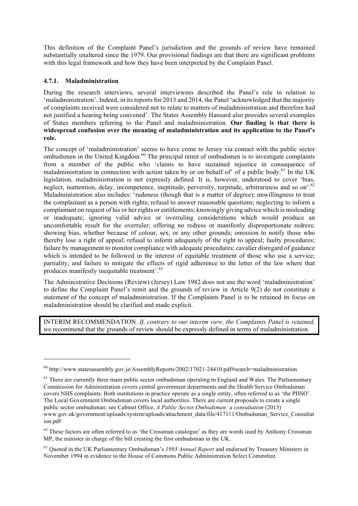This definition of the Complaint Panel's jurisdiction and the grounds of review have remained substantially unaltered since the 1979. Our provisional findings are that there are significant problems with this legal framework and how they have been interpreted by the Complaint Panel.

#### 4.7.1. Maladministration

 $\overline{a}$ 

During the research interviews, several interviewees described the Panel's role in relation to 'maladministration'. Indeed, in its reports for 2013 and 2014, the Panel 'acknowledged that the majority of complaints received were considered not to relate to matters of maladministration and therefore had not justified a hearing being convened'. The States Assembly Hansard also provides several examples of States members referring to the Panel and maladministration. Our finding is that there is widespread confusion over the meaning of maladministration and its application to the Panel's role.

The concept of 'maladministration' seems to have come to Jersey via contact with the public sector ombudsmen in the United Kingdom.<sup>60</sup> The principal remit of ombudsmen is to investigate complaints from a member of the public who 'claims to have sustained injustice in consequence of maladministration in connection with action taken by or on behalf of  $\degree$  of a public body.<sup>61</sup> In the UK legislation, maladministration is not expressly defined. It is, however, understood to cover 'bias, neglect, inattention, delay, incompetence, ineptitude, perversity, turpitude, arbitrariness and so on'.<sup>62</sup> Maladministration also includes: 'rudeness (though that is a matter of degree); unwillingness to treat the complainant as a person with rights; refusal to answer reasonable questions; neglecting to inform a complainant on request of his or her rights or entitlements; knowingly giving advice which is misleading or inadequate; ignoring valid advice or overruling considerations which would produce an uncomfortable result for the overruler; offering no redress or manifestly disproportionate redress; showing bias, whether because of colour, sex, or any other grounds; omission to notify those who thereby lose a right of appeal; refusal to inform adequately of the right to appeal; faulty procedures; failure by management to monitor compliance with adequate procedures; cavalier disregard of guidance which is intended to be followed in the interest of equitable treatment of those who use a service; partiality; and failure to mitigate the effects of rigid adherence to the letter of the law where that produces manifestly inequitable treatment<sup>5</sup>.<sup>63</sup>

The Administrative Decisions (Review) (Jersey) Law 1982 does not use the word 'maladministration' to define the Complaint Panel's remit and the grounds of review in Article 9(2) do not constitute a statement of the concept of maladministration. If the Complaints Panel is to be retained its focus on maladministration should be clarified and made explicit.

INTERIM RECOMMENDATION. *If, contrary to our interim view, the Complaints Panel is retained,* we recommend that the grounds of review should be expressly defined in terms of maladministration.

<sup>60</sup> http://www.statesassembly.gov.je/AssemblyReports/2002/17021-24410.pdf#search=maladministration

<sup>&</sup>lt;sup>61</sup> There are currently three main public sector ombudsman operating in England and Wales. The Parliamentary Commission for Administration covers central government departments and the Health Service Ombudsman covers NHS complaints. Both institutions in practice operate as a single entity, often referred to as 'the PHSO'. The Local Government Ombudsman covers local authorities. There are current proposals to create a single public sector ombudsman: see Cabinet Office, *A Public Sector Ombudsman: a consultation* (2015) www.gov.uk/government/uploads/system/uploads/attachment\_data/file/417111/Ombudsman\_Service\_Consultat ion.pdf

<sup>&</sup>lt;sup>62</sup> These factors are often referred to as 'the Crossman catalogue' as they are words used by Anthony Crossman MP, the minister in charge of the bill creating the first ombudsman in the UK.

<sup>63</sup> Quoted in the UK Parliamentary Ombudsman's *1993 Annual Report* and endorsed by Treasury Ministers in November 1994 in evidence to the House of Commons Public Administration Select Committee.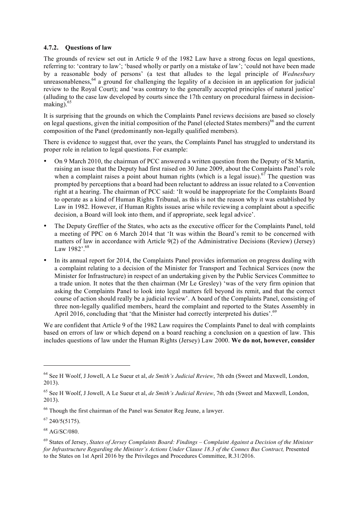#### 4.7.2. Questions of law

The grounds of review set out in Article 9 of the 1982 Law have a strong focus on legal questions, referring to: 'contrary to law'; 'based wholly or partly on a mistake of law'; 'could not have been made by a reasonable body of persons' (a test that alludes to the legal principle of *Wednesbury*  unreasonableness,  $64$  a ground for challenging the legality of a decision in an application for judicial review to the Royal Court); and 'was contrary to the generally accepted principles of natural justice' (alluding to the case law developed by courts since the 17th century on procedural fairness in decisionmaking $65$ 

It is surprising that the grounds on which the Complaints Panel reviews decisions are based so closely on legal questions, given the initial composition of the Panel (elected States members)<sup>66</sup> and the current composition of the Panel (predominantly non-legally qualified members).

There is evidence to suggest that, over the years, the Complaints Panel has struggled to understand its proper role in relation to legal questions. For example:

- On 9 March 2010, the chairman of PCC answered a written question from the Deputy of St Martin, raising an issue that the Deputy had first raised on 30 June 2009, about the Complaints Panel's role when a complaint raises a point about human rights (which is a legal issue).<sup>67</sup> The question was prompted by perceptions that a board had been reluctant to address an issue related to a Convention right at a hearing. The chairman of PCC said: 'It would be inappropriate for the Complaints Board to operate as a kind of Human Rights Tribunal, as this is not the reason why it was established by Law in 1982. However, if Human Rights issues arise while reviewing a complaint about a specific decision, a Board will look into them, and if appropriate, seek legal advice'.
- The Deputy Greffier of the States, who acts as the executive officer for the Complaints Panel, told a meeting of PPC on 6 March 2014 that 'It was within the Board's remit to be concerned with matters of law in accordance with Article 9(2) of the Administrative Decisions (Review) (Jersey) Law 1982'.<sup>68</sup>
- In its annual report for 2014, the Complaints Panel provides information on progress dealing with a complaint relating to a decision of the Minister for Transport and Technical Services (now the Minister for Infrastructure) in respect of an undertaking given by the Public Services Committee to a trade union. It notes that the then chairman (Mr Le Gresley) 'was of the very firm opinion that asking the Complaints Panel to look into legal matters fell beyond its remit, and that the correct course of action should really be a judicial review'. A board of the Complaints Panel, consisting of three non-legally qualified members, heard the complaint and reported to the States Assembly in April 2016, concluding that 'that the Minister had correctly interpreted his duties'.<sup>69</sup>

We are confident that Article 9 of the 1982 Law requires the Complaints Panel to deal with complaints based on errors of law or which depend on a board reaching a conclusion on a question of law. This includes questions of law under the Human Rights (Jersey) Law 2000. We do not, however, consider

<sup>64</sup> See H Woolf, J Jowell, A Le Sueur et al, *de Smith's Judicial Review*, 7th edn (Sweet and Maxwell, London, 2013).

<sup>65</sup> See H Woolf, J Jowell, A Le Sueur et al, *de Smith's Judicial Review*, 7th edn (Sweet and Maxwell, London, 2013).

<sup>&</sup>lt;sup>66</sup> Though the first chairman of the Panel was Senator Reg Jeune, a lawyer.

 $67$  240/5(5175).

<sup>68</sup> AG/SC/080.

<sup>69</sup> States of Jersey, *States of Jersey Complaints Board: Findings – Complaint Against a Decision of the Minister for Infrastructure Regarding the Minister's Actions Under Clause 18.3 of the Connex Bus Contract, Presented* to the States on 1st April 2016 by the Privileges and Procedures Committee, R.31/2016.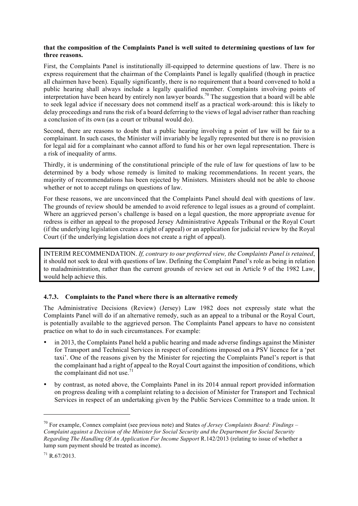#### that the composition of the Complaints Panel is well suited to determining questions of law for three reasons.

First, the Complaints Panel is institutionally ill-equipped to determine questions of law. There is no express requirement that the chairman of the Complaints Panel is legally qualified (though in practice all chairmen have been). Equally significantly, there is no requirement that a board convened to hold a public hearing shall always include a legally qualified member. Complaints involving points of interpretation have been heard by entirely non lawyer boards.<sup>70</sup> The suggestion that a board will be able to seek legal advice if necessary does not commend itself as a practical work-around: this is likely to delay proceedings and runs the risk of a board deferring to the views of legal adviser rather than reaching a conclusion of its own (as a court or tribunal would do).

Second, there are reasons to doubt that a public hearing involving a point of law will be fair to a complainant. In such cases, the Minister will invariably be legally represented but there is no provision for legal aid for a complainant who cannot afford to fund his or her own legal representation. There is a risk of inequality of arms.

Thirdly, it is undermining of the constitutional principle of the rule of law for questions of law to be determined by a body whose remedy is limited to making recommendations. In recent years, the majority of recommendations has been rejected by Ministers. Ministers should not be able to choose whether or not to accept rulings on questions of law.

For these reasons, we are unconvinced that the Complaints Panel should deal with questions of law. The grounds of review should be amended to avoid reference to legal issues as a ground of complaint. Where an aggrieved person's challenge is based on a legal question, the more appropriate avenue for redress is either an appeal to the proposed Jersey Administrative Appeals Tribunal or the Royal Court (if the underlying legislation creates a right of appeal) or an application for judicial review by the Royal Court (if the underlying legislation does not create a right of appeal).

INTERIM RECOMMENDATION. *If, contrary to our preferred view, the Complaints Panel is retained*, it should not seek to deal with questions of law. Defining the Complaint Panel's role as being in relation to maladministration, rather than the current grounds of review set out in Article 9 of the 1982 Law, would help achieve this.

#### 4.7.3. Complaints to the Panel where there is an alternative remedy

The Administrative Decisions (Review) (Jersey) Law 1982 does not expressly state what the Complaints Panel will do if an alternative remedy, such as an appeal to a tribunal or the Royal Court, is potentially available to the aggrieved person. The Complaints Panel appears to have no consistent practice on what to do in such circumstances. For example:

- in 2013, the Complaints Panel held a public hearing and made adverse findings against the Minister for Transport and Technical Services in respect of conditions imposed on a PSV licence for a 'pet taxi'. One of the reasons given by the Minister for rejecting the Complaints Panel's report is that the complainant had a right of appeal to the Royal Court against the imposition of conditions, which the complainant did not use.<sup>71</sup>
- by contrast, as noted above, the Complaints Panel in its 2014 annual report provided information on progress dealing with a complaint relating to a decision of Minister for Transport and Technical Services in respect of an undertaking given by the Public Services Committee to a trade union. It

<sup>70</sup> For example, Connex complaint (see previous note) and States *of Jersey Complaints Board: Findings – Complaint against a Decision of the Minister for Social Security and the Department for Social Security Regarding The Handling Of An Application For Income Support* R.142/2013 (relating to issue of whether a lump sum payment should be treated as income).

<sup>71</sup> R.67/2013.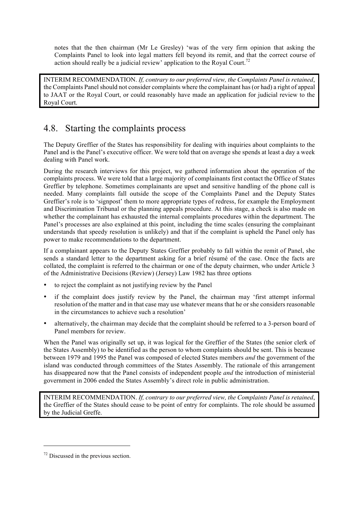notes that the then chairman (Mr Le Gresley) 'was of the very firm opinion that asking the Complaints Panel to look into legal matters fell beyond its remit, and that the correct course of action should really be a judicial review' application to the Royal Court.<sup>72</sup>

INTERIM RECOMMENDATION. *If, contrary to our preferred view, the Complaints Panel is retained*, the Complaints Panel should not consider complaints where the complainant has (or had) a right of appeal to JAAT or the Royal Court, or could reasonably have made an application for judicial review to the Royal Court.

# 4.8. Starting the complaints process

The Deputy Greffier of the States has responsibility for dealing with inquiries about complaints to the Panel and is the Panel's executive officer. We were told that on average she spends at least a day a week dealing with Panel work.

During the research interviews for this project, we gathered information about the operation of the complaints process. We were told that a large majority of complainants first contact the Office of States Greffier by telephone. Sometimes complainants are upset and sensitive handling of the phone call is needed. Many complaints fall outside the scope of the Complaints Panel and the Deputy States Greffier's role is to 'signpost' them to more appropriate types of redress, for example the Employment and Discrimination Tribunal or the planning appeals procedure. At this stage, a check is also made on whether the complainant has exhausted the internal complaints procedures within the department. The Panel's processes are also explained at this point, including the time scales (ensuring the complainant understands that speedy resolution is unlikely) and that if the complaint is upheld the Panel only has power to make recommendations to the department.

If a complainant appears to the Deputy States Greffier probably to fall within the remit of Panel, she sends a standard letter to the department asking for a brief résumé of the case. Once the facts are collated, the complaint is referred to the chairman or one of the deputy chairmen, who under Article 3 of the Administrative Decisions (Review) (Jersey) Law 1982 has three options

- to reject the complaint as not justifying review by the Panel
- if the complaint does justify review by the Panel, the chairman may 'first attempt informal resolution of the matter and in that case may use whatever means that he or she considers reasonable in the circumstances to achieve such a resolution'
- alternatively, the chairman may decide that the complaint should be referred to a 3-person board of Panel members for review.

When the Panel was originally set up, it was logical for the Greffier of the States (the senior clerk of the States Assembly) to be identified as the person to whom complaints should be sent. This is because between 1979 and 1995 the Panel was composed of elected States members *and* the government of the island was conducted through committees of the States Assembly. The rationale of this arrangement has disappeared now that the Panel consists of independent people *and* the introduction of ministerial government in 2006 ended the States Assembly's direct role in public administration.

INTERIM RECOMMENDATION. *If, contrary to our preferred view, the Complaints Panel is retained*, the Greffier of the States should cease to be point of entry for complaints. The role should be assumed by the Judicial Greffe.

<sup>72</sup> Discussed in the previous section.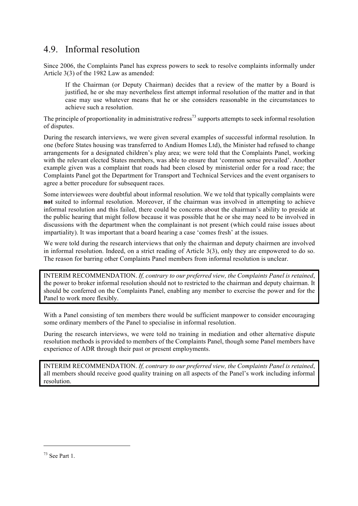## 4.9. Informal resolution

Since 2006, the Complaints Panel has express powers to seek to resolve complaints informally under Article 3(3) of the 1982 Law as amended:

If the Chairman (or Deputy Chairman) decides that a review of the matter by a Board is justified, he or she may nevertheless first attempt informal resolution of the matter and in that case may use whatever means that he or she considers reasonable in the circumstances to achieve such a resolution.

The principle of proportionality in administrative redress<sup>73</sup> supports attempts to seek informal resolution of disputes.

During the research interviews, we were given several examples of successful informal resolution. In one (before States housing was transferred to Andium Homes Ltd), the Minister had refused to change arrangements for a designated children's play area; we were told that the Complaints Panel, working with the relevant elected States members, was able to ensure that 'common sense prevailed'. Another example given was a complaint that roads had been closed by ministerial order for a road race; the Complaints Panel got the Department for Transport and Technical Services and the event organisers to agree a better procedure for subsequent races.

Some interviewees were doubtful about informal resolution. We we told that typically complaints were not suited to informal resolution. Moreover, if the chairman was involved in attempting to achieve informal resolution and this failed, there could be concerns about the chairman's ability to preside at the public hearing that might follow because it was possible that he or she may need to be involved in discussions with the department when the complainant is not present (which could raise issues about impartiality). It was important that a board hearing a case 'comes fresh' at the issues.

We were told during the research interviews that only the chairman and deputy chairmen are involved in informal resolution. Indeed, on a strict reading of Article 3(3), only they are empowered to do so. The reason for barring other Complaints Panel members from informal resolution is unclear.

INTERIM RECOMMENDATION. *If, contrary to our preferred view, the Complaints Panel is retained*, the power to broker informal resolution should not to restricted to the chairman and deputy chairman. It should be conferred on the Complaints Panel, enabling any member to exercise the power and for the Panel to work more flexibly.

With a Panel consisting of ten members there would be sufficient manpower to consider encouraging some ordinary members of the Panel to specialise in informal resolution.

During the research interviews, we were told no training in mediation and other alternative dispute resolution methods is provided to members of the Complaints Panel, though some Panel members have experience of ADR through their past or present employments.

INTERIM RECOMMENDATION. *If, contrary to our preferred view, the Complaints Panel is retained*, all members should receive good quality training on all aspects of the Panel's work including informal resolution.

<sup>73</sup> See Part 1.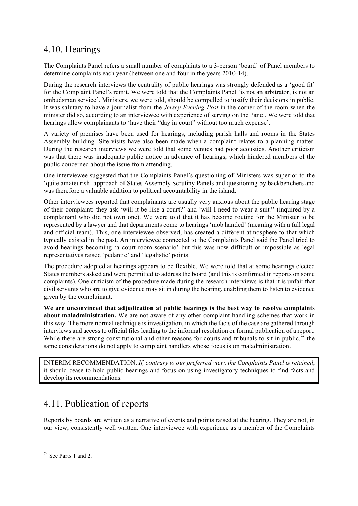### 4.10. Hearings

The Complaints Panel refers a small number of complaints to a 3-person 'board' of Panel members to determine complaints each year (between one and four in the years 2010-14).

During the research interviews the centrality of public hearings was strongly defended as a 'good fit' for the Complaint Panel's remit. We were told that the Complaints Panel 'is not an arbitrator, is not an ombudsman service'. Ministers, we were told, should be compelled to justify their decisions in public. It was salutary to have a journalist from the *Jersey Evening Post* in the corner of the room when the minister did so, according to an interviewee with experience of serving on the Panel. We were told that hearings allow complainants to 'have their "day in court" without too much expense'.

A variety of premises have been used for hearings, including parish halls and rooms in the States Assembly building. Site visits have also been made when a complaint relates to a planning matter. During the research interviews we were told that some venues had poor acoustics. Another criticism was that there was inadequate public notice in advance of hearings, which hindered members of the public concerned about the issue from attending.

One interviewee suggested that the Complaints Panel's questioning of Ministers was superior to the 'quite amateurish' approach of States Assembly Scrutiny Panels and questioning by backbenchers and was therefore a valuable addition to political accountability in the island.

Other interviewees reported that complainants are usually very anxious about the public hearing stage of their complaint: they ask 'will it be like a court?' and 'will I need to wear a suit?' (inquired by a complainant who did not own one). We were told that it has become routine for the Minister to be represented by a lawyer and that departments come to hearings 'mob handed' (meaning with a full legal and official team). This, one interviewee observed, has created a different atmosphere to that which typically existed in the past. An interviewee connected to the Complaints Panel said the Panel tried to avoid hearings becoming 'a court room scenario' but this was now difficult or impossible as legal representatives raised 'pedantic' and 'legalistic' points.

The procedure adopted at hearings appears to be flexible. We were told that at some hearings elected States members asked and were permitted to address the board (and this is confirmed in reports on some complaints). One criticism of the procedure made during the research interviews is that it is unfair that civil servants who are to give evidence may sit in during the hearing, enabling them to listen to evidence given by the complainant.

We are unconvinced that adjudication at public hearings is the best way to resolve complaints about maladministration. We are not aware of any other complaint handling schemes that work in this way. The more normal technique is investigation, in which the facts of the case are gathered through interviews and access to official files leading to the informal resolution or formal publication of a report. While there are strong constitutional and other reasons for courts and tribunals to sit in public,  $^{74}$  the same considerations do not apply to complaint handlers whose focus is on maladministration.

INTERIM RECOMMENDATION. *If, contrary to our preferred view, the Complaints Panel is retained*, it should cease to hold public hearings and focus on using investigatory techniques to find facts and develop its recommendations.

# 4.11. Publication of reports

Reports by boards are written as a narrative of events and points raised at the hearing. They are not, in our view, consistently well written. One interviewee with experience as a member of the Complaints

<sup>74</sup> See Parts 1 and 2.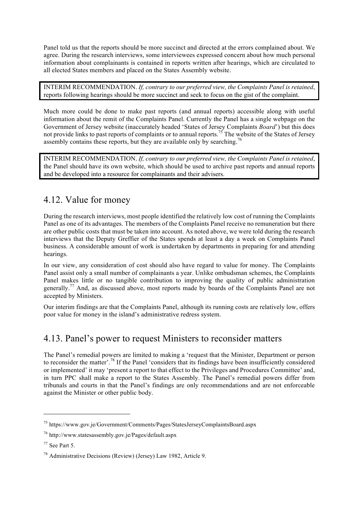Panel told us that the reports should be more succinct and directed at the errors complained about. We agree. During the research interviews, some interviewees expressed concern about how much personal information about complainants is contained in reports written after hearings, which are circulated to all elected States members and placed on the States Assembly website.

INTERIM RECOMMENDATION. *If, contrary to our preferred view, the Complaints Panel is retained*, reports following hearings should be more succinct and seek to focus on the gist of the complaint.

Much more could be done to make past reports (and annual reports) accessible along with useful information about the remit of the Complaints Panel. Currently the Panel has a single webpage on the Government of Jersey website (inaccurately headed 'States of Jersey Complaints *Board*') but this does not provide links to past reports of complaints or to annual reports.<sup>75</sup> The website of the States of Jersey assembly contains these reports, but they are available only by searching.<sup>76</sup>

INTERIM RECOMMENDATION. *If, contrary to our preferred view, the Complaints Panel is retained*, the Panel should have its own website, which should be used to archive past reports and annual reports and be developed into a resource for complainants and their advisers.

### 4.12. Value for money

During the research interviews, most people identified the relatively low cost of running the Complaints Panel as one of its advantages. The members of the Complaints Panel receive no remuneration but there are other public costs that must be taken into account. As noted above, we were told during the research interviews that the Deputy Greffier of the States spends at least a day a week on Complaints Panel business. A considerable amount of work is undertaken by departments in preparing for and attending hearings.

In our view, any consideration of cost should also have regard to value for money. The Complaints Panel assist only a small number of complainants a year. Unlike ombudsman schemes, the Complaints Panel makes little or no tangible contribution to improving the quality of public administration generally.<sup>77</sup> And, as discussed above, most reports made by boards of the Complaints Panel are not accepted by Ministers.

Our interim findings are that the Complaints Panel, although its running costs are relatively low, offers poor value for money in the island's administrative redress system.

# 4.13. Panel's power to request Ministers to reconsider matters

The Panel's remedial powers are limited to making a 'request that the Minister, Department or person to reconsider the matter'.<sup>78</sup> If the Panel 'considers that its findings have been insufficiently considered or implemented' it may 'present a report to that effect to the Privileges and Procedures Committee' and, in turn PPC shall make a report to the States Assembly. The Panel's remedial powers differ from tribunals and courts in that the Panel's findings are only recommendations and are not enforceable against the Minister or other public body.

<sup>75</sup> https://www.gov.je/Government/Comments/Pages/StatesJerseyComplaintsBoard.aspx

<sup>76</sup> http://www.statesassembly.gov.je/Pages/default.aspx

 $77$  See Part 5.

<sup>78</sup> Administrative Decisions (Review) (Jersey) Law 1982, Article 9.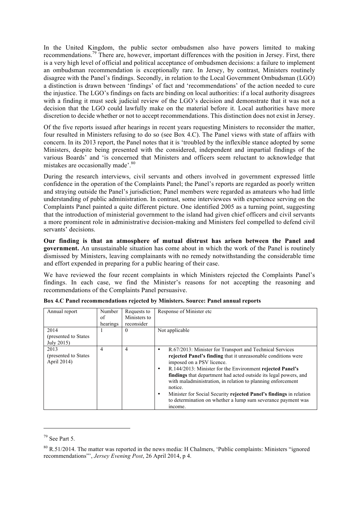In the United Kingdom, the public sector ombudsmen also have powers limited to making recommendations.79 There are, however, important differences with the position in Jersey. First, there is a very high level of official and political acceptance of ombudsmen decisions: a failure to implement an ombudsman recommendation is exceptionally rare. In Jersey, by contrast, Ministers routinely disagree with the Panel's findings. Secondly, in relation to the Local Government Ombudsman (LGO) a distinction is drawn between 'findings' of fact and 'recommendations' of the action needed to cure the injustice. The LGO's findings on facts are binding on local authorities: if a local authority disagrees with a finding it must seek judicial review of the LGO's decision and demonstrate that it was not a decision that the LGO could lawfully make on the material before it. Local authorities have more discretion to decide whether or not to accept recommendations. This distinction does not exist in Jersey.

Of the five reports issued after hearings in recent years requesting Ministers to reconsider the matter, four resulted in Ministers refusing to do so (see Box 4.C). The Panel views with state of affairs with concern. In its 2013 report, the Panel notes that it is 'troubled by the inflexible stance adopted by some Ministers, despite being presented with the considered, independent and impartial findings of the various Boards' and 'is concerned that Ministers and officers seem reluctant to acknowledge that mistakes are occasionally made'.<sup>80</sup>

During the research interviews, civil servants and others involved in government expressed little confidence in the operation of the Complaints Panel; the Panel's reports are regarded as poorly written and straying outside the Panel's jurisdiction; Panel members were regarded as amateurs who had little understanding of public administration. In contrast, some interviewees with experience serving on the Complaints Panel painted a quite different picture. One identified 2005 as a turning point, suggesting that the introduction of ministerial government to the island had given chief officers and civil servants a more prominent role in administrative decision-making and Ministers feel compelled to defend civil servants' decisions.

Our finding is that an atmosphere of mutual distrust has arisen between the Panel and government. An unsustainable situation has come about in which the work of the Panel is routinely dismissed by Ministers, leaving complainants with no remedy notwithstanding the considerable time and effort expended in preparing for a public hearing of their case.

We have reviewed the four recent complaints in which Ministers rejected the Complaints Panel's findings. In each case, we find the Minister's reasons for not accepting the reasoning and recommendations of the Complaints Panel persuasive.

| Annual report<br>2014                        | Number<br>of<br>hearings | Requests to<br>Ministers to<br>reconsider<br>$\Omega$ | Response of Minister etc.<br>Not applicable                                                                                                                                                                                                                                                                                                                                                                                                                                                                                                      |
|----------------------------------------------|--------------------------|-------------------------------------------------------|--------------------------------------------------------------------------------------------------------------------------------------------------------------------------------------------------------------------------------------------------------------------------------------------------------------------------------------------------------------------------------------------------------------------------------------------------------------------------------------------------------------------------------------------------|
| (presented to States)<br>July 2015)          |                          |                                                       |                                                                                                                                                                                                                                                                                                                                                                                                                                                                                                                                                  |
| 2013<br>(presented to States)<br>April 2014) | 4                        | $\overline{4}$                                        | R.67/2013: Minister for Transport and Technical Services<br>٠<br>rejected Panel's finding that it unreasonable conditions were<br>imposed on a PSV licence.<br>R.144/2013: Minister for the Environment rejected Panel's<br>$\bullet$<br><b>findings</b> that department had acted outside its legal powers, and<br>with maladministration, in relation to planning enforcement<br>notice.<br>Minister for Social Security rejected Panel's findings in relation<br>٠<br>to determination on whether a lump sum severance payment was<br>income. |

Box 4.C Panel recommendations rejected by Ministers. Source: Panel annual reports

 $\overline{a}$ 

 $79$  See Part 5.

<sup>&</sup>lt;sup>80</sup> R.51/2014. The matter was reported in the news media: H Chalmers, 'Public complaints: Ministers "ignored" recommendations"', *Jersey Evening Post*, 26 April 2014, p 4.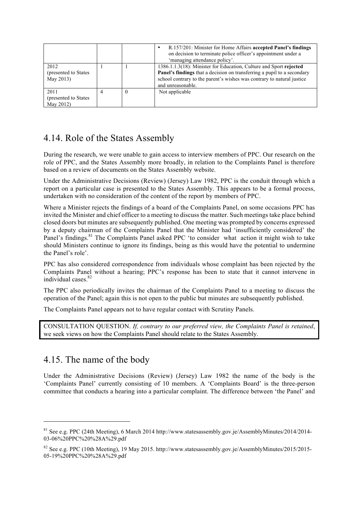|                                            |     | R.157/201: Minister for Home Affairs accepted Panel's findings<br>on decision to terminate police officer's appointment under a<br>'managing attendance policy'                                                                              |
|--------------------------------------------|-----|----------------------------------------------------------------------------------------------------------------------------------------------------------------------------------------------------------------------------------------------|
| 2012<br>(presented to States)<br>May 2013) |     | 1386.1.1.3(18): Minister for Education, Culture and Sport rejected<br>Panel's findings that a decision on transferring a pupil to a secondary<br>school contrary to the parent's wishes was contrary to natural justice<br>and unreasonable. |
| 2011<br>(presented to States)<br>May 2012) | - 0 | Not applicable                                                                                                                                                                                                                               |

# 4.14. Role of the States Assembly

During the research, we were unable to gain access to interview members of PPC. Our research on the role of PPC, and the States Assembly more broadly, in relation to the Complaints Panel is therefore based on a review of documents on the States Assembly website.

Under the Administrative Decisions (Review) (Jersey) Law 1982, PPC is the conduit through which a report on a particular case is presented to the States Assembly. This appears to be a formal process, undertaken with no consideration of the content of the report by members of PPC.

Where a Minister rejects the findings of a board of the Complaints Panel, on some occasions PPC has invited the Minister and chief officer to a meeting to discuss the matter. Such meetings take place behind closed doors but minutes are subsequently published. One meeting was prompted by concerns expressed by a deputy chairman of the Complaints Panel that the Minister had 'insufficiently considered' the Panel's findings.<sup>81</sup> The Complaints Panel asked PPC 'to consider what action it might wish to take should Ministers continue to ignore its findings, being as this would have the potential to undermine the Panel's role'.

PPC has also considered correspondence from individuals whose complaint has been rejected by the Complaints Panel without a hearing; PPC's response has been to state that it cannot intervene in individual cases. $82$ 

The PPC also periodically invites the chairman of the Complaints Panel to a meeting to discuss the operation of the Panel; again this is not open to the public but minutes are subsequently published.

The Complaints Panel appears not to have regular contact with Scrutiny Panels.

CONSULTATION QUESTION. *If, contrary to our preferred view, the Complaints Panel is retained*, we seek views on how the Complaints Panel should relate to the States Assembly.

# 4.15. The name of the body

l

Under the Administrative Decisions (Review) (Jersey) Law 1982 the name of the body is the 'Complaints Panel' currently consisting of 10 members. A 'Complaints Board' is the three-person committee that conducts a hearing into a particular complaint. The difference between 'the Panel' and

 $81$  See e.g. PPC (24th Meeting), 6 March 2014 http://www.statesassembly.gov.je/AssemblyMinutes/2014/2014-03-06%20PPC%20%28A%29.pdf

<sup>82</sup> See e.g. PPC (10th Meeting), 19 May 2015. http://www.statesassembly.gov.je/AssemblyMinutes/2015/2015- 05-19%20PPC%20%28A%29.pdf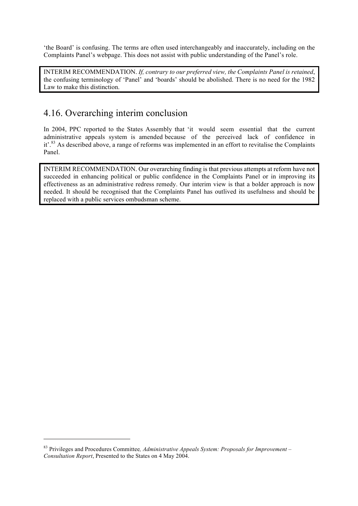'the Board' is confusing. The terms are often used interchangeably and inaccurately, including on the Complaints Panel's webpage. This does not assist with public understanding of the Panel's role.

INTERIM RECOMMENDATION. *If, contrary to our preferred view, the Complaints Panel is retained*, the confusing terminology of 'Panel' and 'boards' should be abolished. There is no need for the 1982 Law to make this distinction.

# 4.16. Overarching interim conclusion

In 2004, PPC reported to the States Assembly that 'it would seem essential that the current administrative appeals system is amended because of the perceived lack of confidence in it'.<sup>83</sup> As described above, a range of reforms was implemented in an effort to revitalise the Complaints Panel.

INTERIM RECOMMENDATION. Our overarching finding is that previous attempts at reform have not succeeded in enhancing political or public confidence in the Complaints Panel or in improving its effectiveness as an administrative redress remedy. Our interim view is that a bolder approach is now needed. It should be recognised that the Complaints Panel has outlived its usefulness and should be replaced with a public services ombudsman scheme.

<sup>83</sup> Privileges and Procedures Committee*, Administrative Appeals System: Proposals for Improvement – Consultation Report*, Presented to the States on 4 May 2004.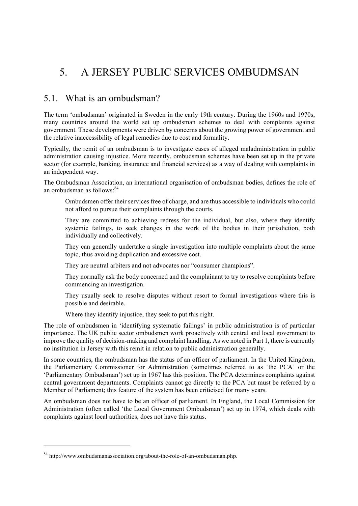# 5. A JERSEY PUBLIC SERVICES OMBUDMSAN

### 5.1. What is an ombudsman?

The term 'ombudsman' originated in Sweden in the early 19th century. During the 1960s and 1970s, many countries around the world set up ombudsman schemes to deal with complaints against government. These developments were driven by concerns about the growing power of government and the relative inaccessibility of legal remedies due to cost and formality.

Typically, the remit of an ombudsman is to investigate cases of alleged maladministration in public administration causing injustice. More recently, ombudsman schemes have been set up in the private sector (for example, banking, insurance and financial services) as a way of dealing with complaints in an independent way.

The Ombudsman Association, an international organisation of ombudsman bodies, defines the role of an ombudsman as follows: $84$ 

Ombudsmen offer their services free of charge, and are thus accessible to individuals who could not afford to pursue their complaints through the courts.

They are committed to achieving redress for the individual, but also, where they identify systemic failings, to seek changes in the work of the bodies in their jurisdiction, both individually and collectively.

They can generally undertake a single investigation into multiple complaints about the same topic, thus avoiding duplication and excessive cost.

They are neutral arbiters and not advocates nor "consumer champions".

They normally ask the body concerned and the complainant to try to resolve complaints before commencing an investigation.

They usually seek to resolve disputes without resort to formal investigations where this is possible and desirable.

Where they identify injustice, they seek to put this right.

The role of ombudsmen in 'identifying systematic failings' in public administration is of particular importance. The UK public sector ombudsmen work proactively with central and local government to improve the quality of decision-making and complaint handling. As we noted in Part 1, there is currently no institution in Jersey with this remit in relation to public administration generally.

In some countries, the ombudsman has the status of an officer of parliament. In the United Kingdom, the Parliamentary Commissioner for Administration (sometimes referred to as 'the PCA' or the 'Parliamentary Ombudsman') set up in 1967 has this position. The PCA determines complaints against central government departments. Complaints cannot go directly to the PCA but must be referred by a Member of Parliament; this feature of the system has been criticised for many years.

An ombudsman does not have to be an officer of parliament. In England, the Local Commission for Administration (often called 'the Local Government Ombudsman') set up in 1974, which deals with complaints against local authorities, does not have this status.

<sup>&</sup>lt;sup>84</sup> http://www.ombudsmanassociation.org/about-the-role-of-an-ombudsman.php.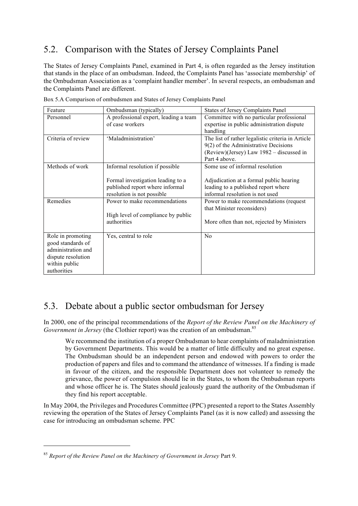# 5.2. Comparison with the States of Jersey Complaints Panel

The States of Jersey Complaints Panel, examined in Part 4, is often regarded as the Jersey institution that stands in the place of an ombudsman. Indeed, the Complaints Panel has 'associate membership' of the Ombudsman Association as a 'complaint handler member'. In several respects, an ombudsman and the Complaints Panel are different.

| Feature            | Ombudsman (typically)                 | <b>States of Jersey Complaints Panel</b>          |
|--------------------|---------------------------------------|---------------------------------------------------|
| Personnel          | A professional expert, leading a team | Committee with no particular professional         |
|                    | of case workers                       | expertise in public administration dispute        |
|                    |                                       | handling                                          |
| Criteria of review | 'Maladministration'                   | The list of rather legalistic criteria in Article |
|                    |                                       | 9(2) of the Administrative Decisions              |
|                    |                                       | (Review)(Jersey) Law 1982 – discussed in          |
|                    |                                       | Part 4 above.                                     |
| Methods of work    | Informal resolution if possible       | Some use of informal resolution                   |
|                    |                                       |                                                   |
|                    | Formal investigation leading to a     | Adjudication at a formal public hearing           |
|                    | published report where informal       | leading to a published report where               |
|                    | resolution is not possible            | informal resolution is not used                   |
| Remedies           | Power to make recommendations         | Power to make recommendations (request            |
|                    |                                       | that Minister reconsiders)                        |
|                    | High level of compliance by public    |                                                   |
|                    | authorities                           | More often than not, rejected by Ministers        |
|                    |                                       |                                                   |
| Role in promoting  | Yes, central to role                  | No                                                |
| good standards of  |                                       |                                                   |
| administration and |                                       |                                                   |
| dispute resolution |                                       |                                                   |
| within public      |                                       |                                                   |
| authorities        |                                       |                                                   |

Box 5.A Comparison of ombudsmen and States of Jersey Complaints Panel

# 5.3. Debate about a public sector ombudsman for Jersey

In 2000, one of the principal recommendations of the *Report of the Review Panel on the Machinery of Government in Jersey* (the Clothier report) was the creation of an ombudsman.<sup>85</sup>

We recommend the institution of a proper Ombudsman to hear complaints of maladministration by Government Departments. This would be a matter of little difficulty and no great expense. The Ombudsman should be an independent person and endowed with powers to order the production of papers and files and to command the attendance of witnesses. If a finding is made in favour of the citizen, and the responsible Department does not volunteer to remedy the grievance, the power of compulsion should lie in the States, to whom the Ombudsman reports and whose officer he is. The States should jealously guard the authority of the Ombudsman if they find his report acceptable.

In May 2004, the Privileges and Procedures Committee (PPC) presented a report to the States Assembly reviewing the operation of the States of Jersey Complaints Panel (as it is now called) and assessing the case for introducing an ombudsman scheme. PPC

<sup>85</sup> *Report of the Review Panel on the Machinery of Government in Jersey* Part 9.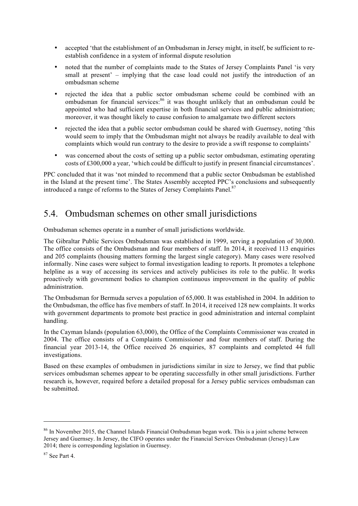- accepted 'that the establishment of an Ombudsman in Jersey might, in itself, be sufficient to reestablish confidence in a system of informal dispute resolution
- noted that the number of complaints made to the States of Jersey Complaints Panel 'is very small at present' – implying that the case load could not justify the introduction of an ombudsman scheme
- rejected the idea that a public sector ombudsman scheme could be combined with an ombudsman for financial services:<sup>86</sup> it was thought unlikely that an ombudsman could be appointed who had sufficient expertise in both financial services and public administration; moreover, it was thought likely to cause confusion to amalgamate two different sectors
- rejected the idea that a public sector ombudsman could be shared with Guernsey, noting 'this would seem to imply that the Ombudsman might not always be readily available to deal with complaints which would run contrary to the desire to provide a swift response to complaints'
- was concerned about the costs of setting up a public sector ombudsman, estimating operating costs of £300,000 a year, 'which could be difficult to justify in present financial circumstances'.

PPC concluded that it was 'not minded to recommend that a public sector Ombudsman be established in the Island at the present time'. The States Assembly accepted PPC's conclusions and subsequently introduced a range of reforms to the States of Jersey Complaints Panel.<sup>87</sup>

# 5.4. Ombudsman schemes on other small jurisdictions

Ombudsman schemes operate in a number of small jurisdictions worldwide.

The Gibraltar Public Services Ombudsman was established in 1999, serving a population of 30,000. The office consists of the Ombudsman and four members of staff. In 2014, it received 113 enquiries and 205 complaints (housing matters forming the largest single category). Many cases were resolved informally. Nine cases were subject to formal investigation leading to reports. It promotes a telephone helpline as a way of accessing its services and actively publicises its role to the public. It works proactively with government bodies to champion continuous improvement in the quality of public administration.

The Ombudsman for Bermuda serves a population of 65,000. It was established in 2004. In addition to the Ombudsman, the office has five members of staff. In 2014, it received 128 new complaints. It works with government departments to promote best practice in good administration and internal complaint handling.

In the Cayman Islands (population 63,000), the Office of the Complaints Commissioner was created in 2004. The office consists of a Complaints Commissioner and four members of staff. During the financial year 2013-14, the Office received 26 enquiries, 87 complaints and completed 44 full investigations.

Based on these examples of ombudsmen in jurisdictions similar in size to Jersey, we find that public services ombudsman schemes appear to be operating successfully in other small jurisdictions. Further research is, however, required before a detailed proposal for a Jersey public services ombudsman can be submitted.

<sup>&</sup>lt;sup>86</sup> In November 2015, the Channel Islands Financial Ombudsman began work. This is a joint scheme between Jersey and Guernsey. In Jersey, the CIFO operates under the Financial Services Ombudsman (Jersey) Law 2014; there is corresponding legislation in Guernsey.

 $87$  See Part 4.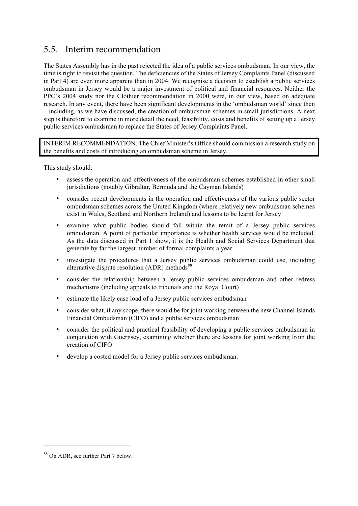## 5.5. Interim recommendation

The States Assembly has in the past rejected the idea of a public services ombudsman. In our view, the time is right to revisit the question. The deficiencies of the States of Jersey Complaints Panel (discussed in Part 4) are even more apparent than in 2004. We recognise a decision to establish a public services ombudsman in Jersey would be a major investment of political and financial resources. Neither the PPC's 2004 study nor the Clothier recommendation in 2000 were, in our view, based on adequate research. In any event, there have been significant developments in the 'ombudsman world' since then – including, as we have discussed, the creation of ombudsman schemes in small jurisdictions. A next step is therefore to examine in more detail the need, feasibility, costs and benefits of setting up a Jersey public services ombudsman to replace the States of Jersey Complaints Panel.

INTERIM RECOMMENDATION. The Chief Minister's Office should commission a research study on the benefits and costs of introducing an ombudsman scheme in Jersey.

This study should:

- assess the operation and effectiveness of the ombudsman schemes established in other small jurisdictions (notably Gibraltar, Bermuda and the Cayman Islands)
- consider recent developments in the operation and effectiveness of the various public sector ombudsman schemes across the United Kingdom (where relatively new ombudsman schemes exist in Wales, Scotland and Northern Ireland) and lessons to be learnt for Jersey
- examine what public bodies should fall within the remit of a Jersey public services ombudsman. A point of particular importance is whether health services would be included. As the data discussed in Part 1 show, it is the Health and Social Services Department that generate by far the largest number of formal complaints a year
- investigate the procedures that a Jersey public services ombudsman could use, including alternative dispute resolution  $(ADR)$  methods<sup>88</sup>
- consider the relationship between a Jersey public services ombudsman and other redress mechanisms (including appeals to tribunals and the Royal Court)
- estimate the likely case load of a Jersey public services ombudsman
- consider what, if any scope, there would be for joint working between the new Channel Islands Financial Ombudsman (CIFO) and a public services ombudsman
- consider the political and practical feasibility of developing a public services ombudsman in conjunction with Guernsey, examining whether there are lessons for joint working from the creation of CIFO
- develop a costed model for a Jersey public services ombudsman.

<sup>88</sup> On ADR, see further Part 7 below.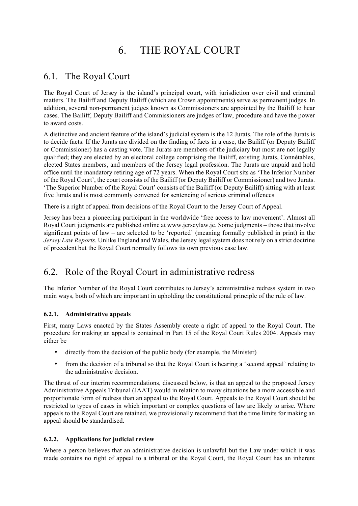# 6. THE ROYAL COURT

# 6.1. The Royal Court

The Royal Court of Jersey is the island's principal court, with jurisdiction over civil and criminal matters. The Bailiff and Deputy Bailiff (which are Crown appointments) serve as permanent judges. In addition, several non-permanent judges known as Commissioners are appointed by the Bailiff to hear cases. The Bailiff, Deputy Bailiff and Commissioners are judges of law, procedure and have the power to award costs.

A distinctive and ancient feature of the island's judicial system is the 12 Jurats. The role of the Jurats is to decide facts. If the Jurats are divided on the finding of facts in a case, the Bailiff (or Deputy Bailiff or Commissioner) has a casting vote. The Jurats are members of the judiciary but most are not legally qualified; they are elected by an electoral college comprising the Bailiff, existing Jurats, Connétables, elected States members, and members of the Jersey legal profession. The Jurats are unpaid and hold office until the mandatory retiring age of 72 years. When the Royal Court sits as 'The Inferior Number of the Royal Court', the court consists of the Bailiff (or Deputy Bailiff or Commissioner) and two Jurats. 'The Superior Number of the Royal Court' consists of the Bailiff (or Deputy Bailiff) sitting with at least five Jurats and is most commonly convened for sentencing of serious criminal offences

There is a right of appeal from decisions of the Royal Court to the Jersey Court of Appeal.

Jersey has been a pioneering participant in the worldwide 'free access to law movement'. Almost all Royal Court judgments are published online at www.jerseylaw.je. Some judgments – those that involve significant points of law – are selected to be 'reported' (meaning formally published in print) in the *Jersey Law Reports*. Unlike England and Wales, the Jersey legal system does not rely on a strict doctrine of precedent but the Royal Court normally follows its own previous case law.

# 6.2. Role of the Royal Court in administrative redress

The Inferior Number of the Royal Court contributes to Jersey's administrative redress system in two main ways, both of which are important in upholding the constitutional principle of the rule of law.

#### 6.2.1. Administrative appeals

First, many Laws enacted by the States Assembly create a right of appeal to the Royal Court. The procedure for making an appeal is contained in Part 15 of the Royal Court Rules 2004. Appeals may either be

- directly from the decision of the public body (for example, the Minister)
- from the decision of a tribunal so that the Royal Court is hearing a 'second appeal' relating to the administrative decision.

The thrust of our interim recommendations, discussed below, is that an appeal to the proposed Jersey Administrative Appeals Tribunal (JAAT) would in relation to many situations be a more accessible and proportionate form of redress than an appeal to the Royal Court. Appeals to the Royal Court should be restricted to types of cases in which important or complex questions of law are likely to arise. Where appeals to the Royal Court are retained, we provisionally recommend that the time limits for making an appeal should be standardised.

#### 6.2.2. Applications for judicial review

Where a person believes that an administrative decision is unlawful but the Law under which it was made contains no right of appeal to a tribunal or the Royal Court, the Royal Court has an inherent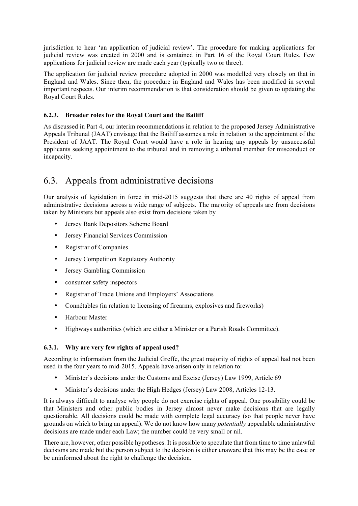jurisdiction to hear 'an application of judicial review'. The procedure for making applications for judicial review was created in 2000 and is contained in Part 16 of the Royal Court Rules. Few applications for judicial review are made each year (typically two or three).

The application for judicial review procedure adopted in 2000 was modelled very closely on that in England and Wales. Since then, the procedure in England and Wales has been modified in several important respects. Our interim recommendation is that consideration should be given to updating the Royal Court Rules.

#### 6.2.3. Broader roles for the Royal Court and the Bailiff

As discussed in Part 4, our interim recommendations in relation to the proposed Jersey Administrative Appeals Tribunal (JAAT) envisage that the Bailiff assumes a role in relation to the appointment of the President of JAAT. The Royal Court would have a role in hearing any appeals by unsuccessful applicants seeking appointment to the tribunal and in removing a tribunal member for misconduct or incapacity.

# 6.3. Appeals from administrative decisions

Our analysis of legislation in force in mid-2015 suggests that there are 40 rights of appeal from administrative decisions across a wide range of subjects. The majority of appeals are from decisions taken by Ministers but appeals also exist from decisions taken by

- Jersey Bank Depositors Scheme Board
- Jersey Financial Services Commission
- Registrar of Companies
- Jersey Competition Regulatory Authority
- Jersey Gambling Commission
- consumer safety inspectors
- Registrar of Trade Unions and Employers' Associations
- Connétables (in relation to licensing of firearms, explosives and fireworks)
- Harbour Master
- Highways authorities (which are either a Minister or a Parish Roads Committee).

#### 6.3.1. Why are very few rights of appeal used?

According to information from the Judicial Greffe, the great majority of rights of appeal had not been used in the four years to mid-2015. Appeals have arisen only in relation to:

- Minister's decisions under the Customs and Excise (Jersey) Law 1999, Article 69
- Minister's decisions under the High Hedges (Jersey) Law 2008, Articles 12-13.

It is always difficult to analyse why people do not exercise rights of appeal. One possibility could be that Ministers and other public bodies in Jersey almost never make decisions that are legally questionable. All decisions could be made with complete legal accuracy (so that people never have grounds on which to bring an appeal). We do not know how many *potentially* appealable administrative decisions are made under each Law; the number could be very small or nil.

There are, however, other possible hypotheses. It is possible to speculate that from time to time unlawful decisions are made but the person subject to the decision is either unaware that this may be the case or be uninformed about the right to challenge the decision.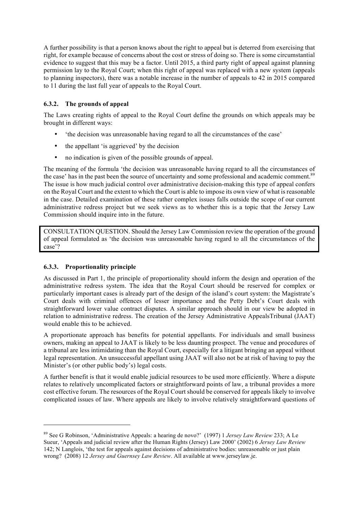A further possibility is that a person knows about the right to appeal but is deterred from exercising that right, for example because of concerns about the cost or stress of doing so. There is some circumstantial evidence to suggest that this may be a factor. Until 2015, a third party right of appeal against planning permission lay to the Royal Court; when this right of appeal was replaced with a new system (appeals to planning inspectors), there was a notable increase in the number of appeals to 42 in 2015 compared to 11 during the last full year of appeals to the Royal Court.

#### 6.3.2. The grounds of appeal

The Laws creating rights of appeal to the Royal Court define the grounds on which appeals may be brought in different ways:

- 'the decision was unreasonable having regard to all the circumstances of the case'
- the appellant 'is aggrieved' by the decision
- no indication is given of the possible grounds of appeal.

The meaning of the formula 'the decision was unreasonable having regard to all the circumstances of the case' has in the past been the source of uncertainty and some professional and academic comment.<sup>89</sup> The issue is how much judicial control over administrative decision-making this type of appeal confers on the Royal Court and the extent to which the Court is able to impose its own view of what is reasonable in the case. Detailed examination of these rather complex issues falls outside the scope of our current administrative redress project but we seek views as to whether this is a topic that the Jersey Law Commission should inquire into in the future.

CONSULTATION QUESTION. Should the Jersey Law Commission review the operation of the ground of appeal formulated as 'the decision was unreasonable having regard to all the circumstances of the case'?

#### 6.3.3. Proportionality principle

l

As discussed in Part 1, the principle of proportionality should inform the design and operation of the administrative redress system. The idea that the Royal Court should be reserved for complex or particularly important cases is already part of the design of the island's court system: the Magistrate's Court deals with criminal offences of lesser importance and the Petty Debt's Court deals with straightforward lower value contract disputes. A similar approach should in our view be adopted in relation to administrative redress. The creation of the Jersey Administrative AppealsTribunal (JAAT) would enable this to be achieved.

A proportionate approach has benefits for potential appellants. For individuals and small business owners, making an appeal to JAAT is likely to be less daunting prospect. The venue and procedures of a tribunal are less intimidating than the Royal Court, especially for a litigant bringing an appeal without legal representation. An unsuccessful appellant using JAAT will also not be at risk of having to pay the Minister's (or other public body's) legal costs.

A further benefit is that it would enable judicial resources to be used more efficiently. Where a dispute relates to relatively uncomplicated factors or straightforward points of law, a tribunal provides a more cost effective forum. The resources of the Royal Court should be conserved for appeals likely to involve complicated issues of law. Where appeals are likely to involve relatively straightforward questions of

<sup>89</sup> See G Robinson, 'Administrative Appeals: a hearing de novo?' (1997) 1 *Jersey Law Review* 233; A Le Sueur, 'Appeals and judicial review after the Human Rights (Jersey) Law 2000' (2002) 6 *Jersey Law Review* 142; N Langlois, 'the test for appeals against decisions of administrative bodies: unreasonable or just plain wrong? (2008) 12 *Jersey and Guernsey Law Review*. All available at www.jerseylaw.je.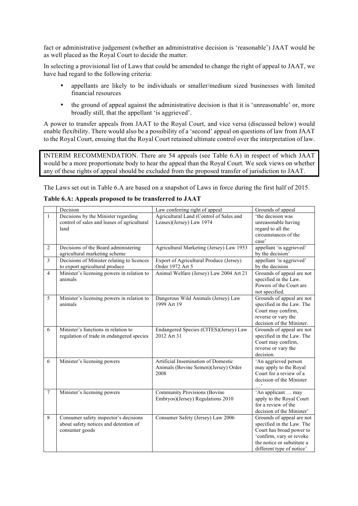fact or administrative judgement (whether an administrative decision is 'reasonable') JAAT would be as well placed as the Royal Court to decide the matter.

In selecting a provisional list of Laws that could be amended to change the right of appeal to JAAT, we have had regard to the following criteria:

- appellants are likely to be individuals or smaller/medium sized businesses with limited financial resources
- the ground of appeal against the administrative decision is that it is 'unreasonable' or, more broadly still, that the appellant 'is aggrieved'.

A power to transfer appeals from JAAT to the Royal Court, and vice versa (discussed below) would enable flexibility. There would also be a possibility of a 'second' appeal on questions of law from JAAT to the Royal Court, ensuing that the Royal Court retained ultimate control over the interpretation of law.

INTERIM RECOMMENDATION. There are 54 appeals (see Table 6.A) in respect of which JAAT would be a more proportionate body to hear the appeal than the Royal Court. We seek views on whether any of these rights of appeal should be excluded from the proposed transfer of jurisdiction to JAAT.

The Laws set out in Table 6.A are based on a snapshot of Laws in force during the first half of 2015.

|                 | Decision                                                                                         | Law conferring right of appeal                                                      | Grounds of appeal                                                                                                                                                         |
|-----------------|--------------------------------------------------------------------------------------------------|-------------------------------------------------------------------------------------|---------------------------------------------------------------------------------------------------------------------------------------------------------------------------|
| $\mathbf{1}$    | Decisions by the Minister regarding<br>control of sales and leases of agricultural<br>land       | Agricultural Land (Control of Sales and<br>Leases)(Jersey) Law 1974                 | 'the decision was<br>unreasonable having<br>regard to all the<br>circumstances of the<br>case'                                                                            |
| 2               | Decisions of the Board administering<br>agricultural marketing scheme                            | Agricultural Marketing (Jersey) Law 1953                                            | appellant 'is aggrieved'<br>by the decision'                                                                                                                              |
| $\overline{3}$  | Decisions of Minister relating to licences<br>to export agricultural produce                     | Export of Agricultural Produce (Jersey)<br>Order 1972 Art 5                         | appellant 'is aggrieved'<br>by the decision                                                                                                                               |
| $\overline{4}$  | Minister's licensing powers in relation to<br>animals                                            | Animal Welfare (Jersey) Law 2004 Art 21                                             | Grounds of appeal are not<br>specified in the Law.<br>Powers of the Court are<br>not specified.                                                                           |
| 5               | Minister's licensing powers in relation to<br>animals                                            | Dangerous Wild Animals (Jersey) Law<br>1999 Art 19                                  | Grounds of appeal are not<br>specified in the Law. The<br>Court may confirm,<br>reverse or vary the<br>decision of the Minister.                                          |
| 6               | Minister's functions in relation to<br>regulation of trade in endangered species                 | Endangered Species (CITES)(Jersey) Law<br>2012 Art 31                               | Grounds of appeal are not<br>specified in the Law. The<br>Court may confirm,<br>reverse or vary the<br>decision.                                                          |
| 6               | Minister's licensing powers                                                                      | Artificial Insemination of Domestic<br>Animals (Bovine Semen)(Jersey) Order<br>2008 | 'An aggrieved person<br>may apply to the Royal<br>Court for a review of a<br>decision of the Minister                                                                     |
| $7\phantom{.0}$ | Minister's licensing powers                                                                      | <b>Community Provisions (Bovine</b><br>Embryos)(Jersey) Regulations 2010            | 'An applicant  may<br>apply to the Royal Court<br>for a review of the<br>decision of the Minister'                                                                        |
| 8               | Consumer safety inspector's decisions<br>about safety notices and detention of<br>consumer goods | Consumer Safety (Jersey) Law 2006                                                   | Grounds of appeal are not<br>specified in the Law. The<br>Court has broad power to<br>'confirm, vary or revoke<br>the notice or substitute a<br>different type of notice' |

#### Table 6.A: Appeals proposed to be transferred to JAAT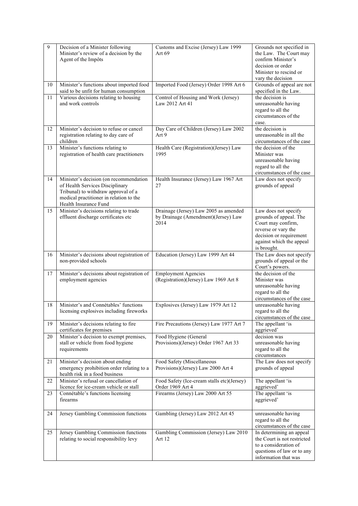| 9  | Decision of a Minister following<br>Minister's review of a decision by the<br>Agent of the Impôts                                                                                    | Customs and Excise (Jersey) Law 1999<br>Art 69                                       | Grounds not specified in<br>the Law. The Court may<br>confirm Minister's<br>decision or order<br>Minister to rescind or<br>vary the decision                      |
|----|--------------------------------------------------------------------------------------------------------------------------------------------------------------------------------------|--------------------------------------------------------------------------------------|-------------------------------------------------------------------------------------------------------------------------------------------------------------------|
| 10 | Minister's functions about imported food<br>said to be unfit for human consumption                                                                                                   | Imported Food (Jersey) Order 1998 Art 6                                              | Grounds of appeal are not<br>specified in the Law.                                                                                                                |
| 11 | Various decisions relating to housing<br>and work controls                                                                                                                           | Control of Housing and Work (Jersey)<br>Law 2012 Art 41                              | the decision is<br>unreasonable having<br>regard to all the<br>circumstances of the<br>case.                                                                      |
| 12 | Minister's decision to refuse or cancel<br>registration relating to day care of<br>children                                                                                          | Day Care of Children (Jersey) Law 2002<br>Art 9                                      | the decision is<br>unreasonable in all the<br>circumstances of the case                                                                                           |
| 13 | Minister's functions relating to<br>registration of health care practitioners                                                                                                        | Health Care (Registration)(Jersey) Law<br>1995                                       | the decision of the<br>Minister was<br>unreasonable having<br>regard to all the<br>circumstances of the case                                                      |
| 14 | Minister's decision (on recommendation<br>of Health Services Disciplinary<br>Tribunal) to withdraw approval of a<br>medical practitioner in relation to the<br>Health Insurance Fund | Health Insurance (Jersey) Law 1967 Art<br>27                                         | Law does not specify<br>grounds of appeal                                                                                                                         |
| 15 | Minister's decisions relating to trade<br>effluent discharge certificates etc                                                                                                        | Drainage (Jersey) Law 2005 as amended<br>by Drainage (Amendment)(Jersey) Law<br>2014 | Law does not specify<br>grounds of appeal. The<br>Court may confirm,<br>reverse or vary the<br>decision or requirement<br>against which the appeal<br>is brought. |
| 16 | Minister's decisions about registration of<br>non-provided schools                                                                                                                   | Education (Jersey) Law 1999 Art 44                                                   | The Law does not specify<br>grounds of appeal or the<br>Court's powers.                                                                                           |
| 17 | Minister's decisions about registration of<br>employment agencies                                                                                                                    | <b>Employment Agencies</b><br>(Registration)(Jersey) Law 1969 Art 8                  | the decision of the<br>Minister was<br>unreasonable having<br>regard to all the<br>circumstances of the case                                                      |
| 18 | Minister's and Connétables' functions<br>licensing explosives including fireworks                                                                                                    | Explosives (Jersey) Law 1979 Art 12                                                  | unreasonable having<br>regard to all the<br>circumstances of the case                                                                                             |
| 19 | Minister's decisions relating to fire<br>certificates for premises                                                                                                                   | Fire Precautions (Jersey) Law 1977 Art 7                                             | The appellant 'is<br>aggrieved'                                                                                                                                   |
| 20 | Minister's decision to exempt premises,<br>stall or vehicle from food hygiene<br>requirements                                                                                        | Food Hygiene (General<br>Provisions)(Jersey) Order 1967 Art 33                       | decision was<br>unreasonable having<br>regard to all the<br>circumstances                                                                                         |
| 21 | Minister's decision about ending<br>emergency prohibition order relating to a<br>health risk in a food business                                                                      | Food Safety (Miscellaneous<br>Provisions)(Jersey) Law 2000 Art 4                     | The Law does not specify<br>grounds of appeal                                                                                                                     |
| 22 | Minister's refusal or cancellation of<br>licence for ice-cream vehicle or stall                                                                                                      | Food Safety (Ice-cream stalls etc)(Jersey)<br>Order 1969 Art 4                       | The appellant 'is<br>aggrieved'                                                                                                                                   |
| 23 | Connétable's functions licensing<br>firearms                                                                                                                                         | Firearms (Jersey) Law 2000 Art 55                                                    | The appellant 'is<br>aggrieved'                                                                                                                                   |
| 24 | Jersey Gambling Commission functions                                                                                                                                                 | Gambling (Jersey) Law 2012 Art 45                                                    | unreasonable having<br>regard to all the<br>circumstances of the case                                                                                             |
| 25 | Jersey Gambling Commission functions<br>relating to social responsibility levy                                                                                                       | Gambling Commission (Jersey) Law 2010<br>Art 12                                      | In determining an appeal<br>the Court is not restricted<br>to a consideration of<br>questions of law or to any<br>information that was                            |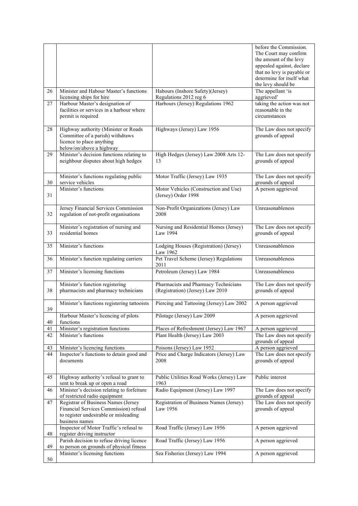|    |                                                                                                                                          |                                                                          | before the Commission.<br>The Court may confirm<br>the amount of the levy<br>appealed against, declare<br>that no levy is payable or<br>determine for itself what<br>the levy should be |
|----|------------------------------------------------------------------------------------------------------------------------------------------|--------------------------------------------------------------------------|-----------------------------------------------------------------------------------------------------------------------------------------------------------------------------------------|
| 26 | Minister and Habour Master's functions<br>licensing ships for hire                                                                       | Habours (Inshore Safety)(Jersey)<br>Regulations 2012 reg 6               | The appellant 'is<br>aggrieved'                                                                                                                                                         |
| 27 | Harbour Master's designation of<br>facilities or services in a harbour where<br>permit is required                                       | Harbours (Jersey) Regulations 1962                                       | taking the action was not<br>reasonable in the<br>circumstances                                                                                                                         |
| 28 | Highway authority (Minister or Roads<br>Committee of a parish) withdraws<br>licence to place anything<br>below/on/above a highway        | Highways (Jersey) Law 1956                                               | The Law does not specify<br>grounds of appeal                                                                                                                                           |
| 29 | Minister's decision functions relating to<br>neighbour disputes about high hedges                                                        | High Hedges (Jersey) Law 2008 Arts 12-<br>13                             | The Law does not specify<br>grounds of appeal                                                                                                                                           |
| 30 | Minister's functions regulating public<br>service vehicles                                                                               | Motor Traffic (Jersey) Law 1935                                          | The Law does not specify<br>grounds of appeal                                                                                                                                           |
| 31 | Minister's functions                                                                                                                     | Motor Vehicles (Construction and Use)<br>(Jersey) Order 1998             | A person aggrieved                                                                                                                                                                      |
| 32 | Jersey Financial Services Commission<br>regulation of not-profit organisations                                                           | Non-Profit Organizations (Jersey) Law<br>2008                            | Unreasonableness                                                                                                                                                                        |
| 33 | Minister's registration of nursing and<br>residential homes                                                                              | Nursing and Residential Homes (Jersey)<br>Law 1994                       | The Law does not specify<br>grounds of appeal                                                                                                                                           |
| 35 | Minister's functions                                                                                                                     | Lodging Houses (Registration) (Jersey)<br>Law 1962                       | Unreasonableness                                                                                                                                                                        |
| 36 | Minister's function regulating carriers                                                                                                  | Pet Travel Scheme (Jersey) Regulations<br>2011                           | Unreasonableness                                                                                                                                                                        |
| 37 | Minister's licensing functions                                                                                                           | Petroleum (Jersey) Law 1984                                              | Unreasonableness                                                                                                                                                                        |
| 38 | Minister's function registering<br>pharmacists and pharmacy technicians                                                                  | Pharmacists and Pharmacy Technicians<br>(Registration) (Jersey) Law 2010 | The Law does not specify<br>grounds of appeal                                                                                                                                           |
| 39 | Minister's functions registering tattooists                                                                                              | Piercing and Tattooing (Jersey) Law 2002                                 | A person aggrieved                                                                                                                                                                      |
| 40 | Harbour Master's licencing of pilots<br>functions                                                                                        | Pilotage (Jersey) Law 2009                                               | A person aggrieved                                                                                                                                                                      |
| 41 | Minister's registration functions                                                                                                        | Places of Refreshment (Jersey) Law 1967                                  | A person aggrieved                                                                                                                                                                      |
| 42 | Minister's functions                                                                                                                     | Plant Health (Jersey) Law 2003                                           | The Law does not specify<br>grounds of appeal                                                                                                                                           |
| 43 | Minister's licencing functions                                                                                                           | Poisons (Jersey) Law 1952                                                | A person aggrieved                                                                                                                                                                      |
| 44 | Inspector's functions to detain good and<br>documents                                                                                    | Price and Charge Indicators (Jersey) Law<br>2008                         | The Law does not specify<br>grounds of appeal                                                                                                                                           |
| 45 | Highway authority's refusal to grant to<br>sent to break up or open a road                                                               | Public Utilities Road Works (Jersey) Law<br>1963                         | Public interest                                                                                                                                                                         |
| 46 | Minister's decision relating to forfeiture<br>of restricted radio equipment                                                              | Radio Equipment (Jersey) Law 1997                                        | The Law does not specify<br>grounds of appeal                                                                                                                                           |
| 47 | Registrar of Business Names (Jersey<br>Financial Services Commission) refusal<br>to register undesirable or misleading<br>business names | Registration of Business Names (Jersey)<br>Law 1956                      | The Law does not specify<br>grounds of appeal                                                                                                                                           |
| 48 | Inspector of Motor Traffic's refusal to<br>register driving instructor                                                                   | Road Traffic (Jersey) Law 1956                                           | A person aggrieved                                                                                                                                                                      |
| 49 | Parish decision to refuse driving licence<br>to person on grounds of physical fitness                                                    | Road Traffic (Jersey) Law 1956                                           | A person aggrieved                                                                                                                                                                      |
| 50 | Minister's licensing functions                                                                                                           | Sea Fisheries (Jersey) Law 1994                                          | A person aggrieved                                                                                                                                                                      |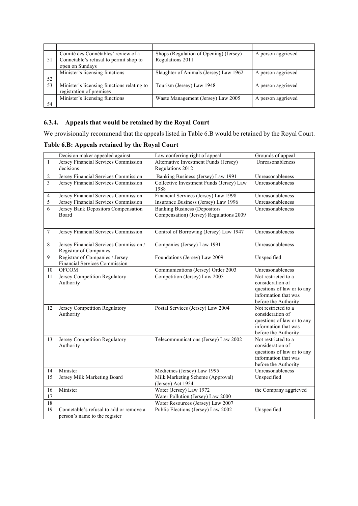|    | Comité des Connétables' review of a        | Shops (Regulation of Opening) (Jersey) | A person aggrieved |
|----|--------------------------------------------|----------------------------------------|--------------------|
| 51 | Connetable's refusal to permit shop to     | Regulations 2011                       |                    |
|    | open on Sundays                            |                                        |                    |
|    | Minister's licensing functions             | Slaughter of Animals (Jersey) Law 1962 | A person aggrieved |
| 52 |                                            |                                        |                    |
| 53 | Minister's licensing functions relating to | Tourism (Jersey) Law 1948              | A person aggrieved |
|    | registration of premises                   |                                        |                    |
|    | Minister's licensing functions             | Waste Management (Jersey) Law 2005     | A person aggrieved |
| 54 |                                            |                                        |                    |

#### 6.3.4. Appeals that would be retained by the Royal Court

We provisionally recommend that the appeals listed in Table 6.B would be retained by the Royal Court.

### Table 6.B: Appeals retained by the Royal Court

|                 | Decision maker appealed against                                          | Law conferring right of appeal                                                 | Grounds of appeal                                                                                                     |
|-----------------|--------------------------------------------------------------------------|--------------------------------------------------------------------------------|-----------------------------------------------------------------------------------------------------------------------|
| $\mathbf{1}$    | Jersey Financial Services Commission<br>decisions                        | Alternative Investment Funds (Jersey)<br>Regulations 2012                      | Unreasonableness                                                                                                      |
| 2               | Jersey Financial Services Commission                                     | Banking Business (Jersey) Law 1991                                             | Unreasonableness                                                                                                      |
| 3               | Jersey Financial Services Commission                                     | Collective Investment Funds (Jersey) Law<br>1988                               | Unreasonableness                                                                                                      |
| 4               | Jersey Financial Services Commission                                     | Financial Services (Jersey) Law 1998                                           | Unreasonableness                                                                                                      |
| 5               | Jersey Financial Services Commission                                     | Insurance Business (Jersey) Law 1996                                           | Unreasonableness                                                                                                      |
| 6               | Jersey Bank Depositors Compensation<br>Board                             | <b>Banking Business (Depositors</b><br>Compensation) (Jersey) Regulations 2009 | Unreasonableness                                                                                                      |
| 7               | Jersey Financial Services Commission                                     | Control of Borrowing (Jersey) Law 1947                                         | Unreasonableness                                                                                                      |
| 8               | Jersey Financial Services Commission /<br>Registrar of Companies         | Companies (Jersey) Law 1991                                                    | Unreasonableness                                                                                                      |
| 9               | Registrar of Companies / Jersey<br><b>Financial Services Commission</b>  | Foundations (Jersey) Law 2009                                                  | Unspecified                                                                                                           |
| 10              | <b>OFCOM</b>                                                             | Communications (Jersey) Order 2003                                             | Unreasonableness                                                                                                      |
| 11              | Jersey Competition Regulatory<br>Authority                               | Competition (Jersey) Law 2005                                                  | Not restricted to a<br>consideration of<br>questions of law or to any<br>information that was<br>before the Authority |
| 12              | Jersey Competition Regulatory<br>Authority                               | Postal Services (Jersey) Law 2004                                              | Not restricted to a<br>consideration of<br>questions of law or to any<br>information that was<br>before the Authority |
| 13              | Jersey Competition Regulatory<br>Authority                               | Telecommunications (Jersey) Law 2002                                           | Not restricted to a<br>consideration of<br>questions of law or to any<br>information that was<br>before the Authority |
| 14              | Minister                                                                 | Medicines (Jersey) Law 1995                                                    | Unreasonableness                                                                                                      |
| 15              | Jersey Milk Marketing Board                                              | Milk Marketing Scheme (Approval)<br>(Jersey) Act 1954                          | Unspecified                                                                                                           |
| 16              | Minister                                                                 | Water (Jersey) Law 1972                                                        | the Company aggrieved                                                                                                 |
| $\overline{17}$ |                                                                          | Water Pollution (Jersey) Law 2000                                              |                                                                                                                       |
| 18              |                                                                          | Water Resources (Jersey) Law 2007                                              |                                                                                                                       |
| 19              | Connetable's refusal to add or remove a<br>person's name to the register | Public Elections (Jersey) Law 2002                                             | Unspecified                                                                                                           |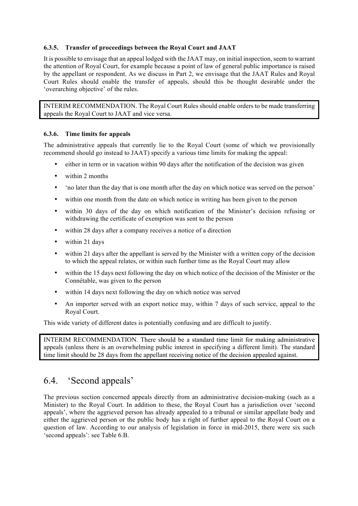#### 6.3.5. Transfer of proceedings between the Royal Court and JAAT

It is possible to envisage that an appeal lodged with the JAAT may, on initial inspection, seem to warrant the attention of Royal Court, for example because a point of law of general public importance is raised by the appellant or respondent. As we discuss in Part 2, we envisage that the JAAT Rules and Royal Court Rules should enable the transfer of appeals, should this be thought desirable under the 'overarching objective' of the rules.

INTERIM RECOMMENDATION. The Royal Court Rules should enable orders to be made transferring appeals the Royal Court to JAAT and vice versa.

#### 6.3.6. Time limits for appeals

The administrative appeals that currently lie to the Royal Court (some of which we provisionally recommend should go instead to JAAT) specify a various time limits for making the appeal:

- either in term or in vacation within 90 days after the notification of the decision was given
- within 2 months
- 'no later than the day that is one month after the day on which notice was served on the person'
- within one month from the date on which notice in writing has been given to the person
- within 30 days of the day on which notification of the Minister's decision refusing or withdrawing the certificate of exemption was sent to the person
- within 28 days after a company receives a notice of a direction
- within 21 days
- within 21 days after the appellant is served by the Minister with a written copy of the decision to which the appeal relates, or within such further time as the Royal Court may allow
- within the 15 days next following the day on which notice of the decision of the Minister or the Connétable, was given to the person
- within 14 days next following the day on which notice was served
- An importer served with an export notice may, within 7 days of such service, appeal to the Royal Court.

This wide variety of different dates is potentially confusing and are difficult to justify.

INTERIM RECOMMENDATION. There should be a standard time limit for making administrative appeals (unless there is an overwhelming public interest in specifying a different limit). The standard time limit should be 28 days from the appellant receiving notice of the decision appealed against.

### 6.4. 'Second appeals'

The previous section concerned appeals directly from an administrative decision-making (such as a Minister) to the Royal Court. In addition to these, the Royal Court has a jurisdiction over 'second appeals', where the aggrieved person has already appealed to a tribunal or similar appellate body and either the aggrieved person or the public body has a right of further appeal to the Royal Court on a question of law. According to our analysis of legislation in force in mid-2015, there were six such 'second appeals': see Table 6.B.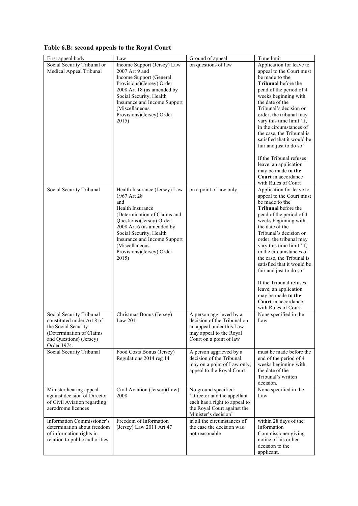| Table 6.B: second appeals to the Royal Court |  |  |  |
|----------------------------------------------|--|--|--|
|                                              |  |  |  |

| First appeal body                                                                                                                                    | Law                                                                                                                                                                                                                                                                                 | Ground of appeal                                                                                                                            | Time limit                                                                                                                                                                                                                                                                                                                                                                                                                                                                                            |
|------------------------------------------------------------------------------------------------------------------------------------------------------|-------------------------------------------------------------------------------------------------------------------------------------------------------------------------------------------------------------------------------------------------------------------------------------|---------------------------------------------------------------------------------------------------------------------------------------------|-------------------------------------------------------------------------------------------------------------------------------------------------------------------------------------------------------------------------------------------------------------------------------------------------------------------------------------------------------------------------------------------------------------------------------------------------------------------------------------------------------|
| Social Security Tribunal or<br>Medical Appeal Tribunal                                                                                               | Income Support (Jersey) Law<br>2007 Art 9 and<br>Income Support (General<br>Provisions)(Jersey) Order<br>2008 Art 18 (as amended by<br>Social Security, Health<br>Insurance and Income Support<br>(Miscellaneous<br>Provisions)(Jersey) Order<br>2015)                              | on questions of law                                                                                                                         | Application for leave to<br>appeal to the Court must<br>be made to the<br><b>Tribunal</b> before the<br>pend of the period of 4<br>weeks beginning with<br>the date of the<br>Tribunal's decision or<br>order; the tribunal may<br>vary this time limit 'if,<br>in the circumstances of<br>the case, the Tribunal is<br>satisfied that it would be<br>fair and just to do so'<br>If the Tribunal refuses<br>leave, an application<br>may be made to the<br>Court in accordance<br>with Rules of Court |
| Social Security Tribunal                                                                                                                             | Health Insurance (Jersey) Law<br>1967 Art 28<br>and<br>Health Insurance<br>(Determination of Claims and<br>Questions)(Jersey) Order<br>2008 Art 6 (as amended by<br>Social Security, Health<br>Insurance and Income Support<br>(Miscellaneous<br>Provisions)(Jersey) Order<br>2015) | on a point of law only                                                                                                                      | Application for leave to<br>appeal to the Court must<br>be made to the<br><b>Tribunal</b> before the<br>pend of the period of 4<br>weeks beginning with<br>the date of the<br>Tribunal's decision or<br>order; the tribunal may<br>vary this time limit 'if,<br>in the circumstances of<br>the case, the Tribunal is<br>satisfied that it would be<br>fair and just to do so'<br>If the Tribunal refuses<br>leave, an application<br>may be made to the<br>Court in accordance<br>with Rules of Court |
| Social Security Tribunal<br>constituted under Art 8 of<br>the Social Security<br>(Determination of Claims)<br>and Questions) (Jersey)<br>Order 1974. | Christmas Bonus (Jersey)<br>Law 2011                                                                                                                                                                                                                                                | A person aggrieved by a<br>decision of the Tribunal on<br>an appeal under this Law<br>may appeal to the Royal<br>Court on a point of law    | None specified in the<br>Law                                                                                                                                                                                                                                                                                                                                                                                                                                                                          |
| Social Security Tribunal                                                                                                                             | Food Costs Bonus (Jersey)<br>Regulations 2014 reg 14                                                                                                                                                                                                                                | A person aggrieved by a<br>decision of the Tribunal,<br>may on a point of Law only,<br>appeal to the Royal Court.                           | must be made before the<br>end of the period of 4<br>weeks beginning with<br>the date of the<br>Tribunal's written<br>decision.                                                                                                                                                                                                                                                                                                                                                                       |
| Minister hearing appeal<br>against decision of Director<br>of Civil Aviation regarding<br>aerodrome licences                                         | Civil Aviation (Jersey)(Law)<br>2008                                                                                                                                                                                                                                                | No ground specified:<br>'Director and the appellant<br>each has a right to appeal to<br>the Royal Court against the<br>Minister's decision' | None specified in the<br>Law                                                                                                                                                                                                                                                                                                                                                                                                                                                                          |
| Information Commissioner's<br>determination about freedom<br>of information rights in<br>relation to public authorities                              | Freedom of Information<br>(Jersey) Law 2011 Art 47                                                                                                                                                                                                                                  | in all the circumstances of<br>the case the decision was<br>not reasonable                                                                  | within 28 days of the<br>Information<br>Commissioner giving<br>notice of his or her<br>decision to the<br>applicant.                                                                                                                                                                                                                                                                                                                                                                                  |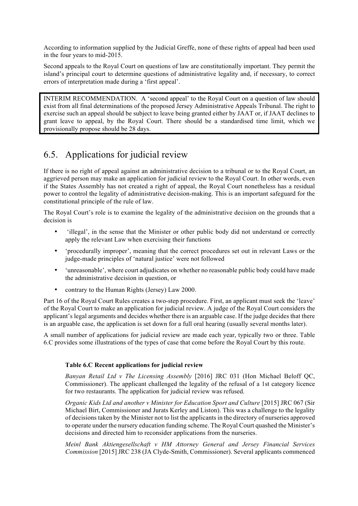According to information supplied by the Judicial Greffe, none of these rights of appeal had been used in the four years to mid-2015.

Second appeals to the Royal Court on questions of law are constitutionally important. They permit the island's principal court to determine questions of administrative legality and, if necessary, to correct errors of interpretation made during a 'first appeal'.

INTERIM RECOMMENDATION. A 'second appeal' to the Royal Court on a question of law should exist from all final determinations of the proposed Jersey Administrative Appeals Tribunal. The right to exercise such an appeal should be subject to leave being granted either by JAAT or, if JAAT declines to grant leave to appeal, by the Royal Court. There should be a standardised time limit, which we provisionally propose should be 28 days.

## 6.5. Applications for judicial review

If there is no right of appeal against an administrative decision to a tribunal or to the Royal Court, an aggrieved person may make an application for judicial review to the Royal Court. In other words, even if the States Assembly has not created a right of appeal, the Royal Court nonetheless has a residual power to control the legality of administrative decision-making. This is an important safeguard for the constitutional principle of the rule of law.

The Royal Court's role is to examine the legality of the administrative decision on the grounds that a decision is

- 'illegal', in the sense that the Minister or other public body did not understand or correctly apply the relevant Law when exercising their functions
- 'procedurally improper', meaning that the correct procedures set out in relevant Laws or the judge-made principles of 'natural justice' were not followed
- 'unreasonable', where court adjudicates on whether no reasonable public body could have made the administrative decision in question, or
- contrary to the Human Rights (Jersey) Law 2000.

Part 16 of the Royal Court Rules creates a two-step procedure. First, an applicant must seek the 'leave' of the Royal Court to make an application for judicial review. A judge of the Royal Court considers the applicant's legal arguments and decides whether there is an arguable case. If the judge decides that there is an arguable case, the application is set down for a full oral hearing (usually several months later).

A small number of applications for judicial review are made each year, typically two or three. Table 6.C provides some illustrations of the types of case that come before the Royal Court by this route.

#### Table 6.C Recent applications for judicial review

*Banyan Retail Ltd v The Licensing Assembly* [2016] JRC 031 (Hon Michael Beloff QC, Commissioner). The applicant challenged the legality of the refusal of a 1st category licence for two restaurants. The application for judicial review was refused.

*Organic Kids Ltd and another v Minister for Education Sport and Culture* [2015] JRC 067 (Sir Michael Birt, Commissioner and Jurats Kerley and Liston). This was a challenge to the legality of decisions taken by the Minister not to list the applicants in the directory of nurseries approved to operate under the nursery education funding scheme. The Royal Court quashed the Minister's decisions and directed him to reconsider applications from the nurseries.

*Meinl Bank Aktiengesellschaft v HM Attorney General and Jersey Financial Services Commission* [2015] JRC 238 (JA Clyde-Smith, Commissioner). Several applicants commenced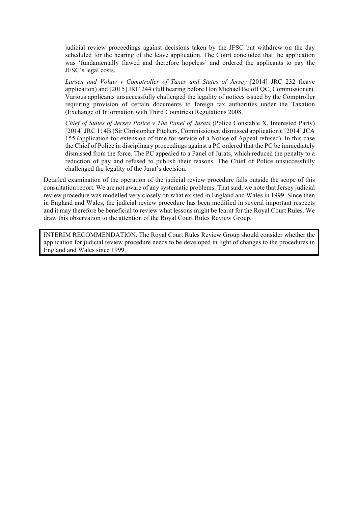judicial review proceedings against decisions taken by the JFSC but withdrew on the day scheduled for the hearing of the leave application. The Court concluded that the application was 'fundamentally flawed and therefore hopeless' and ordered the applicants to pay the JFSC's legal costs.

*Larsen and Volaw v Comptroller of Taxes and States of Jersey* [2014] JRC 232 (leave application) and [2015] JRC 244 (full hearing before Hon Michael Beloff QC, Commissioner). Various applicants unsuccessfully challenged the legality of notices issued by the Comptroller requiring provision of certain documents to foreign tax authorities under the Taxation (Exchange of Information with Third Countries) Regulations 2008.

*Chief of States of Jersey Police v The Panel of Jurats* (Police Constable X, Interested Party) [2014] JRC 114B (Sir Christopher Pitchers, Commissioner, dismissed application); [2014] JCA 155 (application for extension of time for service of a Notice of Appeal refused). In this case the Chief of Police in disciplinary proceedings against a PC ordered that the PC be immediately dismissed from the force. The PC appealed to a Panel of Jurats, which reduced the penalty to a reduction of pay and refused to publish their reasons. The Chief of Police unsuccessfully challenged the legality of the Jurat's decision.

Detailed examination of the operation of the judicial review procedure falls outside the scope of this consultation report. We are not aware of any systematic problems. That said, we note that Jersey judicial review procedure was modelled very closely on what existed in England and Wales in 1999. Since then in England and Wales, the judicial review procedure has been modified in several important respects and it may therefore be beneficial to review what lessons might be learnt for the Royal Court Rules. We draw this observation to the attention of the Royal Court Rules Review Group.

INTERIM RECOMMENDATION. The Royal Court Rules Review Group should consider whether the application for judicial review procedure needs to be developed in light of changes to the procedures in England and Wales since 1999.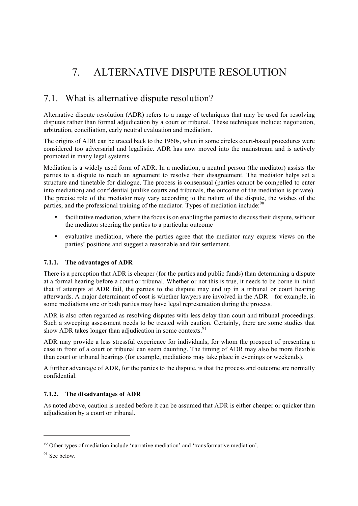# 7. ALTERNATIVE DISPUTE RESOLUTION

### 7.1. What is alternative dispute resolution?

Alternative dispute resolution (ADR) refers to a range of techniques that may be used for resolving disputes rather than formal adjudication by a court or tribunal. These techniques include: negotiation, arbitration, conciliation, early neutral evaluation and mediation.

The origins of ADR can be traced back to the 1960s, when in some circles court-based procedures were considered too adversarial and legalistic. ADR has now moved into the mainstream and is actively promoted in many legal systems.

Mediation is a widely used form of ADR. In a mediation, a neutral person (the mediator) assists the parties to a dispute to reach an agreement to resolve their disagreement. The mediator helps set a structure and timetable for dialogue. The process is consensual (parties cannot be compelled to enter into mediation) and confidential (unlike courts and tribunals, the outcome of the mediation is private). The precise role of the mediator may vary according to the nature of the dispute, the wishes of the parties, and the professional training of the mediator. Types of mediation include:<sup>90</sup>

- facilitative mediation, where the focus is on enabling the parties to discuss their dispute, without the mediator steering the parties to a particular outcome
- evaluative mediation, where the parties agree that the mediator may express views on the parties' positions and suggest a reasonable and fair settlement.

#### 7.1.1. The advantages of ADR

There is a perception that ADR is cheaper (for the parties and public funds) than determining a dispute at a formal hearing before a court or tribunal. Whether or not this is true, it needs to be borne in mind that if attempts at ADR fail, the parties to the dispute may end up in a tribunal or court hearing afterwards. A major determinant of cost is whether lawyers are involved in the ADR – for example, in some mediations one or both parties may have legal representation during the process.

ADR is also often regarded as resolving disputes with less delay than court and tribunal proceedings. Such a sweeping assessment needs to be treated with caution. Certainly, there are some studies that show ADR takes longer than adjudication in some contexts.  $91$ 

ADR may provide a less stressful experience for individuals, for whom the prospect of presenting a case in front of a court or tribunal can seem daunting. The timing of ADR may also be more flexible than court or tribunal hearings (for example, mediations may take place in evenings or weekends).

A further advantage of ADR, for the parties to the dispute, is that the process and outcome are normally confidential.

#### 7.1.2. The disadvantages of ADR

As noted above, caution is needed before it can be assumed that ADR is either cheaper or quicker than adjudication by a court or tribunal.

l

<sup>90</sup> Other types of mediation include 'narrative mediation' and 'transformative mediation'.

<sup>&</sup>lt;sup>91</sup> See below.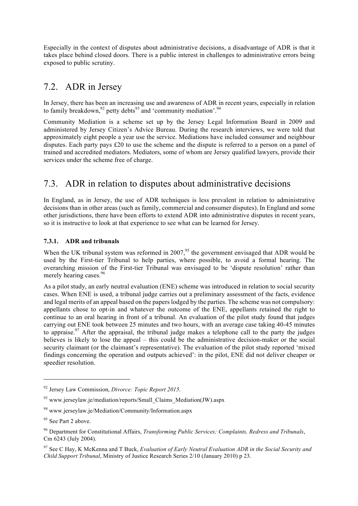Especially in the context of disputes about administrative decisions, a disadvantage of ADR is that it takes place behind closed doors. There is a public interest in challenges to administrative errors being exposed to public scrutiny.

## 7.2. ADR in Jersey

In Jersey, there has been an increasing use and awareness of ADR in recent years, especially in relation to family breakdown,  $92$  petty debts  $93$  and 'community mediation'.  $94$ 

Community Mediation is a scheme set up by the Jersey Legal Information Board in 2009 and administered by Jersey Citizen's Advice Bureau. During the research interviews, we were told that approximately eight people a year use the service. Mediations have included consumer and neighbour disputes. Each party pays £20 to use the scheme and the dispute is referred to a person on a panel of trained and accredited mediators. Mediators, some of whom are Jersey qualified lawyers, provide their services under the scheme free of charge.

## 7.3. ADR in relation to disputes about administrative decisions

In England, as in Jersey, the use of ADR techniques is less prevalent in relation to administrative decisions than in other areas (such as family, commercial and consumer disputes). In England and some other jurisdictions, there have been efforts to extend ADR into administrative disputes in recent years, so it is instructive to look at that experience to see what can be learned for Jersey.

#### 7.3.1. ADR and tribunals

When the UK tribunal system was reformed in  $2007<sup>95</sup>$ , the government envisaged that ADR would be used by the First-tier Tribunal to help parties, where possible, to avoid a formal hearing. The overarching mission of the First-tier Tribunal was envisaged to be 'dispute resolution' rather than merely hearing cases.  $96$ 

As a pilot study, an early neutral evaluation (ENE) scheme was introduced in relation to social security cases. When ENE is used, a tribunal judge carries out a preliminary assessment of the facts, evidence and legal merits of an appeal based on the papers lodged by the parties. The scheme was not compulsory: appellants chose to opt-in and whatever the outcome of the ENE, appellants retained the right to continue to an oral hearing in front of a tribunal. An evaluation of the pilot study found that judges carrying out ENE took between 25 minutes and two hours, with an average case taking 40-45 minutes to appraise.<sup>97</sup> After the appraisal, the tribunal judge makes a telephone call to the party the judges believes is likely to lose the appeal – this could be the administrative decision-maker or the social security claimant (or the claimant's representative). The evaluation of the pilot study reported 'mixed findings concerning the operation and outputs achieved': in the pilot, ENE did not deliver cheaper or speedier resolution.

 $\overline{a}$ 

<sup>92</sup> Jersey Law Commission, *Divorce: Topic Report 2015*.

 $93$  www.jerseylaw.je/mediation/reports/Small\_Claims\_Mediation(JW).aspx

<sup>94</sup> www.jerseylaw.je/Mediation/Community/Information.aspx

<sup>&</sup>lt;sup>95</sup> See Part 2 above.

<sup>96</sup> Department for Constitutional Affairs, *Transforming Public Services; Complaints, Redress and Tribunals*, Cm 6243 (July 2004).

<sup>97</sup> See C Hay, K McKenna and T Buck, *Evaluation of Early Neutral Evaluation ADR in the Social Security and Child Support Tribunal*, Ministry of Justice Research Series 2/10 (January 2010) p 23.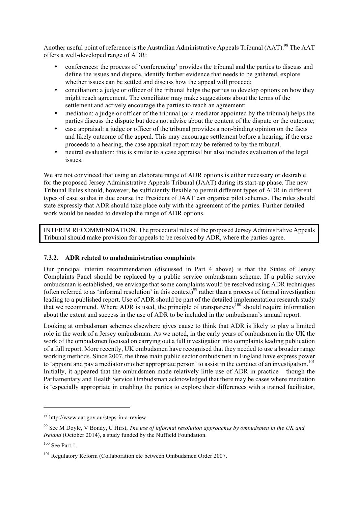Another useful point of reference is the Australian Administrative Appeals Tribunal (AAT).<sup>98</sup> The AAT offers a well-developed range of ADR:

- conferences: the process of 'conferencing' provides the tribunal and the parties to discuss and define the issues and dispute, identify further evidence that needs to be gathered, explore whether issues can be settled and discuss how the appeal will proceed;
- conciliation: a judge or officer of the tribunal helps the parties to develop options on how they might reach agreement. The conciliator may make suggestions about the terms of the settlement and actively encourage the parties to reach an agreement;
- mediation: a judge or officer of the tribunal (or a mediator appointed by the tribunal) helps the parties discuss the dispute but does not advise about the content of the dispute or the outcome;
- case appraisal: a judge or officer of the tribunal provides a non-binding opinion on the facts and likely outcome of the appeal. This may encourage settlement before a hearing; if the case proceeds to a hearing, the case appraisal report may be referred to by the tribunal.
- neutral evaluation: this is similar to a case appraisal but also includes evaluation of the legal issues.

We are not convinced that using an elaborate range of ADR options is either necessary or desirable for the proposed Jersey Administrative Appeals Tribunal (JAAT) during its start-up phase. The new Tribunal Rules should, however, be sufficiently flexible to permit different types of ADR in different types of case so that in due course the President of JAAT can organise pilot schemes. The rules should state expressly that ADR should take place only with the agreement of the parties. Further detailed work would be needed to develop the range of ADR options.

INTERIM RECOMMENDATION. The procedural rules of the proposed Jersey Administrative Appeals Tribunal should make provision for appeals to be resolved by ADR, where the parties agree.

#### 7.3.2. ADR related to maladministration complaints

Our principal interim recommendation (discussed in Part 4 above) is that the States of Jersey Complaints Panel should be replaced by a public service ombudsman scheme. If a public service ombudsman is established, we envisage that some complaints would be resolved using ADR techniques (often referred to as 'informal resolution' in this context)<sup>99</sup> rather than a process of formal investigation leading to a published report. Use of ADR should be part of the detailed implementation research study that we recommend. Where ADR is used, the principle of transparency<sup>100</sup> should require information about the extent and success in the use of ADR to be included in the ombudsman's annual report.

Looking at ombudsman schemes elsewhere gives cause to think that ADR is likely to play a limited role in the work of a Jersey ombudsman. As we noted, in the early years of ombudsmen in the UK the work of the ombudsmen focused on carrying out a full investigation into complaints leading publication of a full report. More recently, UK ombudsmen have recognised that they needed to use a broader range working methods. Since 2007, the three main public sector ombudsmen in England have express power to 'appoint and pay a mediator or other appropriate person' to assist in the conduct of an investigation.<sup>101</sup> Initially, it appeared that the ombudsmen made relatively little use of ADR in practice – though the Parliamentary and Health Service Ombudsman acknowledged that there may be cases where mediation is 'especially appropriate in enabling the parties to explore their differences with a trained facilitator,

l

<sup>98</sup> http://www.aat.gov.au/steps-in-a-review

<sup>99</sup> See M Doyle, V Bondy, C Hirst, *The use of informal resolution approaches by ombudsmen in the UK and Ireland* (October 2014), a study funded by the Nuffield Foundation.

 $100$  See Part 1.

<sup>&</sup>lt;sup>101</sup> Regulatory Reform (Collaboration etc between Ombudsmen Order 2007.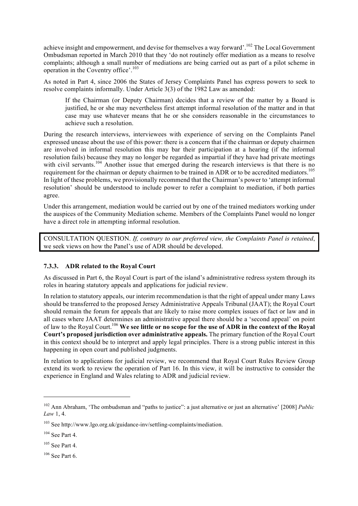achieve insight and empowerment, and devise for themselves a way forward'.<sup>102</sup> The Local Government Ombudsman reported in March 2010 that they 'do not routinely offer mediation as a means to resolve complaints; although a small number of mediations are being carried out as part of a pilot scheme in operation in the Coventry office'.<sup>103</sup>

As noted in Part 4, since 2006 the States of Jersey Complaints Panel has express powers to seek to resolve complaints informally. Under Article 3(3) of the 1982 Law as amended:

If the Chairman (or Deputy Chairman) decides that a review of the matter by a Board is justified, he or she may nevertheless first attempt informal resolution of the matter and in that case may use whatever means that he or she considers reasonable in the circumstances to achieve such a resolution.

During the research interviews, interviewees with experience of serving on the Complaints Panel expressed unease about the use of this power: there is a concern that if the chairman or deputy chairmen are involved in informal resolution this may bar their participation at a hearing (if the informal resolution fails) because they may no longer be regarded as impartial if they have had private meetings with civil servants.<sup>104</sup> Another issue that emerged during the research interviews is that there is no requirement for the chairman or deputy chairmen to be trained in ADR or to be accredited mediators.<sup>105</sup> In light of these problems, we provisionally recommend that the Chairman's power to 'attempt informal resolution' should be understood to include power to refer a complaint to mediation, if both parties agree.

Under this arrangement, mediation would be carried out by one of the trained mediators working under the auspices of the Community Mediation scheme. Members of the Complaints Panel would no longer have a direct role in attempting informal resolution.

CONSULTATION QUESTION. *If, contrary to our preferred view, the Complaints Panel is retained*, we seek views on how the Panel's use of ADR should be developed.

#### 7.3.3. ADR related to the Royal Court

As discussed in Part 6, the Royal Court is part of the island's administrative redress system through its roles in hearing statutory appeals and applications for judicial review.

In relation to statutory appeals, our interim recommendation is that the right of appeal under many Laws should be transferred to the proposed Jersey Administrative Appeals Tribunal (JAAT); the Royal Court should remain the forum for appeals that are likely to raise more complex issues of fact or law and in all cases where JAAT determines an administrative appeal there should be a 'second appeal' on point of law to the Royal Court.<sup>106</sup> We see little or no scope for the use of ADR in the context of the Royal Court's proposed jurisdiction over administrative appeals. The primary function of the Royal Court in this context should be to interpret and apply legal principles. There is a strong public interest in this happening in open court and published judgments.

In relation to applications for judicial review, we recommend that Royal Court Rules Review Group extend its work to review the operation of Part 16. In this view, it will be instructive to consider the experience in England and Wales relating to ADR and judicial review.

l

 $106$  See Part 6.

<sup>102</sup> Ann Abraham, 'The ombudsman and "paths to justice": a just alternative or just an alternative' [2008] *Public Law* 1, 4.

<sup>103</sup> See http://www.lgo.org.uk/guidance-inv/settling-complaints/mediation.

<sup>104</sup> See Part 4.

 $105$  See Part 4.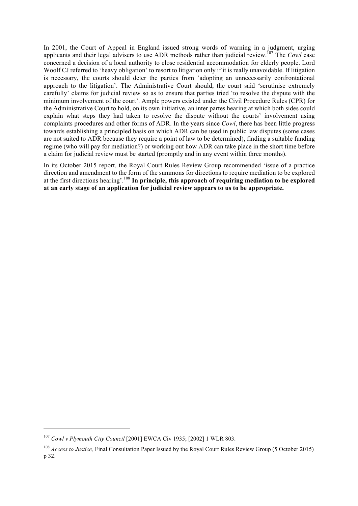In 2001, the Court of Appeal in England issued strong words of warning in a judgment, urging applicants and their legal advisers to use ADR methods rather than judicial review.<sup>107</sup> The *Cowl* case concerned a decision of a local authority to close residential accommodation for elderly people. Lord Woolf CJ referred to 'heavy obligation' to resort to litigation only if it is really unavoidable. If litigation is necessary, the courts should deter the parties from 'adopting an unnecessarily confrontational approach to the litigation'. The Administrative Court should, the court said 'scrutinise extremely carefully' claims for judicial review so as to ensure that parties tried 'to resolve the dispute with the minimum involvement of the court'. Ample powers existed under the Civil Procedure Rules (CPR) for the Administrative Court to hold, on its own initiative, an inter partes hearing at which both sides could explain what steps they had taken to resolve the dispute without the courts' involvement using complaints procedures and other forms of ADR. In the years since *Cowl*, there has been little progress towards establishing a principled basis on which ADR can be used in public law disputes (some cases are not suited to ADR because they require a point of law to be determined), finding a suitable funding regime (who will pay for mediation?) or working out how ADR can take place in the short time before a claim for judicial review must be started (promptly and in any event within three months).

In its October 2015 report, the Royal Court Rules Review Group recommended 'issue of a practice direction and amendment to the form of the summons for directions to require mediation to be explored at the first directions hearing'.<sup>108</sup> In principle, this approach of requiring mediation to be explored at an early stage of an application for judicial review appears to us to be appropriate.

 $\overline{a}$ 

<sup>107</sup> *Cowl v Plymouth City Council* [2001] EWCA Civ 1935; [2002] 1 WLR 803.

<sup>&</sup>lt;sup>108</sup> *Access to Justice*, Final Consultation Paper Issued by the Royal Court Rules Review Group (5 October 2015) p 32.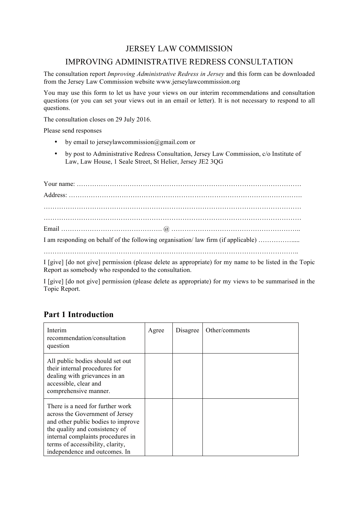### JERSEY LAW COMMISSION

### IMPROVING ADMINISTRATIVE REDRESS CONSULTATION

The consultation report *Improving Administrative Redress in Jersey* and this form can be downloaded from the Jersey Law Commission website www.jerseylawcommission.org

You may use this form to let us have your views on our interim recommendations and consultation questions (or you can set your views out in an email or letter). It is not necessary to respond to all questions.

The consultation closes on 29 July 2016.

Please send responses

- by email to jerseylawcommission@gmail.com or
- by post to Administrative Redress Consultation, Jersey Law Commission, c/o Institute of Law, Law House, 1 Seale Street, St Helier, Jersey JE2 3QG

| I am responding on behalf of the following organisation/law firm (if applicable)                                                                               |
|----------------------------------------------------------------------------------------------------------------------------------------------------------------|
|                                                                                                                                                                |
| <b>T</b> Fig. 1 Fig. and contract a constant on $(A_1, \ldots, A_n)$ is a consequently $\beta$ of an above and $A_1$ . In the $A_2$ of $A_3$ of $\mathbf{F}$ . |

I [give] [do not give] permission (please delete as appropriate) for my name to be listed in the Topic Report as somebody who responded to the consultation.

I [give] [do not give] permission (please delete as appropriate) for my views to be summarised in the Topic Report.

### Part 1 Introduction

| Interim<br>recommendation/consultation<br>question                                                                                                                                                                                                    | Agree | Disagree | Other/comments |
|-------------------------------------------------------------------------------------------------------------------------------------------------------------------------------------------------------------------------------------------------------|-------|----------|----------------|
| All public bodies should set out<br>their internal procedures for<br>dealing with grievances in an<br>accessible, clear and<br>comprehensive manner.                                                                                                  |       |          |                |
| There is a need for further work<br>across the Government of Jersey<br>and other public bodies to improve<br>the quality and consistency of<br>internal complaints procedures in<br>terms of accessibility, clarity,<br>independence and outcomes. In |       |          |                |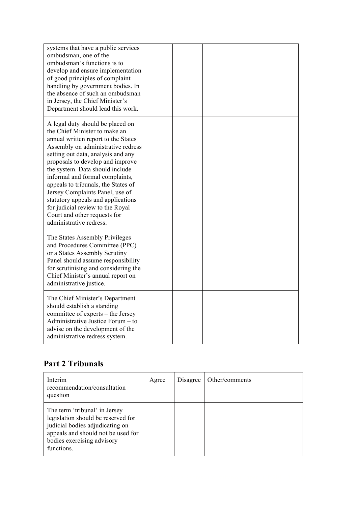| systems that have a public services<br>ombudsman, one of the<br>ombudsman's functions is to<br>develop and ensure implementation<br>of good principles of complaint<br>handling by government bodies. In<br>the absence of such an ombudsman<br>in Jersey, the Chief Minister's<br>Department should lead this work.                                                                                                                                                                                          |  |  |
|---------------------------------------------------------------------------------------------------------------------------------------------------------------------------------------------------------------------------------------------------------------------------------------------------------------------------------------------------------------------------------------------------------------------------------------------------------------------------------------------------------------|--|--|
| A legal duty should be placed on<br>the Chief Minister to make an<br>annual written report to the States<br>Assembly on administrative redress<br>setting out data, analysis and any<br>proposals to develop and improve<br>the system. Data should include<br>informal and formal complaints,<br>appeals to tribunals, the States of<br>Jersey Complaints Panel, use of<br>statutory appeals and applications<br>for judicial review to the Royal<br>Court and other requests for<br>administrative redress. |  |  |
| The States Assembly Privileges<br>and Procedures Committee (PPC)<br>or a States Assembly Scrutiny<br>Panel should assume responsibility<br>for scrutinising and considering the<br>Chief Minister's annual report on<br>administrative justice.                                                                                                                                                                                                                                                               |  |  |
| The Chief Minister's Department<br>should establish a standing<br>committee of experts – the Jersey<br>Administrative Justice Forum – to<br>advise on the development of the<br>administrative redress system.                                                                                                                                                                                                                                                                                                |  |  |

# Part 2 Tribunals

| Interim<br>recommendation/consultation<br>question                                                                                                                                       | Agree | Disagree | Other/comments |
|------------------------------------------------------------------------------------------------------------------------------------------------------------------------------------------|-------|----------|----------------|
| The term 'tribunal' in Jersey<br>legislation should be reserved for<br>judicial bodies adjudicating on<br>appeals and should not be used for<br>bodies exercising advisory<br>functions. |       |          |                |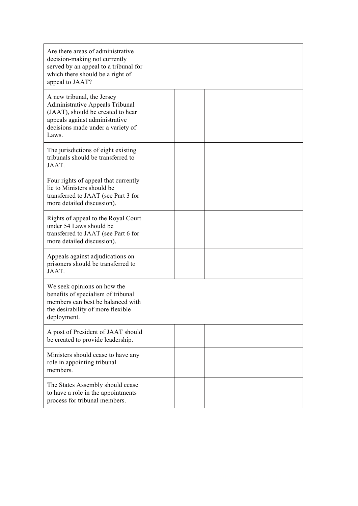| Are there areas of administrative<br>decision-making not currently<br>served by an appeal to a tribunal for<br>which there should be a right of<br>appeal to JAAT?                        |  |  |
|-------------------------------------------------------------------------------------------------------------------------------------------------------------------------------------------|--|--|
| A new tribunal, the Jersey<br><b>Administrative Appeals Tribunal</b><br>(JAAT), should be created to hear<br>appeals against administrative<br>decisions made under a variety of<br>Laws. |  |  |
| The jurisdictions of eight existing<br>tribunals should be transferred to<br>JAAT.                                                                                                        |  |  |
| Four rights of appeal that currently<br>lie to Ministers should be<br>transferred to JAAT (see Part 3 for<br>more detailed discussion).                                                   |  |  |
| Rights of appeal to the Royal Court<br>under 54 Laws should be<br>transferred to JAAT (see Part 6 for<br>more detailed discussion).                                                       |  |  |
| Appeals against adjudications on<br>prisoners should be transferred to<br>JAAT.                                                                                                           |  |  |
| We seek opinions on how the<br>benefits of specialism of tribunal<br>members can best be balanced with<br>the desirability of more flexible<br>deployment.                                |  |  |
| A post of President of JAAT should<br>be created to provide leadership.                                                                                                                   |  |  |
| Ministers should cease to have any<br>role in appointing tribunal<br>members.                                                                                                             |  |  |
| The States Assembly should cease<br>to have a role in the appointments<br>process for tribunal members.                                                                                   |  |  |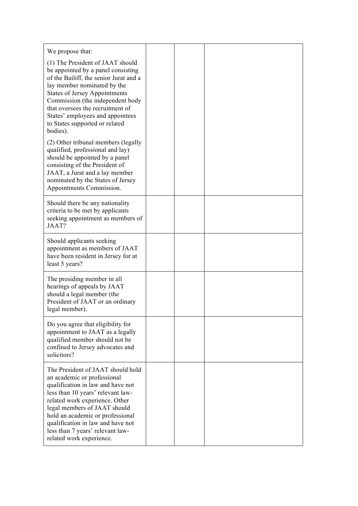| We propose that:                                                                                                                                                                                                                                                                                                                                      |  |  |
|-------------------------------------------------------------------------------------------------------------------------------------------------------------------------------------------------------------------------------------------------------------------------------------------------------------------------------------------------------|--|--|
| (1) The President of JAAT should<br>be appointed by a panel consisting<br>of the Bailiff, the senior Jurat and a<br>lay member nominated by the<br><b>States of Jersey Appointments</b><br>Commission (the independent body<br>that oversees the recruitment of<br>States' employees and appointees<br>to States supported or related<br>bodies).     |  |  |
| (2) Other tribunal members (legally<br>qualified, professional and lay)<br>should be appointed by a panel<br>consisting of the President of<br>JAAT, a Jurat and a lay member<br>nominated by the States of Jersey<br>Appointments Commission.                                                                                                        |  |  |
| Should there be any nationality<br>criteria to be met by applicants<br>seeking appointment as members of<br>JAAT?                                                                                                                                                                                                                                     |  |  |
| Should applicants seeking<br>appointment as members of JAAT<br>have been resident in Jersey for at<br>least 5 years?                                                                                                                                                                                                                                  |  |  |
| The presiding member in all<br>hearings of appeals by JAAT<br>should a legal member (the<br>President of JAAT or an ordinary<br>legal member).                                                                                                                                                                                                        |  |  |
| Do you agree that eligibility for<br>appointment to JAAT as a legally<br>qualified member should not be<br>confined to Jersey advocates and<br>solicitors?                                                                                                                                                                                            |  |  |
| The President of JAAT should hold<br>an academic or professional<br>qualification in law and have not<br>less than 10 years' relevant law-<br>related work experience. Other<br>legal members of JAAT should<br>hold an academic or professional<br>qualification in law and have not<br>less than 7 years' relevant law-<br>related work experience. |  |  |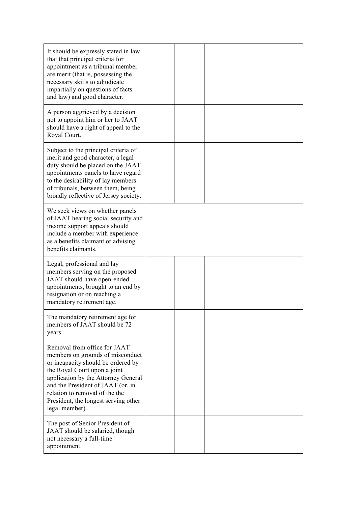| It should be expressly stated in law<br>that that principal criteria for<br>appointment as a tribunal member<br>are merit (that is, possessing the<br>necessary skills to adjudicate<br>impartially on questions of facts<br>and law) and good character.                                                      |  |  |
|----------------------------------------------------------------------------------------------------------------------------------------------------------------------------------------------------------------------------------------------------------------------------------------------------------------|--|--|
| A person aggrieved by a decision<br>not to appoint him or her to JAAT<br>should have a right of appeal to the<br>Royal Court.                                                                                                                                                                                  |  |  |
| Subject to the principal criteria of<br>merit and good character, a legal<br>duty should be placed on the JAAT<br>appointments panels to have regard<br>to the desirability of lay members<br>of tribunals, between them, being<br>broadly reflective of Jersey society.                                       |  |  |
| We seek views on whether panels<br>of JAAT hearing social security and<br>income support appeals should<br>include a member with experience<br>as a benefits claimant or advising<br>benefits claimants.                                                                                                       |  |  |
| Legal, professional and lay<br>members serving on the proposed<br>JAAT should have open-ended<br>appointments, brought to an end by<br>resignation or on reaching a<br>mandatory retirement age.                                                                                                               |  |  |
| The mandatory retirement age for<br>members of JAAT should be 72<br>years.                                                                                                                                                                                                                                     |  |  |
| Removal from office for JAAT<br>members on grounds of misconduct<br>or incapacity should be ordered by<br>the Royal Court upon a joint<br>application by the Attorney General<br>and the President of JAAT (or, in<br>relation to removal of the the<br>President, the longest serving other<br>legal member). |  |  |
| The post of Senior President of<br>JAAT should be salaried, though<br>not necessary a full-time<br>appointment.                                                                                                                                                                                                |  |  |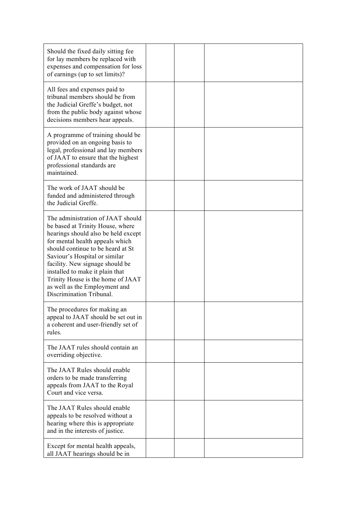| Should the fixed daily sitting fee<br>for lay members be replaced with<br>expenses and compensation for loss<br>of earnings (up to set limits)?                                                                                                                                                                                                                                               |  |  |
|-----------------------------------------------------------------------------------------------------------------------------------------------------------------------------------------------------------------------------------------------------------------------------------------------------------------------------------------------------------------------------------------------|--|--|
| All fees and expenses paid to<br>tribunal members should be from<br>the Judicial Greffe's budget, not<br>from the public body against whose<br>decisions members hear appeals.                                                                                                                                                                                                                |  |  |
| A programme of training should be<br>provided on an ongoing basis to<br>legal, professional and lay members<br>of JAAT to ensure that the highest<br>professional standards are<br>maintained.                                                                                                                                                                                                |  |  |
| The work of JAAT should be<br>funded and administered through<br>the Judicial Greffe.                                                                                                                                                                                                                                                                                                         |  |  |
| The administration of JAAT should<br>be based at Trinity House, where<br>hearings should also be held except<br>for mental health appeals which<br>should continue to be heard at St<br>Saviour's Hospital or similar<br>facility. New signage should be<br>installed to make it plain that<br>Trinity House is the home of JAAT<br>as well as the Employment and<br>Discrimination Tribunal. |  |  |
| The procedures for making an<br>appeal to JAAT should be set out in<br>a coherent and user-friendly set of<br>rules.                                                                                                                                                                                                                                                                          |  |  |
| The JAAT rules should contain an<br>overriding objective.                                                                                                                                                                                                                                                                                                                                     |  |  |
| The JAAT Rules should enable<br>orders to be made transferring<br>appeals from JAAT to the Royal<br>Court and vice versa.                                                                                                                                                                                                                                                                     |  |  |
| The JAAT Rules should enable<br>appeals to be resolved without a<br>hearing where this is appropriate<br>and in the interests of justice.                                                                                                                                                                                                                                                     |  |  |
| Except for mental health appeals,<br>all JAAT hearings should be in                                                                                                                                                                                                                                                                                                                           |  |  |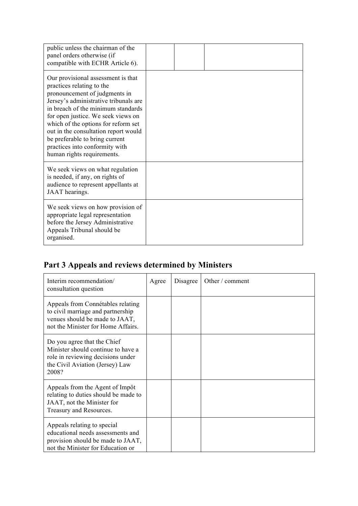| public unless the chairman of the<br>panel orders otherwise (if<br>compatible with ECHR Article 6).                                                                                                                                                                                                                                                                                                    |  |  |  |
|--------------------------------------------------------------------------------------------------------------------------------------------------------------------------------------------------------------------------------------------------------------------------------------------------------------------------------------------------------------------------------------------------------|--|--|--|
| Our provisional assessment is that<br>practices relating to the<br>pronouncement of judgments in<br>Jersey's administrative tribunals are<br>in breach of the minimum standards<br>for open justice. We seek views on<br>which of the options for reform set<br>out in the consultation report would<br>be preferable to bring current<br>practices into conformity with<br>human rights requirements. |  |  |  |
| We seek views on what regulation<br>is needed, if any, on rights of<br>audience to represent appellants at<br>JAAT hearings.                                                                                                                                                                                                                                                                           |  |  |  |
| We seek views on how provision of<br>appropriate legal representation<br>before the Jersey Administrative<br>Appeals Tribunal should be<br>organised.                                                                                                                                                                                                                                                  |  |  |  |

# Part 3 Appeals and reviews determined by Ministers

| Interim recommendation/<br>consultation question                                                                                                   | Agree | Disagree | Other / comment |
|----------------------------------------------------------------------------------------------------------------------------------------------------|-------|----------|-----------------|
| Appeals from Connétables relating<br>to civil marriage and partnership<br>venues should be made to JAAT,<br>not the Minister for Home Affairs.     |       |          |                 |
| Do you agree that the Chief<br>Minister should continue to have a<br>role in reviewing decisions under<br>the Civil Aviation (Jersey) Law<br>2008? |       |          |                 |
| Appeals from the Agent of Impôt<br>relating to duties should be made to<br>JAAT, not the Minister for<br>Treasury and Resources.                   |       |          |                 |
| Appeals relating to special<br>educational needs assessments and<br>provision should be made to JAAT,<br>not the Minister for Education or         |       |          |                 |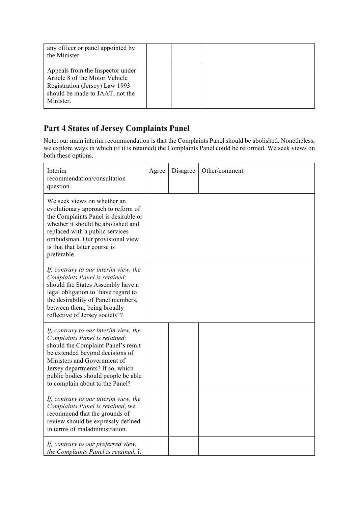| any officer or panel appointed by<br>the Minister.                                                                                                   |  |  |  |
|------------------------------------------------------------------------------------------------------------------------------------------------------|--|--|--|
| Appeals from the Inspector under<br>Article 8 of the Motor Vehicle<br>Registration (Jersey) Law 1993<br>should be made to JAAT, not the<br>Minister. |  |  |  |

## Part 4 States of Jersey Complaints Panel

Note: our main interim recommendation is that the Complaints Panel should be abolished. Nonetheless, we explore ways in which (if it is retained) the Complaints Panel could be reformed. We seek views on both these options.

| Interim<br>recommendation/consultation<br>question                                                                                                                                                                                                                                           | Agree | Disagree | Other/comment |
|----------------------------------------------------------------------------------------------------------------------------------------------------------------------------------------------------------------------------------------------------------------------------------------------|-------|----------|---------------|
| We seek views on whether an<br>evolutionary approach to reform of<br>the Complaints Panel is desirable or<br>whether it should be abolished and<br>replaced with a public services<br>ombudsman. Our provisional view<br>is that that latter course is<br>preferable.                        |       |          |               |
| If, contrary to our interim view, the<br>Complaints Panel is retained:<br>should the States Assembly have a<br>legal obligation to 'have regard to<br>the desirability of Panel members,<br>between them, being broadly<br>reflective of Jersey society'?                                    |       |          |               |
| If, contrary to our interim view, the<br>Complaints Panel is retained:<br>should the Complaint Panel's remit<br>be extended beyond decisions of<br>Ministers and Government of<br>Jersey departments? If so, which<br>public bodies should people be able<br>to complain about to the Panel? |       |          |               |
| If, contrary to our interim view, the<br>Complaints Panel is retained, we<br>recommend that the grounds of<br>review should be expressly defined<br>in terms of maladministration.                                                                                                           |       |          |               |
| If, contrary to our preferred view,<br>the Complaints Panel is retained, it                                                                                                                                                                                                                  |       |          |               |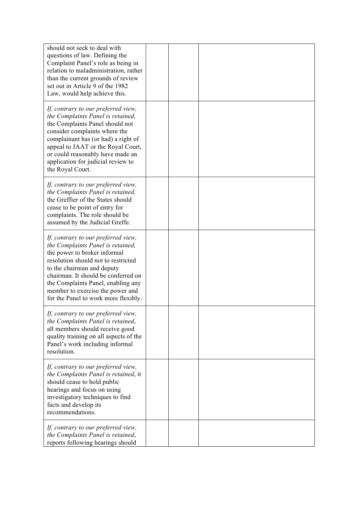| should not seek to deal with<br>questions of law. Defining the<br>Complaint Panel's role as being in<br>relation to maladministration, rather<br>than the current grounds of review<br>set out in Article 9 of the 1982<br>Law, would help achieve this.                                                                               |  |  |
|----------------------------------------------------------------------------------------------------------------------------------------------------------------------------------------------------------------------------------------------------------------------------------------------------------------------------------------|--|--|
| If, contrary to our preferred view,<br>the Complaints Panel is retained,<br>the Complaints Panel should not<br>consider complaints where the<br>complainant has (or had) a right of<br>appeal to JAAT or the Royal Court,<br>or could reasonably have made an<br>application for judicial review to<br>the Royal Court.                |  |  |
| If, contrary to our preferred view,<br>the Complaints Panel is retained,<br>the Greffier of the States should<br>cease to be point of entry for<br>complaints. The role should be<br>assumed by the Judicial Greffe.                                                                                                                   |  |  |
| If, contrary to our preferred view,<br>the Complaints Panel is retained,<br>the power to broker informal<br>resolution should not to restricted<br>to the chairman and deputy<br>chairman. It should be conferred on<br>the Complaints Panel, enabling any<br>member to exercise the power and<br>for the Panel to work more flexibly. |  |  |
| If, contrary to our preferred view,<br>the Complaints Panel is retained,<br>all members should receive good<br>quality training on all aspects of the<br>Panel's work including informal<br>resolution.                                                                                                                                |  |  |
| If, contrary to our preferred view,<br>the Complaints Panel is retained, it<br>should cease to hold public<br>hearings and focus on using<br>investigatory techniques to find<br>facts and develop its<br>recommendations.                                                                                                             |  |  |
| If, contrary to our preferred view,<br>the Complaints Panel is retained,<br>reports following hearings should                                                                                                                                                                                                                          |  |  |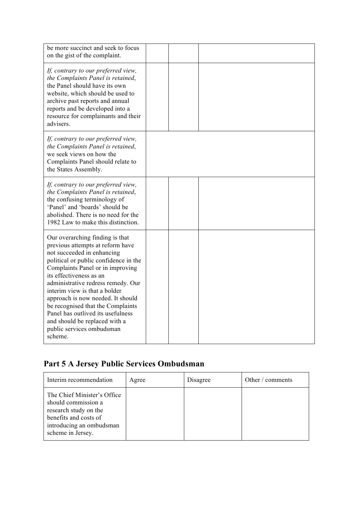| be more succinct and seek to focus<br>on the gist of the complaint.                                                                                                                                                                                                                                                                                                                                                                                                      |  |  |
|--------------------------------------------------------------------------------------------------------------------------------------------------------------------------------------------------------------------------------------------------------------------------------------------------------------------------------------------------------------------------------------------------------------------------------------------------------------------------|--|--|
| If, contrary to our preferred view,<br>the Complaints Panel is retained,<br>the Panel should have its own<br>website, which should be used to<br>archive past reports and annual<br>reports and be developed into a<br>resource for complainants and their<br>advisers.                                                                                                                                                                                                  |  |  |
| If, contrary to our preferred view,<br>the Complaints Panel is retained,<br>we seek views on how the<br>Complaints Panel should relate to<br>the States Assembly.                                                                                                                                                                                                                                                                                                        |  |  |
| If, contrary to our preferred view,<br>the Complaints Panel is retained,<br>the confusing terminology of<br>'Panel' and 'boards' should be<br>abolished. There is no need for the<br>1982 Law to make this distinction.                                                                                                                                                                                                                                                  |  |  |
| Our overarching finding is that<br>previous attempts at reform have<br>not succeeded in enhancing<br>political or public confidence in the<br>Complaints Panel or in improving<br>its effectiveness as an<br>administrative redress remedy. Our<br>interim view is that a bolder<br>approach is now needed. It should<br>be recognised that the Complaints<br>Panel has outlived its usefulness<br>and should be replaced with a<br>public services ombudsman<br>scheme. |  |  |

# Part 5 A Jersey Public Services Ombudsman

| Interim recommendation                                                                                                                                | Agree | Disagree | Other / comments |
|-------------------------------------------------------------------------------------------------------------------------------------------------------|-------|----------|------------------|
| The Chief Minister's Office<br>should commission a<br>research study on the<br>benefits and costs of<br>introducing an ombudsman<br>scheme in Jersey. |       |          |                  |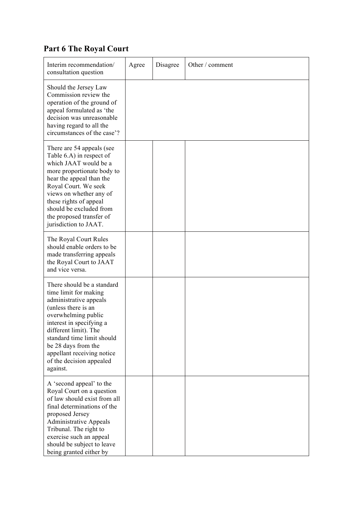# Part 6 The Royal Court

| Interim recommendation/<br>consultation question                                                                                                                                                                                                                                                            | Agree | Disagree | Other / comment |
|-------------------------------------------------------------------------------------------------------------------------------------------------------------------------------------------------------------------------------------------------------------------------------------------------------------|-------|----------|-----------------|
| Should the Jersey Law<br>Commission review the<br>operation of the ground of<br>appeal formulated as 'the<br>decision was unreasonable<br>having regard to all the<br>circumstances of the case'?                                                                                                           |       |          |                 |
| There are 54 appeals (see<br>Table 6.A) in respect of<br>which JAAT would be a<br>more proportionate body to<br>hear the appeal than the<br>Royal Court. We seek<br>views on whether any of<br>these rights of appeal<br>should be excluded from<br>the proposed transfer of<br>jurisdiction to JAAT.       |       |          |                 |
| The Royal Court Rules<br>should enable orders to be<br>made transferring appeals<br>the Royal Court to JAAT<br>and vice versa.                                                                                                                                                                              |       |          |                 |
| There should be a standard<br>time limit for making<br>administrative appeals<br>(unless there is an<br>overwhelming public<br>interest in specifying a<br>different limit). The<br>standard time limit should<br>be 28 days from the<br>appellant receiving notice<br>of the decision appealed<br>against. |       |          |                 |
| A 'second appeal' to the<br>Royal Court on a question<br>of law should exist from all<br>final determinations of the<br>proposed Jersey<br><b>Administrative Appeals</b><br>Tribunal. The right to<br>exercise such an appeal<br>should be subject to leave<br>being granted either by                      |       |          |                 |